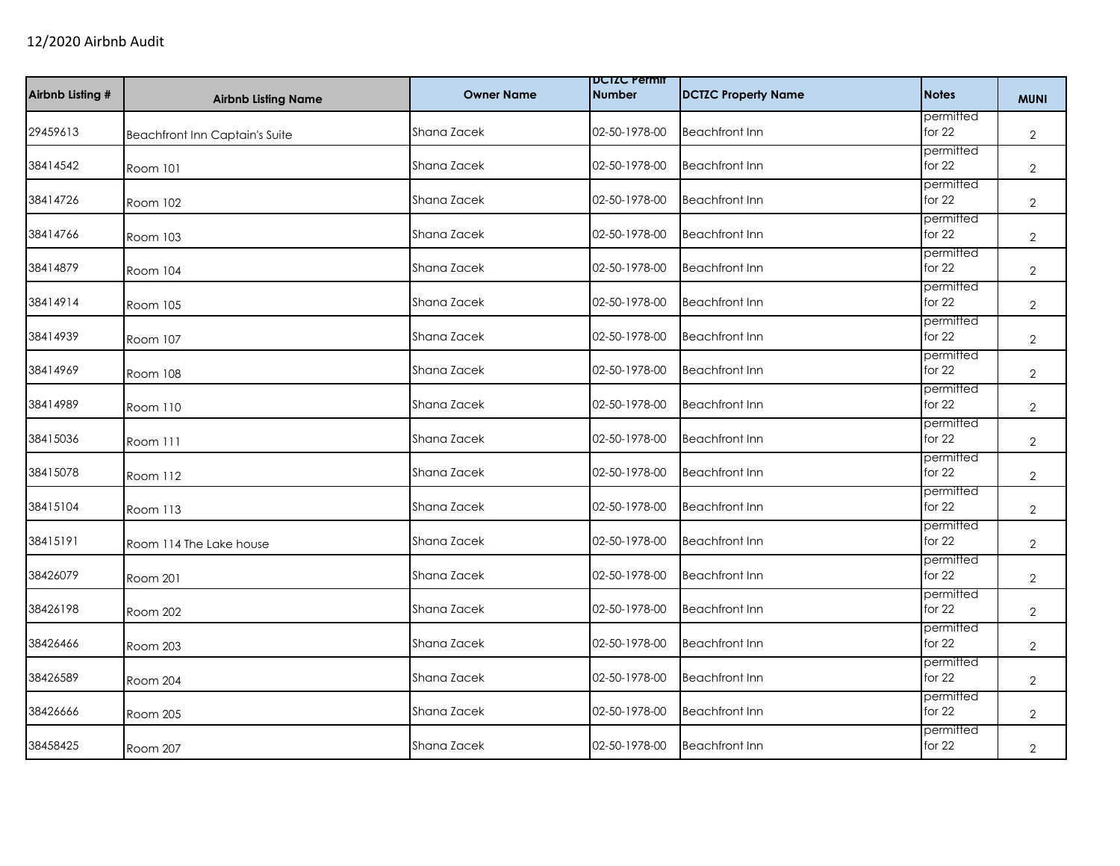| Airbnb Listing # | <b>Airbnb Listing Name</b>            | <b>Owner Name</b> | <b>DCIZC Permit</b><br><b>Number</b> | <b>DCTZC Property Name</b> | <b>Notes</b>          | <b>MUNI</b>    |
|------------------|---------------------------------------|-------------------|--------------------------------------|----------------------------|-----------------------|----------------|
| 29459613         | <b>Beachfront Inn Captain's Suite</b> | Shana Zacek       | 02-50-1978-00                        | <b>Beachfront Inn</b>      | permitted<br>for 22   | $\overline{2}$ |
| 38414542         | Room 101                              | Shana Zacek       | 02-50-1978-00                        | <b>Beachfront Inn</b>      | permitted<br>for 22   | $\mathbf{2}$   |
| 38414726         | Room 102                              | Shana Zacek       | 02-50-1978-00                        | <b>Beachfront Inn</b>      | permitted<br>for $22$ | $\overline{2}$ |
| 38414766         | Room 103                              | Shana Zacek       | 02-50-1978-00                        | <b>Beachfront Inn</b>      | permitted<br>for $22$ | $\overline{2}$ |
| 38414879         | Room 104                              | Shana Zacek       | 02-50-1978-00                        | <b>Beachfront Inn</b>      | permitted<br>for $22$ | $\mathbf{2}$   |
| 38414914         | Room 105                              | Shana Zacek       | 02-50-1978-00                        | <b>Beachfront Inn</b>      | permitted<br>for $22$ | $\overline{2}$ |
| 38414939         | Room 107                              | Shana Zacek       | 02-50-1978-00                        | <b>Beachfront Inn</b>      | permitted<br>for 22   | $\overline{2}$ |
| 38414969         | Room 108                              | Shana Zacek       | 02-50-1978-00                        | <b>Beachfront Inn</b>      | permitted<br>for 22   | $\overline{2}$ |
| 38414989         | Room 110                              | Shana Zacek       | 02-50-1978-00                        | <b>Beachfront Inn</b>      | permitted<br>for 22   | $\overline{2}$ |
| 38415036         | Room 111                              | Shana Zacek       | 02-50-1978-00                        | <b>Beachfront Inn</b>      | permitted<br>for $22$ | 2              |
| 38415078         | Room 112                              | Shana Zacek       | 02-50-1978-00                        | <b>Beachfront Inn</b>      | permitted<br>for 22   | $\overline{2}$ |
| 38415104         | Room 113                              | Shana Zacek       | 02-50-1978-00                        | <b>Beachfront Inn</b>      | permitted<br>for 22   | $\overline{2}$ |
| 38415191         | Room 114 The Lake house               | Shana Zacek       | 02-50-1978-00                        | <b>Beachfront Inn</b>      | permitted<br>for $22$ | $\overline{2}$ |
| 38426079         | Room 201                              | Shana Zacek       | 02-50-1978-00                        | <b>Beachfront Inn</b>      | permitted<br>for 22   | $\overline{2}$ |
| 38426198         | <b>Room 202</b>                       | Shana Zacek       | 02-50-1978-00                        | <b>Beachfront Inn</b>      | permitted<br>for $22$ | $\overline{2}$ |
| 38426466         | Room 203                              | Shana Zacek       | 02-50-1978-00                        | <b>Beachfront Inn</b>      | permitted<br>for $22$ | $\overline{2}$ |
| 38426589         | Room 204                              | Shana Zacek       | 02-50-1978-00                        | <b>Beachfront Inn</b>      | permitted<br>for $22$ | 2              |
| 38426666         | Room 205                              | Shana Zacek       | 02-50-1978-00                        | <b>Beachfront Inn</b>      | permitted<br>for 22   | $\overline{2}$ |
| 38458425         | Room 207                              | Shana Zacek       | 02-50-1978-00                        | <b>Beachfront Inn</b>      | permitted<br>for 22   | $\overline{2}$ |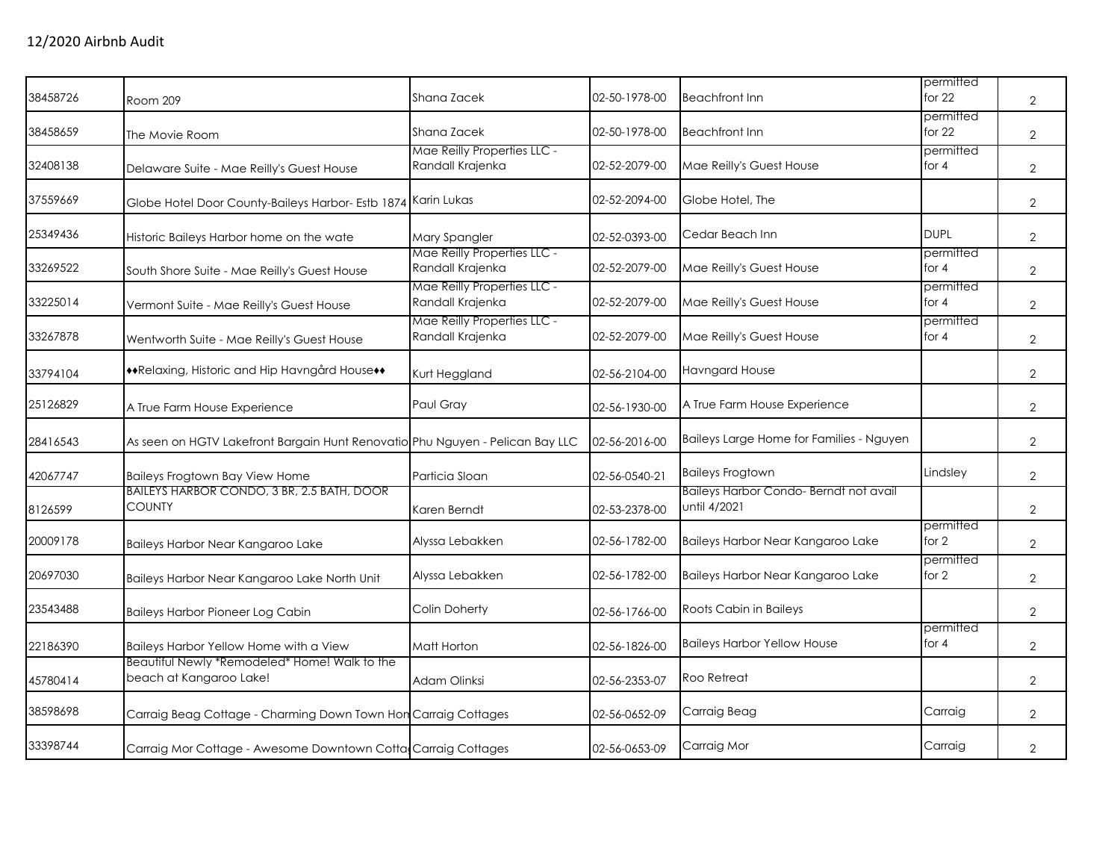| 38458726 | Room 209                                                                      | Shana Zacek                                     | 02-50-1978-00 | <b>Beachfront Inn</b>                                 | permitted<br>for $22$ | $\overline{2}$ |
|----------|-------------------------------------------------------------------------------|-------------------------------------------------|---------------|-------------------------------------------------------|-----------------------|----------------|
| 38458659 | The Movie Room                                                                | Shana Zacek                                     | 02-50-1978-00 | <b>Beachfront Inn</b>                                 | permitted<br>for $22$ | $\overline{2}$ |
| 32408138 | Delaware Suite - Mae Reilly's Guest House                                     | Mae Reilly Properties LLC -<br>Randall Krajenka | 02-52-2079-00 | Mae Reilly's Guest House                              | permitted<br>for 4    | $\sqrt{2}$     |
| 37559669 | Globe Hotel Door County-Baileys Harbor- Estb 1874 Karin Lukas                 |                                                 | 02-52-2094-00 | Globe Hotel, The                                      |                       | $\overline{2}$ |
| 25349436 | Historic Baileys Harbor home on the wate                                      | <b>Mary Spangler</b>                            | 02-52-0393-00 | Cedar Beach Inn                                       | <b>DUPL</b>           | $\overline{2}$ |
| 33269522 | South Shore Suite - Mae Reilly's Guest House                                  | Mae Reilly Properties LLC -<br>Randall Krajenka | 02-52-2079-00 | Mae Reilly's Guest House                              | permitted<br>for $4$  | $\overline{2}$ |
| 33225014 | Vermont Suite - Mae Reilly's Guest House                                      | Mae Reilly Properties LLC -<br>Randall Krajenka | 02-52-2079-00 | Mae Reilly's Guest House                              | permitted<br>for $4$  | $\mathbf{2}$   |
| 33267878 | Wentworth Suite - Mae Reilly's Guest House                                    | Mae Reilly Properties LLC -<br>Randall Krajenka | 02-52-2079-00 | Mae Reilly's Guest House                              | permitted<br>for 4    | $\overline{2}$ |
| 33794104 | **Relaxing, Historic and Hip Havngård House**                                 | Kurt Heggland                                   | 02-56-2104-00 | <b>Havngard House</b>                                 |                       | $\overline{2}$ |
| 25126829 | A True Farm House Experience                                                  | Paul Gray                                       | 02-56-1930-00 | A True Farm House Experience                          |                       | $\overline{2}$ |
| 28416543 | As seen on HGTV Lakefront Bargain Hunt Renovatio Phu Nguyen - Pelican Bay LLC |                                                 | 02-56-2016-00 | Baileys Large Home for Families - Nguyen              |                       | $\overline{2}$ |
| 42067747 | <b>Baileys Frogtown Bay View Home</b>                                         | Particia Sloan                                  | 02-56-0540-21 | <b>Baileys Frogtown</b>                               | Lindsley              | $\overline{2}$ |
| 8126599  | BAILEYS HARBOR CONDO, 3 BR, 2.5 BATH, DOOR<br><b>COUNTY</b>                   | Karen Berndt                                    | 02-53-2378-00 | Baileys Harbor Condo-Berndt not avail<br>until 4/2021 |                       | $\overline{2}$ |
| 20009178 | Baileys Harbor Near Kangaroo Lake                                             | Alyssa Lebakken                                 | 02-56-1782-00 | Baileys Harbor Near Kangaroo Lake                     | permitted<br>for 2    | $\overline{2}$ |
| 20697030 | Baileys Harbor Near Kangaroo Lake North Unit                                  | Alyssa Lebakken                                 | 02-56-1782-00 | Baileys Harbor Near Kangaroo Lake                     | permitted<br>for 2    | $\overline{2}$ |
| 23543488 | <b>Baileys Harbor Pioneer Log Cabin</b>                                       | <b>Colin Doherty</b>                            | 02-56-1766-00 | Roots Cabin in Baileys                                |                       | $\overline{2}$ |
| 22186390 | Baileys Harbor Yellow Home with a View                                        | Matt Horton                                     | 02-56-1826-00 | <b>Baileys Harbor Yellow House</b>                    | permitted<br>for 4    | $\overline{2}$ |
| 45780414 | Beautiful Newly *Remodeled* Home! Walk to the<br>beach at Kangaroo Lake!      | Adam Olinksi                                    | 02-56-2353-07 | Roo Retreat                                           |                       | 2              |
| 38598698 | Carraig Beag Cottage - Charming Down Town Hon Carraig Cottages                |                                                 | 02-56-0652-09 | Carraig Beag                                          | Carraig               | $\overline{2}$ |
| 33398744 | Carraig Mor Cottage - Awesome Downtown Cotta Carraig Cottages                 |                                                 | 02-56-0653-09 | Carraig Mor                                           | Carraig               | $\overline{2}$ |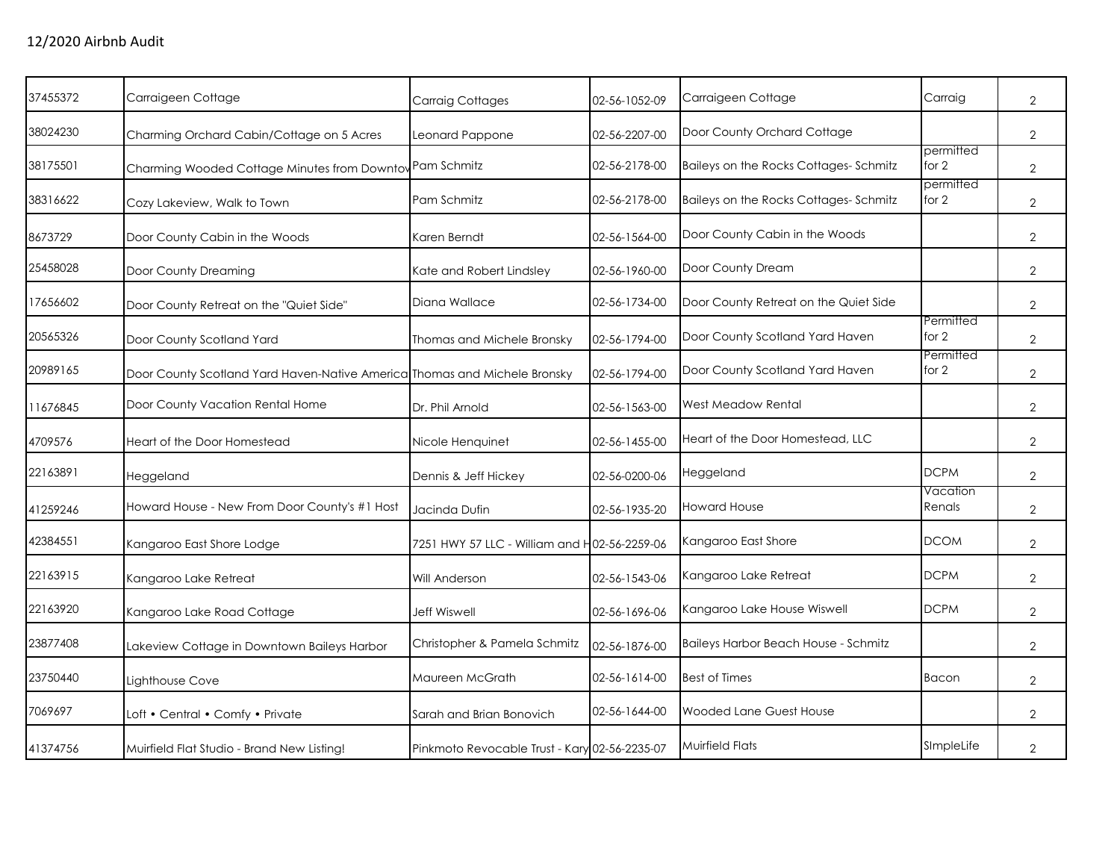| 37455372 | Carraigeen Cottage                                                        | <b>Carraig Cottages</b>                       | 02-56-1052-09 | Carraigeen Cottage                    | Carraig            | $\overline{2}$ |
|----------|---------------------------------------------------------------------------|-----------------------------------------------|---------------|---------------------------------------|--------------------|----------------|
| 38024230 | Charming Orchard Cabin/Cottage on 5 Acres                                 | Leonard Pappone                               | 02-56-2207-00 | Door County Orchard Cottage           |                    | 2              |
| 38175501 | Charming Wooded Cottage Minutes from Downtov Pam Schmitz                  |                                               | 02-56-2178-00 | Baileys on the Rocks Cottages-Schmitz | permitted<br>for 2 | 2              |
| 38316622 | Cozy Lakeview, Walk to Town                                               | Pam Schmitz                                   | 02-56-2178-00 | Baileys on the Rocks Cottages-Schmitz | permitted<br>for 2 | 2              |
| 8673729  | Door County Cabin in the Woods                                            | Karen Berndt                                  | 02-56-1564-00 | Door County Cabin in the Woods        |                    | $\overline{2}$ |
| 25458028 | Door County Dreaming                                                      | Kate and Robert Lindsley                      | 02-56-1960-00 | Door County Dream                     |                    | 2              |
| 17656602 | Door County Retreat on the "Quiet Side"                                   | Diana Wallace                                 | 02-56-1734-00 | Door County Retreat on the Quiet Side |                    | 2              |
| 20565326 | Door County Scotland Yard                                                 | Thomas and Michele Bronsky                    | 02-56-1794-00 | Door County Scotland Yard Haven       | Permitted<br>for 2 | $\overline{2}$ |
| 20989165 | Door County Scotland Yard Haven-Native America Thomas and Michele Bronsky |                                               | 02-56-1794-00 | Door County Scotland Yard Haven       | Permitted<br>for 2 | $\overline{2}$ |
| 11676845 | Door County Vacation Rental Home                                          | Dr. Phil Arnold                               | 02-56-1563-00 | West Meadow Rental                    |                    | $\mathbf{2}$   |
| 4709576  | Heart of the Door Homestead                                               | Nicole Henquinet                              | 02-56-1455-00 | Heart of the Door Homestead, LLC      |                    | 2              |
| 22163891 | Heggeland                                                                 | Dennis & Jeff Hickey                          | 02-56-0200-06 | Heggeland                             | <b>DCPM</b>        | $\overline{2}$ |
| 41259246 | Howard House - New From Door County's #1 Host                             | Jacinda Dufin                                 | 02-56-1935-20 | <b>Howard House</b>                   | Vacation<br>Renals | $\overline{2}$ |
| 42384551 | Kangaroo East Shore Lodge                                                 | 7251 HWY 57 LLC - William and H02-56-2259-06  |               | Kangaroo East Shore                   | <b>DCOM</b>        | 2              |
| 22163915 | Kangaroo Lake Retreat                                                     | Will Anderson                                 | 02-56-1543-06 | Kangaroo Lake Retreat                 | <b>DCPM</b>        | $\overline{2}$ |
| 22163920 | Kangaroo Lake Road Cottage                                                | <b>Jeff Wiswell</b>                           | 02-56-1696-06 | Kangaroo Lake House Wiswell           | <b>DCPM</b>        | $\overline{2}$ |
| 23877408 | Lakeview Cottage in Downtown Baileys Harbor                               | Christopher & Pamela Schmitz                  | 02-56-1876-00 | Baileys Harbor Beach House - Schmitz  |                    | $\overline{2}$ |
| 23750440 | Lighthouse Cove                                                           | Maureen McGrath                               | 02-56-1614-00 | <b>Best of Times</b>                  | Bacon              | 2              |
| 7069697  | Loft • Central • Comfy • Private                                          | Sarah and Brian Bonovich                      | 02-56-1644-00 | Wooded Lane Guest House               |                    | 2              |
| 41374756 | Muirfield Flat Studio - Brand New Listing!                                | Pinkmoto Revocable Trust - Kary 02-56-2235-07 |               | <b>Muirfield Flats</b>                | SImpleLife         | 2              |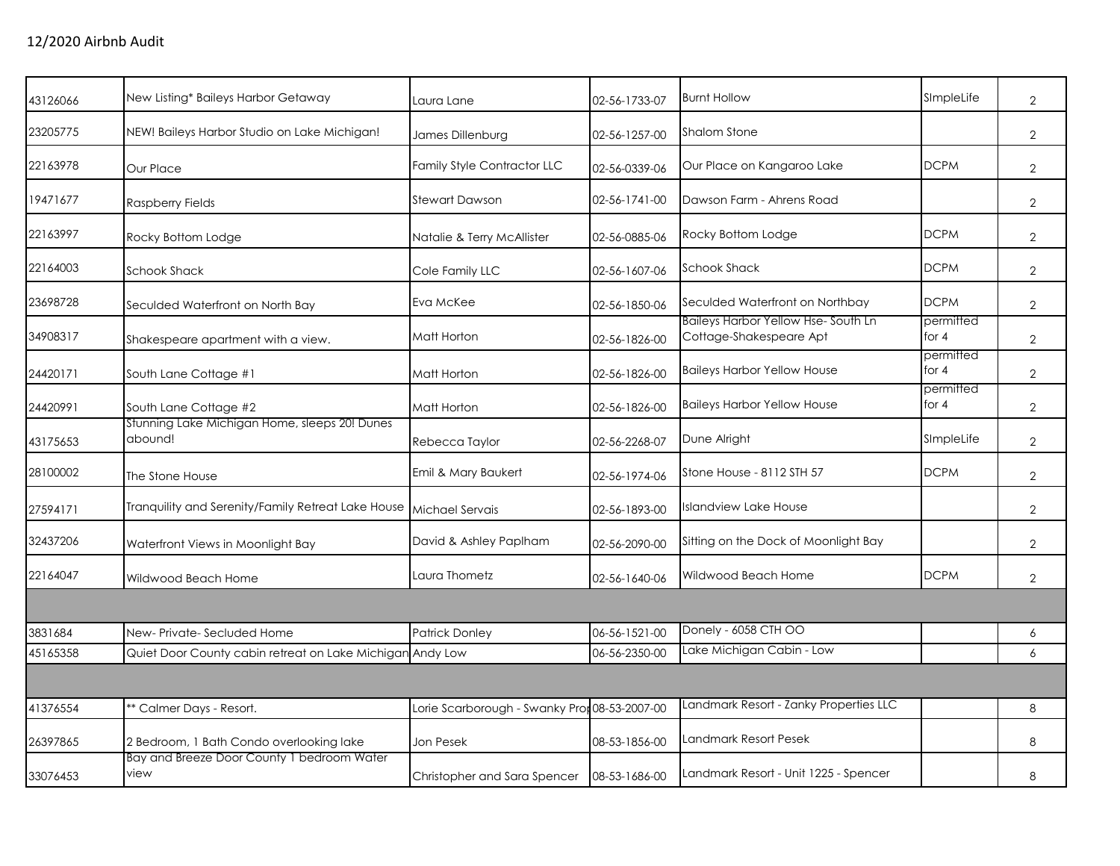| 43126066 | New Listing* Baileys Harbor Getaway                       | Laura Lane                                    | 02-56-1733-07 | <b>Burnt Hollow</b>                                                  | SImpleLife           | $\overline{2}$ |
|----------|-----------------------------------------------------------|-----------------------------------------------|---------------|----------------------------------------------------------------------|----------------------|----------------|
| 23205775 | NEW! Baileys Harbor Studio on Lake Michigan!              | James Dillenburg                              | 02-56-1257-00 | <b>Shalom Stone</b>                                                  |                      | $\overline{2}$ |
| 22163978 | Our Place                                                 | <b>Family Style Contractor LLC</b>            | 02-56-0339-06 | Our Place on Kangaroo Lake                                           | <b>DCPM</b>          | $\overline{2}$ |
| 19471677 | Raspberry Fields                                          | <b>Stewart Dawson</b>                         | 02-56-1741-00 | Dawson Farm - Ahrens Road                                            |                      | $\overline{2}$ |
| 22163997 | Rocky Bottom Lodge                                        | Natalie & Terry McAllister                    | 02-56-0885-06 | Rocky Bottom Lodge                                                   | <b>DCPM</b>          | $\overline{2}$ |
| 22164003 | <b>Schook Shack</b>                                       | Cole Family LLC                               | 02-56-1607-06 | <b>Schook Shack</b>                                                  | <b>DCPM</b>          | $\overline{2}$ |
| 23698728 | Seculded Waterfront on North Bay                          | Eva McKee                                     | 02-56-1850-06 | Seculded Waterfront on Northbay                                      | <b>DCPM</b>          | $\overline{2}$ |
| 34908317 | Shakespeare apartment with a view.                        | Matt Horton                                   | 02-56-1826-00 | <b>Baileys Harbor Yellow Hse-South Ln</b><br>Cottage-Shakespeare Apt | permitted<br>for $4$ | $\overline{2}$ |
| 24420171 | South Lane Cottage #1                                     | Matt Horton                                   | 02-56-1826-00 | <b>Baileys Harbor Yellow House</b>                                   | permitted<br>for $4$ | $\overline{2}$ |
| 24420991 | South Lane Cottage #2                                     | Matt Horton                                   | 02-56-1826-00 | <b>Baileys Harbor Yellow House</b>                                   | permitted<br>for $4$ | $\overline{2}$ |
| 43175653 | Stunning Lake Michigan Home, sleeps 20! Dunes<br>abound!  | Rebecca Taylor                                | 02-56-2268-07 | Dune Alright                                                         | SImpleLife           | $\overline{2}$ |
| 28100002 | The Stone House                                           | Emil & Mary Baukert                           | 02-56-1974-06 | Stone House - 8112 STH 57                                            | <b>DCPM</b>          | $\overline{2}$ |
| 27594171 | Tranquility and Serenity/Family Retreat Lake House        | Michael Servais                               | 02-56-1893-00 | Islandview Lake House                                                |                      | $\overline{2}$ |
| 32437206 | Waterfront Views in Moonlight Bay                         | David & Ashley Paplham                        | 02-56-2090-00 | Sitting on the Dock of Moonlight Bay                                 |                      | $\overline{2}$ |
| 22164047 | Wildwood Beach Home                                       | Laura Thometz                                 | 02-56-1640-06 | Wildwood Beach Home                                                  | <b>DCPM</b>          | $\overline{2}$ |
|          |                                                           |                                               |               |                                                                      |                      |                |
| 3831684  | New-Private-Secluded Home                                 | <b>Patrick Donley</b>                         | 06-56-1521-00 | Donely - 6058 CTH OO                                                 |                      | 6              |
| 45165358 | Quiet Door County cabin retreat on Lake Michigan Andy Low |                                               | 06-56-2350-00 | Lake Michigan Cabin - Low                                            |                      | 6              |
|          |                                                           |                                               |               |                                                                      |                      |                |
| 41376554 | ** Calmer Days - Resort.                                  | Lorie Scarborough - Swanky Pror 08-53-2007-00 |               | Landmark Resort - Zanky Properties LLC                               |                      | 8              |
| 26397865 | 2 Bedroom, 1 Bath Condo overlooking lake                  | Jon Pesek                                     | 08-53-1856-00 | Landmark Resort Pesek                                                |                      | 8              |
| 33076453 | Bay and Breeze Door County 1 bedroom Water<br>view        | Christopher and Sara Spencer                  | 08-53-1686-00 | Landmark Resort - Unit 1225 - Spencer                                |                      | 8              |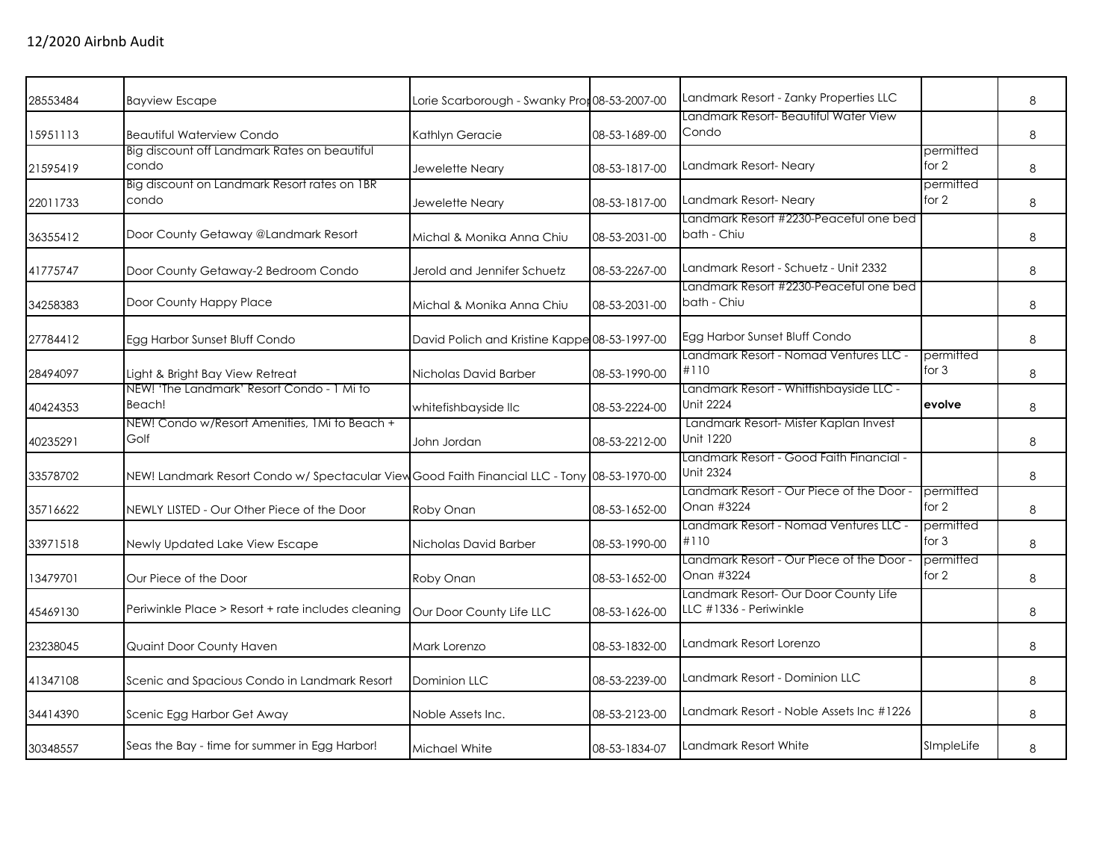| 28553484 | <b>Bayview Escape</b>                                                                        | Lorie Scarborough - Swanky Pror 08-53-2007-00 |               | Landmark Resort - Zanky Properties LLC<br>Landmark Resort- Beautiful Water View |                      | 8       |
|----------|----------------------------------------------------------------------------------------------|-----------------------------------------------|---------------|---------------------------------------------------------------------------------|----------------------|---------|
| 15951113 | <b>Beautiful Waterview Condo</b>                                                             | Kathlyn Geracie                               | 08-53-1689-00 | Condo                                                                           |                      | 8       |
|          | Big discount off Landmark Rates on beautiful                                                 |                                               |               |                                                                                 | permitted            |         |
| 21595419 | condo                                                                                        | Jewelette Neary                               | 08-53-1817-00 | Landmark Resort- Neary                                                          | for 2                | 8       |
| 22011733 | Big discount on Landmark Resort rates on 1BR<br>condo                                        | Jewelette Neary                               | 08-53-1817-00 | Landmark Resort-Neary                                                           | permitted<br>for 2   | 8       |
| 36355412 | Door County Getaway @Landmark Resort                                                         | Michal & Monika Anna Chiu                     | 08-53-2031-00 | Landmark Resort #2230-Peaceful one bed<br>bath - Chiu                           |                      | 8       |
| 41775747 | Door County Getaway-2 Bedroom Condo                                                          | Jerold and Jennifer Schuetz                   | 08-53-2267-00 | Landmark Resort - Schuetz - Unit 2332                                           |                      | 8       |
| 34258383 | Door County Happy Place                                                                      | Michal & Monika Anna Chiu                     | 08-53-2031-00 | Landmark Resort #2230-Peaceful one bed<br>bath - Chiu                           |                      | $\,8\,$ |
| 27784412 | Egg Harbor Sunset Bluff Condo                                                                | David Polich and Kristine Kappe 08-53-1997-00 |               | Egg Harbor Sunset Bluff Condo                                                   |                      | 8       |
| 28494097 | Light & Bright Bay View Retreat                                                              | Nicholas David Barber                         | 08-53-1990-00 | Landmark Resort - Nomad Ventures LLC -<br>#110                                  | permitted<br>for $3$ | 8       |
| 40424353 | NEW! 'The Landmark' Resort Condo - 1 Mi to<br>Beach!                                         | whitefishbayside llc                          | 08-53-2224-00 | Landmark Resort - Whitfishbayside LLC -<br><b>Unit 2224</b>                     | evolve               | 8       |
| 40235291 | NEW! Condo w/Resort Amenities, 1Mi to Beach +<br>Golf                                        | John Jordan                                   | 08-53-2212-00 | Landmark Resort- Mister Kaplan Invest<br>Unit 1220                              |                      | 8       |
| 33578702 | NEW! Landmark Resort Condo w/ Spectacular View Good Faith Financial LLC - Tony 08-53-1970-00 |                                               |               | Landmark Resort - Good Faith Financial -<br><b>Unit 2324</b>                    |                      | 8       |
| 35716622 | NEWLY LISTED - Our Other Piece of the Door                                                   | Roby Onan                                     | 08-53-1652-00 | Landmark Resort - Our Piece of the Door -<br>Onan #3224                         | permitted<br>for 2   | 8       |
| 33971518 | Newly Updated Lake View Escape                                                               | Nicholas David Barber                         | 08-53-1990-00 | Landmark Resort - Nomad Ventures LLC -<br>#110                                  | permitted<br>for $3$ | 8       |
| 13479701 | Our Piece of the Door                                                                        | Roby Onan                                     | 08-53-1652-00 | Landmark Resort - Our Piece of the Door -<br>Onan #3224                         | permitted<br>for 2   | 8       |
| 45469130 | Periwinkle Place > Resort + rate includes cleaning                                           | Our Door County Life LLC                      | 08-53-1626-00 | Landmark Resort- Our Door County Life<br>LLC #1336 - Periwinkle                 |                      | 8       |
| 23238045 | Quaint Door County Haven                                                                     | Mark Lorenzo                                  | 08-53-1832-00 | Landmark Resort Lorenzo                                                         |                      | 8       |
| 41347108 | Scenic and Spacious Condo in Landmark Resort                                                 | <b>Dominion LLC</b>                           | 08-53-2239-00 | Landmark Resort - Dominion LLC                                                  |                      | 8       |
| 34414390 | Scenic Egg Harbor Get Away                                                                   | Noble Assets Inc.                             | 08-53-2123-00 | Landmark Resort - Noble Assets Inc #1226                                        |                      | 8       |
| 30348557 | Seas the Bay - time for summer in Egg Harbor!                                                | Michael White                                 | 08-53-1834-07 | Landmark Resort White                                                           | SImpleLife           | 8       |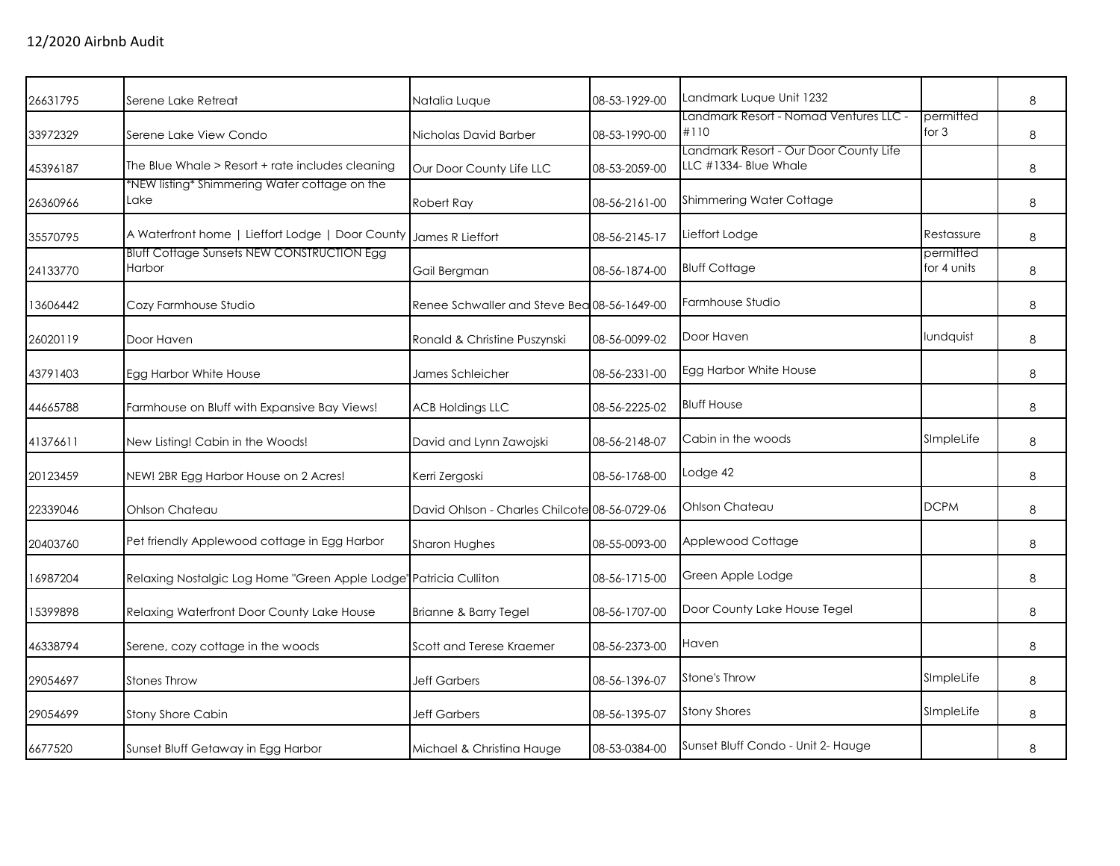| Serene Lake Retreat                              | Natalia Lugue                                                                                      | 08-53-1929-00                                                                                                                          | Landmark Luque Unit 1232                                                                     |                                                                                  | $\,8\,$ |
|--------------------------------------------------|----------------------------------------------------------------------------------------------------|----------------------------------------------------------------------------------------------------------------------------------------|----------------------------------------------------------------------------------------------|----------------------------------------------------------------------------------|---------|
| Serene Lake View Condo                           | Nicholas David Barber                                                                              | 08-53-1990-00                                                                                                                          | #110                                                                                         | permitted<br>for $3$                                                             | 8       |
| The Blue Whale > Resort + rate includes cleaning | Our Door County Life LLC                                                                           | 08-53-2059-00                                                                                                                          | LLC #1334- Blue Whale                                                                        |                                                                                  | 8       |
| Lake                                             | Robert Ray                                                                                         | 08-56-2161-00                                                                                                                          | Shimmering Water Cottage                                                                     |                                                                                  | 8       |
|                                                  |                                                                                                    | 08-56-2145-17                                                                                                                          | Lieffort Lodge                                                                               | Restassure                                                                       | 8       |
| Harbor                                           | Gail Bergman                                                                                       | 08-56-1874-00                                                                                                                          | <b>Bluff Cottage</b>                                                                         | permitted<br>for 4 units                                                         | 8       |
| Cozy Farmhouse Studio                            |                                                                                                    |                                                                                                                                        | Farmhouse Studio                                                                             |                                                                                  | 8       |
| Door Haven                                       | Ronald & Christine Puszynski                                                                       | 08-56-0099-02                                                                                                                          | Door Haven                                                                                   | lundquist                                                                        | 8       |
| Egg Harbor White House                           | James Schleicher                                                                                   | 08-56-2331-00                                                                                                                          | Egg Harbor White House                                                                       |                                                                                  | 8       |
| Farmhouse on Bluff with Expansive Bay Views!     | <b>ACB Holdings LLC</b>                                                                            | 08-56-2225-02                                                                                                                          | <b>Bluff House</b>                                                                           |                                                                                  | 8       |
| New Listing! Cabin in the Woods!                 | David and Lynn Zawojski                                                                            | 08-56-2148-07                                                                                                                          | Cabin in the woods                                                                           | SImpleLife                                                                       | 8       |
| NEW! 2BR Egg Harbor House on 2 Acres!            | Kerri Zergoski                                                                                     | 08-56-1768-00                                                                                                                          | Lodge 42                                                                                     |                                                                                  | 8       |
| Ohlson Chateau                                   |                                                                                                    |                                                                                                                                        | Ohlson Chateau                                                                               | <b>DCPM</b>                                                                      | 8       |
| Pet friendly Applewood cottage in Egg Harbor     | Sharon Hughes                                                                                      | 08-55-0093-00                                                                                                                          | Applewood Cottage                                                                            |                                                                                  | 8       |
|                                                  |                                                                                                    | 08-56-1715-00                                                                                                                          | Green Apple Lodge                                                                            |                                                                                  | 8       |
| Relaxing Waterfront Door County Lake House       | Brianne & Barry Tegel                                                                              | 08-56-1707-00                                                                                                                          | Door County Lake House Tegel                                                                 |                                                                                  | 8       |
| Serene, cozy cottage in the woods                | Scott and Terese Kraemer                                                                           | 08-56-2373-00                                                                                                                          | Haven                                                                                        |                                                                                  | 8       |
| <b>Stones Throw</b>                              | <b>Jeff Garbers</b>                                                                                | 08-56-1396-07                                                                                                                          | <b>Stone's Throw</b>                                                                         | SImpleLife                                                                       | 8       |
| Stony Shore Cabin                                | <b>Jeff Garbers</b>                                                                                | 08-56-1395-07                                                                                                                          | <b>Stony Shores</b>                                                                          | SImpleLife                                                                       | 8       |
| Sunset Bluff Getaway in Egg Harbor               | Michael & Christina Hauge                                                                          | 08-53-0384-00                                                                                                                          | Sunset Bluff Condo - Unit 2- Hauge                                                           |                                                                                  | 8       |
|                                                  | *NEW listing* Shimmering Water cottage on the<br><b>Bluff Cottage Sunsets NEW CONSTRUCTION Egg</b> | A Waterfront home   Lieffort Lodge   Door County James R Lieffort<br>Relaxing Nostalgic Log Home "Green Apple Lodge" Patricia Culliton | Renee Schwaller and Steve Bea 08-56-1649-00<br>David Ohlson - Charles Chilcote 08-56-0729-06 | Landmark Resort - Nomad Ventures LLC -<br>Landmark Resort - Our Door County Life |         |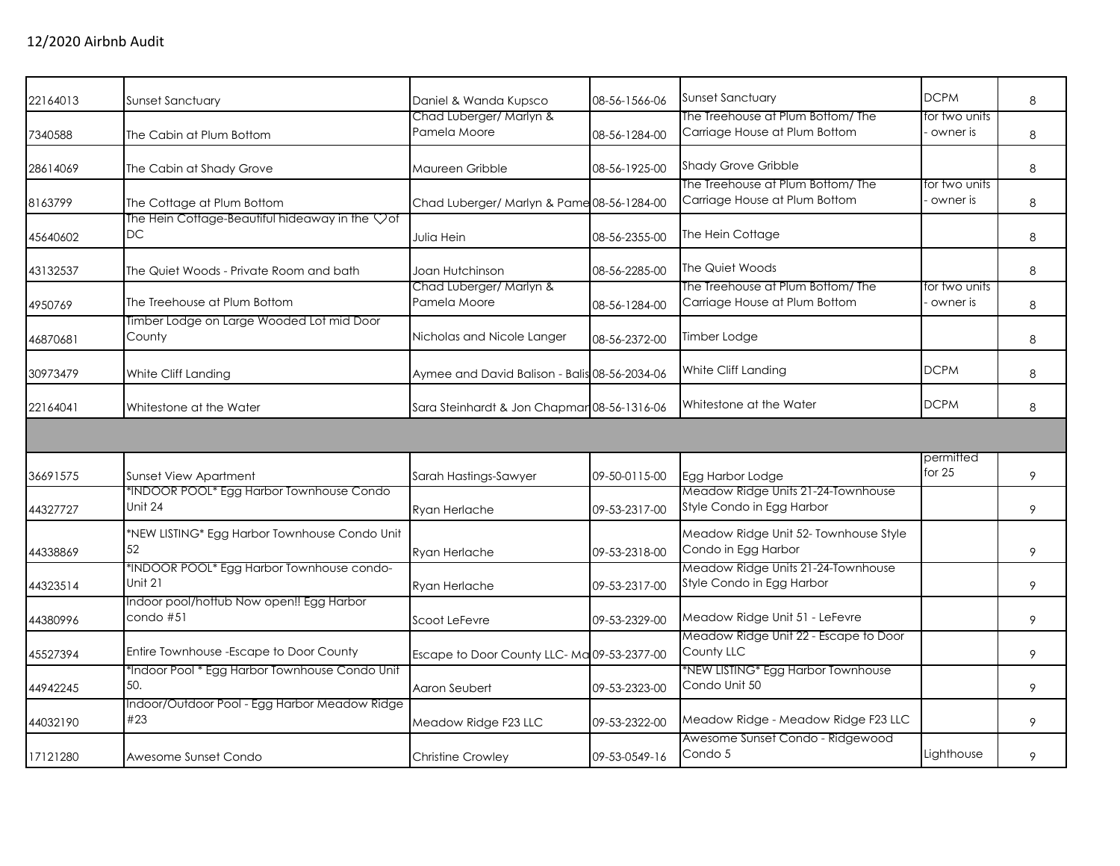| 22164013 | Sunset Sanctuary                                      | Daniel & Wanda Kupsco                         | 08-56-1566-06 | <b>Sunset Sanctuary</b>                                            | <b>DCPM</b>               | 8 |
|----------|-------------------------------------------------------|-----------------------------------------------|---------------|--------------------------------------------------------------------|---------------------------|---|
| 7340588  | The Cabin at Plum Bottom                              | Chad Luberger/ Marlyn &<br>Pamela Moore       | 08-56-1284-00 | The Treehouse at Plum Bottom/ The<br>Carriage House at Plum Bottom | for two units<br>owner is | 8 |
| 28614069 | The Cabin at Shady Grove                              | Maureen Gribble                               | 08-56-1925-00 | <b>Shady Grove Gribble</b><br>The Treehouse at Plum Bottom/The     | for two units             | 8 |
| 8163799  | The Cottage at Plum Bottom                            | Chad Luberger/ Marlyn & Pame 08-56-1284-00    |               | Carriage House at Plum Bottom                                      | owner is                  | 8 |
| 45640602 | The Hein Cottage-Beautiful hideaway in the Vof<br>DC  | Julia Hein                                    | 08-56-2355-00 | The Hein Cottage                                                   |                           | 8 |
| 43132537 | The Quiet Woods - Private Room and bath               | Joan Hutchinson                               | 08-56-2285-00 | The Quiet Woods                                                    |                           | 8 |
| 4950769  | The Treehouse at Plum Bottom                          | Chad Luberger/ Marlyn &<br>Pamela Moore       | 08-56-1284-00 | The Treehouse at Plum Bottom/ The<br>Carriage House at Plum Bottom | for two units<br>owner is | 8 |
| 46870681 | Timber Lodge on Large Wooded Lot mid Door<br>County   | Nicholas and Nicole Langer                    | 08-56-2372-00 | Timber Lodge                                                       |                           | 8 |
| 30973479 | White Cliff Landing                                   | Aymee and David Balison - Balis 08-56-2034-06 |               | White Cliff Landing                                                | <b>DCPM</b>               | 8 |
| 22164041 | Whitestone at the Water                               | Sara Steinhardt & Jon Chapmar 08-56-1316-06   |               | Whitestone at the Water                                            | <b>DCPM</b>               | 8 |
|          |                                                       |                                               |               |                                                                    |                           |   |
| 36691575 | <b>Sunset View Apartment</b>                          | Sarah Hastings-Sawyer                         | 09-50-0115-00 | Egg Harbor Lodge                                                   | permitted<br>for $25$     | 9 |
| 44327727 | *INDOOR POOL* Egg Harbor Townhouse Condo<br>Unit 24   | Ryan Herlache                                 | 09-53-2317-00 | Meadow Ridge Units 21-24-Townhouse<br>Style Condo in Egg Harbor    |                           | 9 |
| 44338869 | *NEW LISTING* Egg Harbor Townhouse Condo Unit<br>52   | Ryan Herlache                                 | 09-53-2318-00 | Meadow Ridge Unit 52- Townhouse Style<br>Condo in Egg Harbor       |                           | 9 |
| 44323514 | *INDOOR POOL* Egg Harbor Townhouse condo-<br>Unit 21  | Ryan Herlache                                 | 09-53-2317-00 | Meadow Ridge Units 21-24-Townhouse<br>Style Condo in Egg Harbor    |                           | 9 |
| 44380996 | Indoor pool/hottub Now open!! Egg Harbor<br>condo #51 | Scoot LeFevre                                 | 09-53-2329-00 | Meadow Ridge Unit 51 - LeFevre                                     |                           | 9 |
| 45527394 | Entire Townhouse - Escape to Door County              | Escape to Door County LLC-Ma 09-53-2377-00    |               | Meadow Ridge Unit 22 - Escape to Door<br>County LLC                |                           | 9 |
| 44942245 | *Indoor Pool * Egg Harbor Townhouse Condo Unit<br>50. | Aaron Seubert                                 | 09-53-2323-00 | *NEW LISTING* Egg Harbor Townhouse<br>Condo Unit 50                |                           | 9 |
| 44032190 | Indoor/Outdoor Pool - Egg Harbor Meadow Ridge<br>#23  | Meadow Ridge F23 LLC                          | 09-53-2322-00 | Meadow Ridge - Meadow Ridge F23 LLC                                |                           | 9 |
| 17121280 | Awesome Sunset Condo                                  | <b>Christine Crowley</b>                      | 09-53-0549-16 | Awesome Sunset Condo - Ridgewood<br>Condo 5                        | Lighthouse                | 9 |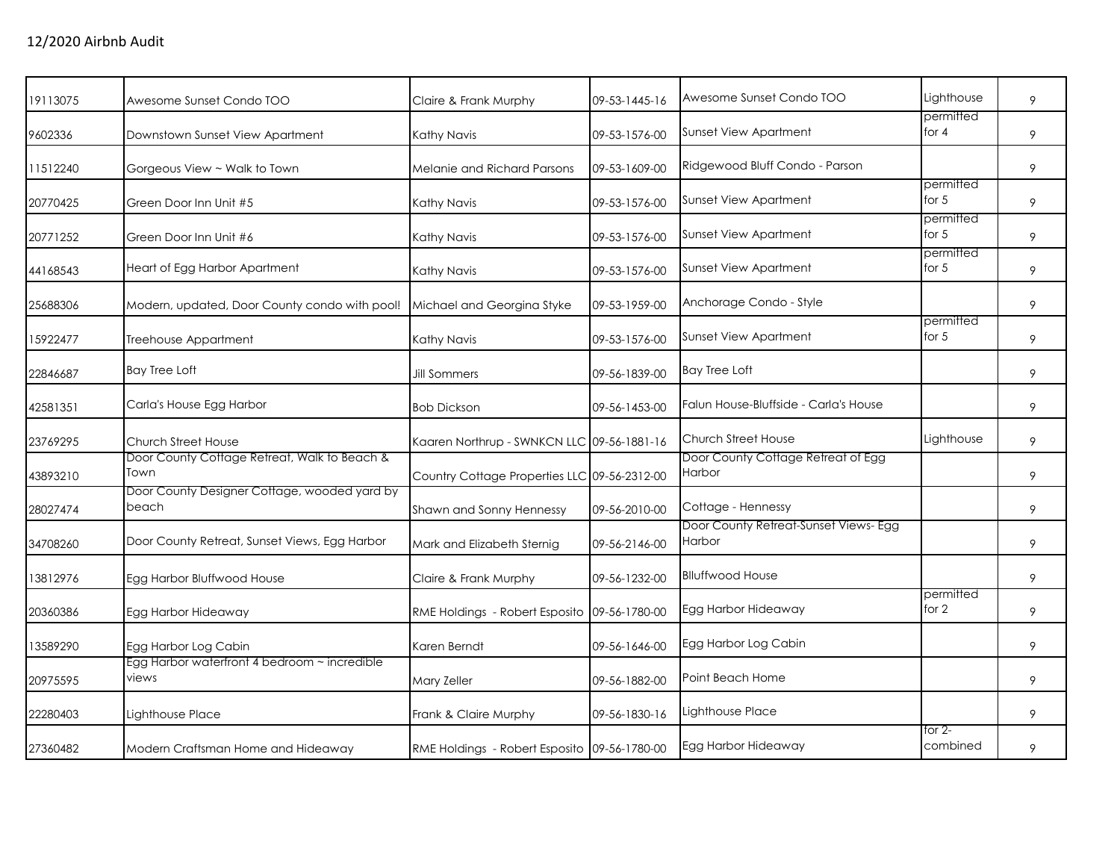| 19113075 | Awesome Sunset Condo TOO                              | Claire & Frank Murphy                        | 09-53-1445-16 | Awesome Sunset Condo TOO                        | Lighthouse           | 9 |
|----------|-------------------------------------------------------|----------------------------------------------|---------------|-------------------------------------------------|----------------------|---|
| 9602336  | Downstown Sunset View Apartment                       | Kathy Navis                                  | 09-53-1576-00 | <b>Sunset View Apartment</b>                    | permitted<br>for $4$ | 9 |
| 11512240 | Gorgeous View ~ Walk to Town                          | Melanie and Richard Parsons                  | 09-53-1609-00 | Ridgewood Bluff Condo - Parson                  |                      | 9 |
| 20770425 | Green Door Inn Unit #5                                | Kathy Navis                                  | 09-53-1576-00 | <b>Sunset View Apartment</b>                    | permitted<br>for $5$ | 9 |
| 20771252 | Green Door Inn Unit #6                                | Kathy Navis                                  | 09-53-1576-00 | Sunset View Apartment                           | permitted<br>for $5$ | 9 |
| 44168543 | Heart of Egg Harbor Apartment                         | Kathy Navis                                  | 09-53-1576-00 | Sunset View Apartment                           | permitted<br>for $5$ | 9 |
| 25688306 | Modern, updated, Door County condo with pool!         | Michael and Georgina Styke                   | 09-53-1959-00 | Anchorage Condo - Style                         |                      | 9 |
| 15922477 | Treehouse Appartment                                  | Kathy Navis                                  | 09-53-1576-00 | <b>Sunset View Apartment</b>                    | permitted<br>for 5   | 9 |
| 22846687 | <b>Bay Tree Loft</b>                                  | <b>Jill Sommers</b>                          | 09-56-1839-00 | <b>Bay Tree Loft</b>                            |                      | 9 |
| 42581351 | Carla's House Egg Harbor                              | <b>Bob Dickson</b>                           | 09-56-1453-00 | Falun House-Bluffside - Carla's House           |                      | 9 |
| 23769295 | Church Street House                                   | Kaaren Northrup - SWNKCN LLC 09-56-1881-16   |               | <b>Church Street House</b>                      | Lighthouse           | 9 |
| 43893210 | Door County Cottage Retreat, Walk to Beach &<br>Town  | Country Cottage Properties LLC 09-56-2312-00 |               | Door County Cottage Retreat of Egg<br>Harbor    |                      | 9 |
| 28027474 | Door County Designer Cottage, wooded yard by<br>beach | Shawn and Sonny Hennessy                     | 09-56-2010-00 | Cottage - Hennessy                              |                      | 9 |
| 34708260 | Door County Retreat, Sunset Views, Egg Harbor         | Mark and Elizabeth Sternig                   | 09-56-2146-00 | Door County Retreat-Sunset Views- Egg<br>Harbor |                      | 9 |
| 13812976 | Egg Harbor Bluffwood House                            | Claire & Frank Murphy                        | 09-56-1232-00 | <b>Blluffwood House</b>                         |                      | 9 |
| 20360386 | Egg Harbor Hideaway                                   | RME Holdings - Robert Esposito 09-56-1780-00 |               | Egg Harbor Hideaway                             | permitted<br>for 2   | 9 |
| 13589290 | Egg Harbor Log Cabin                                  | Karen Berndt                                 | 09-56-1646-00 | Egg Harbor Log Cabin                            |                      | 9 |
| 20975595 | Egg Harbor waterfront 4 bedroom ~ incredible<br>views | Mary Zeller                                  | 09-56-1882-00 | Point Beach Home                                |                      | 9 |
| 22280403 | Lighthouse Place                                      | Frank & Claire Murphy                        | 09-56-1830-16 | Lighthouse Place                                |                      | 9 |
| 27360482 | Modern Craftsman Home and Hideaway                    | RME Holdings - Robert Esposito 09-56-1780-00 |               | Egg Harbor Hideaway                             | for 2-<br>combined   | 9 |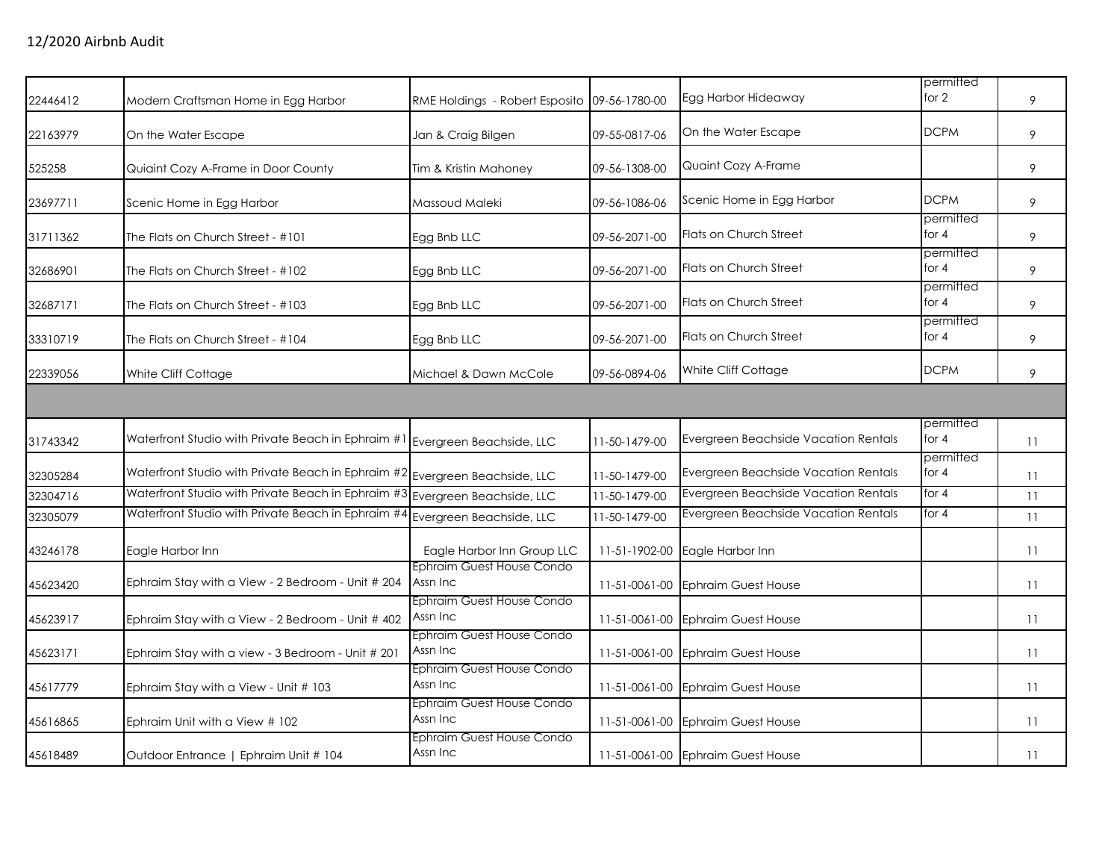| 22446412 | Modern Craftsman Home in Egg Harbor                                            | RME Holdings - Robert Esposito        | 09-56-1780-00 | Egg Harbor Hideaway                  | permitted<br>for 2   | 9  |
|----------|--------------------------------------------------------------------------------|---------------------------------------|---------------|--------------------------------------|----------------------|----|
| 22163979 | On the Water Escape                                                            | Jan & Craig Bilgen                    | 09-55-0817-06 | On the Water Escape                  | <b>DCPM</b>          | 9  |
| 525258   | Quiaint Cozy A-Frame in Door County                                            | Tim & Kristin Mahoney                 | 09-56-1308-00 | Quaint Cozy A-Frame                  |                      | 9  |
| 23697711 | Scenic Home in Egg Harbor                                                      | Massoud Maleki                        | 09-56-1086-06 | Scenic Home in Egg Harbor            | <b>DCPM</b>          | 9  |
| 31711362 | The Flats on Church Street - #101                                              | Egg Bnb LLC                           | 09-56-2071-00 | Flats on Church Street               | permitted<br>for $4$ | 9  |
| 32686901 | The Flats on Church Street - #102                                              | Egg Bnb LLC                           | 09-56-2071-00 | <b>Flats on Church Street</b>        | permitted<br>for $4$ | 9  |
| 32687171 | The Flats on Church Street - #103                                              | Egg Bnb LLC                           | 09-56-2071-00 | Flats on Church Street               | permitted<br>for $4$ | 9  |
| 33310719 | The Flats on Church Street - #104                                              | Egg Bnb LLC                           | 09-56-2071-00 | <b>Flats on Church Street</b>        | permitted<br>for 4   | 9  |
| 22339056 | White Cliff Cottage                                                            | Michael & Dawn McCole                 | 09-56-0894-06 | White Cliff Cottage                  | <b>DCPM</b>          | 9  |
|          |                                                                                |                                       |               |                                      |                      |    |
| 31743342 | Waterfront Studio with Private Beach in Ephraim $\#1$ Evergreen Beachside, LLC |                                       | 11-50-1479-00 | Evergreen Beachside Vacation Rentals | permitted<br>for $4$ | 11 |
| 32305284 | Waterfront Studio with Private Beach in Ephraim #2 Evergreen Beachside, LLC    |                                       | 11-50-1479-00 | Evergreen Beachside Vacation Rentals | permitted<br>for $4$ | 11 |
| 32304716 | Waterfront Studio with Private Beach in Ephraim #3                             | Evergreen Beachside, LLC              | 11-50-1479-00 | Evergreen Beachside Vacation Rentals | for $4$              | 11 |
| 32305079 | Waterfront Studio with Private Beach in Ephraim #4                             | Evergreen Beachside, LLC              | 11-50-1479-00 | Evergreen Beachside Vacation Rentals | for 4                | 11 |
| 43246178 | Eagle Harbor Inn                                                               | Eagle Harbor Inn Group LLC            | 11-51-1902-00 | Eagle Harbor Inn                     |                      | 11 |
| 45623420 | Ephraim Stay with a View - 2 Bedroom - Unit # 204                              | Ephraim Guest House Condo<br>Assn Inc | 11-51-0061-00 | <b>Ephraim Guest House</b>           |                      | 11 |
| 45623917 | Ephraim Stay with a View - 2 Bedroom - Unit # 402                              | Ephraim Guest House Condo<br>Assn Inc | 11-51-0061-00 | <b>Ephraim Guest House</b>           |                      | 11 |
| 45623171 | Ephraim Stay with a view - 3 Bedroom - Unit # 201                              | Ephraim Guest House Condo<br>Assn Inc | 11-51-0061-00 | <b>Ephraim Guest House</b>           |                      | 11 |
| 45617779 | Ephraim Stay with a View - Unit # 103                                          | Ephraim Guest House Condo<br>Assn Inc | 11-51-0061-00 | <b>Ephraim Guest House</b>           |                      | 11 |
| 45616865 | Ephraim Unit with a View # 102                                                 | Ephraim Guest House Condo<br>Assn Inc | 11-51-0061-00 | <b>Ephraim Guest House</b>           |                      | 11 |
| 45618489 | Outdoor Entrance   Ephraim Unit # 104                                          | Ephraim Guest House Condo<br>Assn Inc |               | 11-51-0061-00 Ephraim Guest House    |                      | 11 |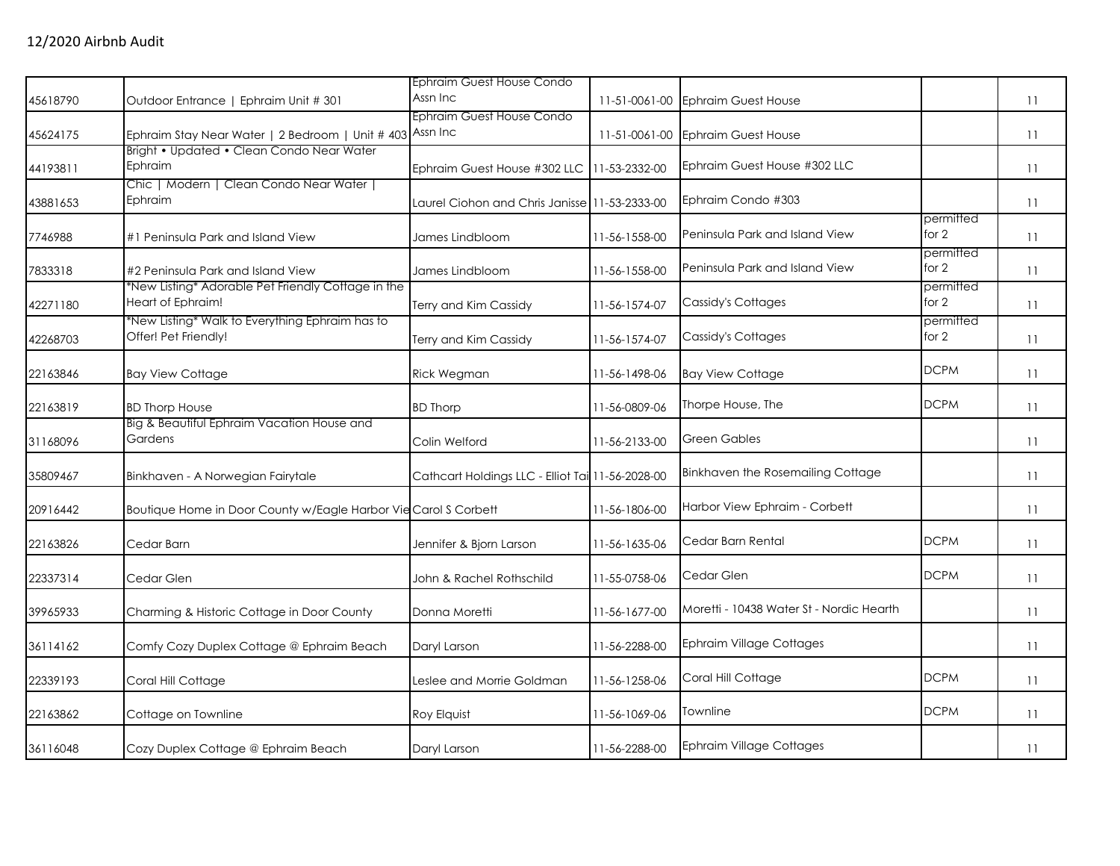|          |                                                                         | Ephraim Guest House Condo                        |               |                                          |                      |    |
|----------|-------------------------------------------------------------------------|--------------------------------------------------|---------------|------------------------------------------|----------------------|----|
| 45618790 | Outdoor Entrance   Ephraim Unit # 301                                   | Assn Inc                                         | 11-51-0061-00 | <b>Ephraim Guest House</b>               |                      | 11 |
| 45624175 | Ephraim Stay Near Water   2 Bedroom   Unit # 403                        | Ephraim Guest House Condo<br>Assn Inc            | 11-51-0061-00 | <b>Ephraim Guest House</b>               |                      | 11 |
| 44193811 | Bright • Updated • Clean Condo Near Water<br>Ephraim                    | Ephraim Guest House #302 LLC                     | 11-53-2332-00 | Ephraim Guest House #302 LLC             |                      | 11 |
| 43881653 | Chic   Modern   Clean Condo Near Water  <br>Ephraim                     | Laurel Ciohon and Chris Janisse 11-53-2333-00    |               | Ephraim Condo #303                       |                      | 11 |
| 7746988  | #1 Peninsula Park and Island View                                       | James Lindbloom                                  | 11-56-1558-00 | Peninsula Park and Island View           | permitted<br>for $2$ | 11 |
| 7833318  | #2 Peninsula Park and Island View                                       | James Lindbloom                                  | 11-56-1558-00 | Peninsula Park and Island View           | permitted<br>for 2   | 11 |
| 42271180 | *New Listing* Adorable Pet Friendly Cottage in the<br>Heart of Ephraim! | Terry and Kim Cassidy                            | 11-56-1574-07 | Cassidy's Cottages                       | permitted<br>for 2   | 11 |
| 42268703 | *New Listing* Walk to Everything Ephraim has to<br>Offer! Pet Friendly! | Terry and Kim Cassidy                            | 11-56-1574-07 | Cassidy's Cottages                       | permitted<br>for 2   | 11 |
| 22163846 | <b>Bay View Cottage</b>                                                 | Rick Wegman                                      | 11-56-1498-06 | <b>Bay View Cottage</b>                  | <b>DCPM</b>          | 11 |
| 22163819 | <b>BD Thorp House</b>                                                   | <b>BD Thorp</b>                                  | 11-56-0809-06 | Thorpe House, The                        | <b>DCPM</b>          | 11 |
| 31168096 | Big & Beautiful Ephraim Vacation House and<br>Gardens                   | Colin Welford                                    | 11-56-2133-00 | Green Gables                             |                      | 11 |
| 35809467 | Binkhaven - A Norwegian Fairytale                                       | Cathcart Holdings LLC - Elliot Tai 11-56-2028-00 |               | Binkhaven the Rosemailing Cottage        |                      | 11 |
| 20916442 | Boutique Home in Door County w/Eagle Harbor Vie Carol S Corbett         |                                                  | 11-56-1806-00 | Harbor View Ephraim - Corbett            |                      | 11 |
| 22163826 | Cedar Barn                                                              | Jennifer & Bjorn Larson                          | 11-56-1635-06 | Cedar Barn Rental                        | <b>DCPM</b>          | 11 |
| 22337314 | Cedar Glen                                                              | John & Rachel Rothschild                         | 11-55-0758-06 | Cedar Glen                               | <b>DCPM</b>          | 11 |
| 39965933 | Charming & Historic Cottage in Door County                              | Donna Moretti                                    | 11-56-1677-00 | Moretti - 10438 Water St - Nordic Hearth |                      | 11 |
| 36114162 | Comfy Cozy Duplex Cottage @ Ephraim Beach                               | Daryl Larson                                     | 11-56-2288-00 | <b>Ephraim Village Cottages</b>          |                      | 11 |
| 22339193 | Coral Hill Cottage                                                      | Leslee and Morrie Goldman                        | 11-56-1258-06 | Coral Hill Cottage                       | <b>DCPM</b>          | 11 |
| 22163862 | Cottage on Townline                                                     | Roy Elquist                                      | 11-56-1069-06 | Townline                                 | <b>DCPM</b>          | 11 |
| 36116048 | Cozy Duplex Cottage @ Ephraim Beach                                     | Daryl Larson                                     | 11-56-2288-00 | <b>Ephraim Village Cottages</b>          |                      | 11 |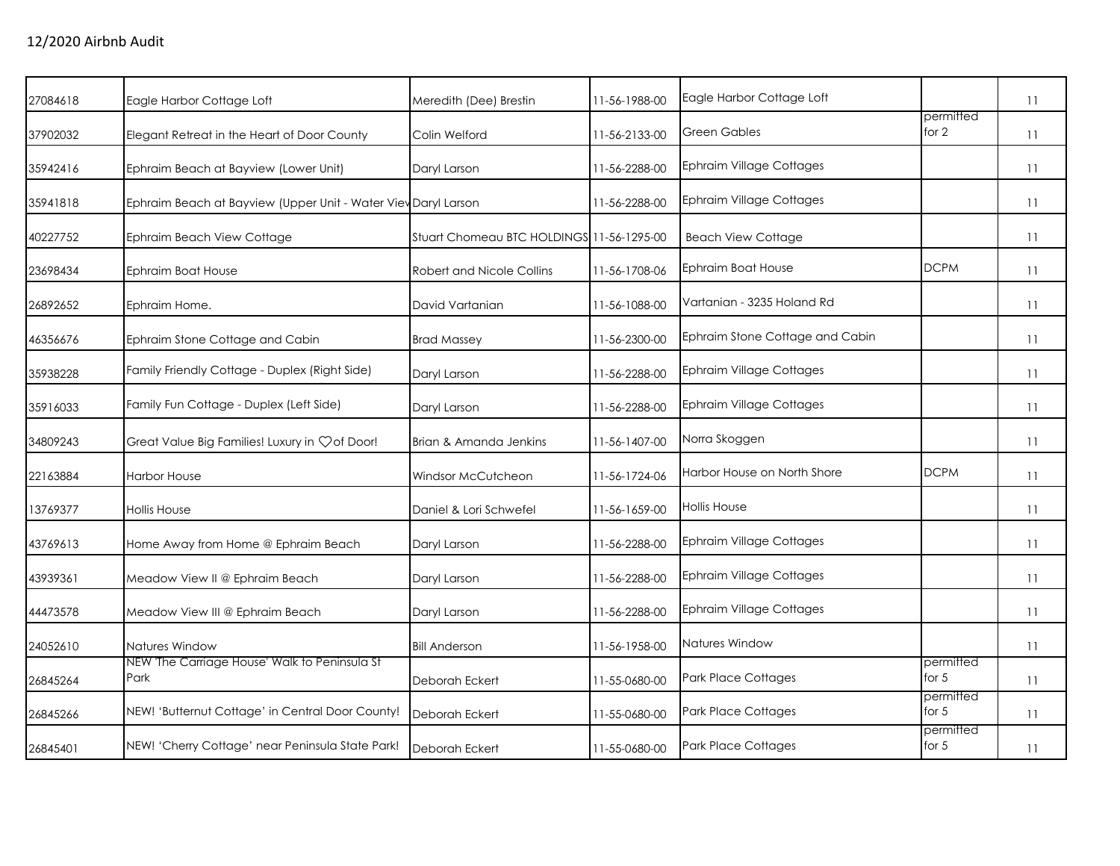| 27084618 | Eagle Harbor Cottage Loft                                      | Meredith (Dee) Brestin                    | 11-56-1988-00 | Eagle Harbor Cottage Loft       | permitted            | 11 |
|----------|----------------------------------------------------------------|-------------------------------------------|---------------|---------------------------------|----------------------|----|
| 37902032 | Elegant Retreat in the Heart of Door County                    | Colin Welford                             | 11-56-2133-00 | <b>Green Gables</b>             | for 2                | 11 |
| 35942416 | Ephraim Beach at Bayview (Lower Unit)                          | Daryl Larson                              | 11-56-2288-00 | <b>Ephraim Village Cottages</b> |                      | 11 |
| 35941818 | Ephraim Beach at Bayview (Upper Unit - Water View Daryl Larson |                                           | 11-56-2288-00 | <b>Ephraim Village Cottages</b> |                      | 11 |
| 40227752 | Ephraim Beach View Cottage                                     | Stuart Chomeau BTC HOLDINGS 11-56-1295-00 |               | <b>Beach View Cottage</b>       |                      | 11 |
| 23698434 | <b>Ephraim Boat House</b>                                      | Robert and Nicole Collins                 | 11-56-1708-06 | Ephraim Boat House              | <b>DCPM</b>          | 11 |
| 26892652 | Ephraim Home.                                                  | David Vartanian                           | 11-56-1088-00 | Vartanian - 3235 Holand Rd      |                      | 11 |
| 46356676 | Ephraim Stone Cottage and Cabin                                | <b>Brad Massey</b>                        | 11-56-2300-00 | Ephraim Stone Cottage and Cabin |                      | 11 |
| 35938228 | Family Friendly Cottage - Duplex (Right Side)                  | Daryl Larson                              | 11-56-2288-00 | <b>Ephraim Village Cottages</b> |                      | 11 |
| 35916033 | Family Fun Cottage - Duplex (Left Side)                        | Daryl Larson                              | 11-56-2288-00 | <b>Ephraim Village Cottages</b> |                      | 11 |
| 34809243 | Great Value Big Families! Luxury in $\heartsuit$ of Door!      | Brian & Amanda Jenkins                    | 11-56-1407-00 | Norra Skoggen                   |                      | 11 |
| 22163884 | <b>Harbor House</b>                                            | Windsor McCutcheon                        | 11-56-1724-06 | Harbor House on North Shore     | <b>DCPM</b>          | 11 |
| 13769377 | <b>Hollis House</b>                                            | Daniel & Lori Schwefel                    | 11-56-1659-00 | Hollis House                    |                      | 11 |
| 43769613 | Home Away from Home @ Ephraim Beach                            | Daryl Larson                              | 11-56-2288-00 | <b>Ephraim Village Cottages</b> |                      | 11 |
| 43939361 | Meadow View II @ Ephraim Beach                                 | Daryl Larson                              | 11-56-2288-00 | <b>Ephraim Village Cottages</b> |                      | 11 |
| 44473578 | Meadow View III @ Ephraim Beach                                | Daryl Larson                              | 11-56-2288-00 | <b>Ephraim Village Cottages</b> |                      | 11 |
| 24052610 | Natures Window                                                 | <b>Bill Anderson</b>                      | 11-56-1958-00 | Natures Window                  |                      | 11 |
| 26845264 | NEW 'The Carriage House' Walk to Peninsula St<br>Park          | Deborah Eckert                            | 11-55-0680-00 | <b>Park Place Cottages</b>      | permitted<br>for $5$ | 11 |
| 26845266 | NEW! 'Butternut Cottage' in Central Door County!               | Deborah Eckert                            | 11-55-0680-00 | Park Place Cottages             | permitted<br>for $5$ | 11 |
| 26845401 | NEW! 'Cherry Cottage' near Peninsula State Park!               | Deborah Eckert                            | 11-55-0680-00 | <b>Park Place Cottages</b>      | permitted<br>for $5$ | 11 |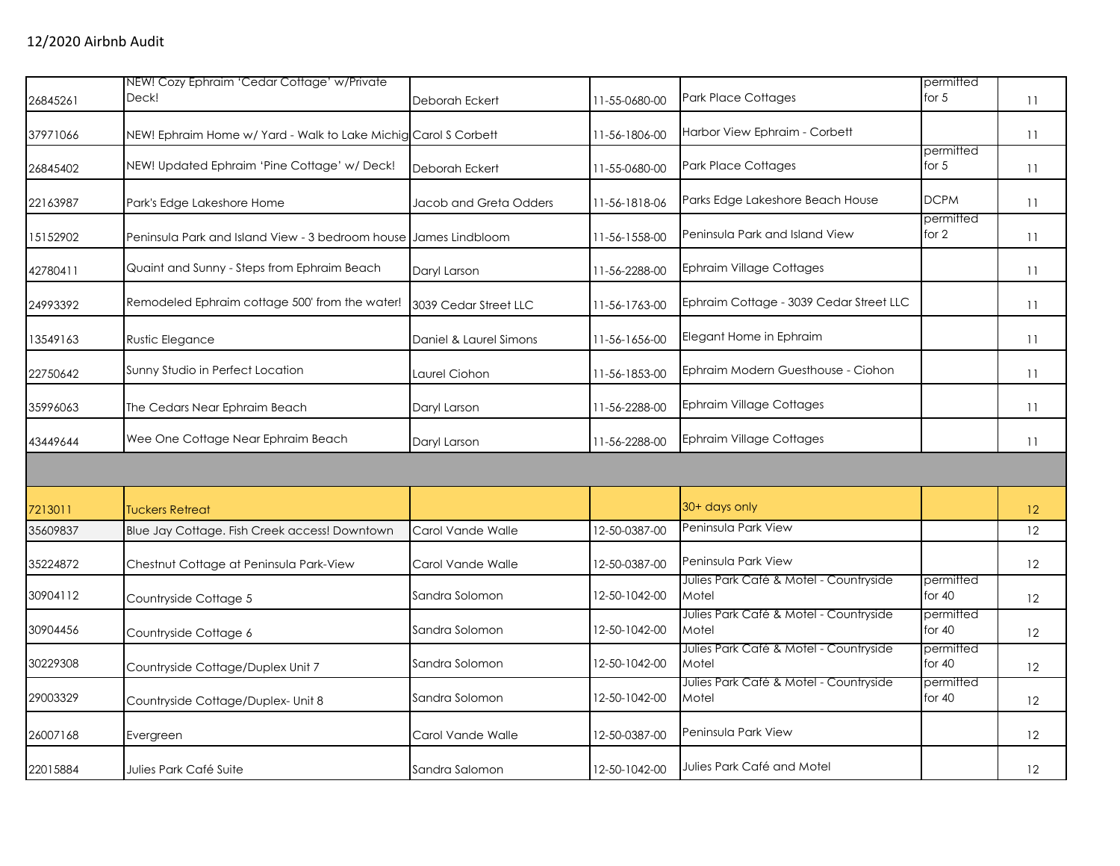|          | NEW! Cozy Ephraim 'Cedar Cottage' w/Private                      |                        |               |                                                 | permitted             |    |
|----------|------------------------------------------------------------------|------------------------|---------------|-------------------------------------------------|-----------------------|----|
| 26845261 | Deck!                                                            | Deborah Eckert         | 11-55-0680-00 | <b>Park Place Cottages</b>                      | for $5$               | 11 |
| 37971066 | NEW! Ephraim Home w/ Yard - Walk to Lake Michig Carol S Corbett  |                        | 11-56-1806-00 | Harbor View Ephraim - Corbett                   |                       | 11 |
| 26845402 | NEW! Updated Ephraim 'Pine Cottage' w/ Deck!                     | Deborah Eckert         | 11-55-0680-00 | <b>Park Place Cottages</b>                      | permitted<br>for $5$  | 11 |
| 22163987 | Park's Edge Lakeshore Home                                       | Jacob and Greta Odders | 11-56-1818-06 | Parks Edge Lakeshore Beach House                | <b>DCPM</b>           | 11 |
| 15152902 | Peninsula Park and Island View - 3 bedroom house James Lindbloom |                        | 11-56-1558-00 | Peninsula Park and Island View                  | permitted<br>for 2    | 11 |
| 42780411 | Quaint and Sunny - Steps from Ephraim Beach                      | Daryl Larson           | 11-56-2288-00 | Ephraim Village Cottages                        |                       | 11 |
| 24993392 | Remodeled Ephraim cottage 500' from the water!                   | 3039 Cedar Street LLC  | 11-56-1763-00 | Ephraim Cottage - 3039 Cedar Street LLC         |                       | 11 |
| 13549163 | Rustic Elegance                                                  | Daniel & Laurel Simons | 11-56-1656-00 | Elegant Home in Ephraim                         |                       | 11 |
| 22750642 | Sunny Studio in Perfect Location                                 | Laurel Ciohon          | 11-56-1853-00 | Ephraim Modern Guesthouse - Ciohon              |                       | 11 |
| 35996063 | The Cedars Near Ephraim Beach                                    | Daryl Larson           | 11-56-2288-00 | <b>Ephraim Village Cottages</b>                 |                       | 11 |
| 43449644 | Wee One Cottage Near Ephraim Beach                               | Daryl Larson           | 11-56-2288-00 | Ephraim Village Cottages                        |                       | 11 |
|          |                                                                  |                        |               |                                                 |                       |    |
| 7213011  | <b>Tuckers Retreat</b>                                           |                        |               | 30+ days only                                   |                       | 12 |
| 35609837 | Blue Jay Cottage. Fish Creek access! Downtown                    | Carol Vande Walle      | 12-50-0387-00 | Peninsula Park View                             |                       | 12 |
| 35224872 | Chestnut Cottage at Peninsula Park-View                          | Carol Vande Walle      | 12-50-0387-00 | Peninsula Park View                             |                       | 12 |
| 30904112 | Countryside Cottage 5                                            | Sandra Solomon         | 12-50-1042-00 | Julies Park Café & Motel - Countryside<br>Motel | permitted<br>for $40$ | 12 |
| 30904456 | Countryside Cottage 6                                            | Sandra Solomon         | 12-50-1042-00 | Julies Park Café & Motel - Countryside<br>Motel | permitted<br>for $40$ | 12 |
| 30229308 | Countryside Cottage/Duplex Unit 7                                | Sandra Solomon         | 12-50-1042-00 | Julies Park Café & Motel - Countryside<br>Motel | permitted<br>for $40$ | 12 |
| 29003329 | Countryside Cottage/Duplex- Unit 8                               | Sandra Solomon         | 12-50-1042-00 | Julies Park Café & Motel - Countryside<br>Motel | permitted<br>for $40$ | 12 |
| 26007168 | Evergreen                                                        | Carol Vande Walle      | 12-50-0387-00 | Peninsula Park View                             |                       | 12 |
| 22015884 | Julies Park Café Suite                                           | Sandra Salomon         | 12-50-1042-00 | Julies Park Café and Motel                      |                       | 12 |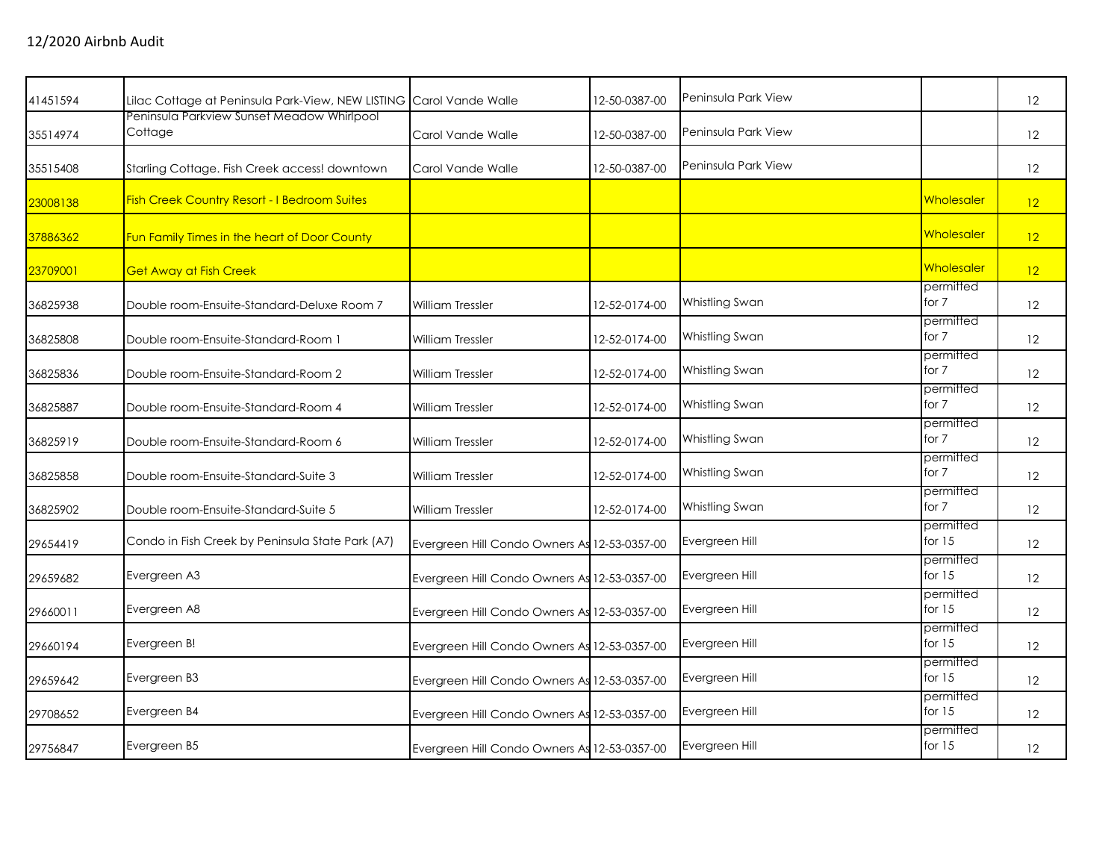| 41451594 | Lilac Cottage at Peninsula Park-View, NEW LISTING Carol Vande Walle |                                              | 12-50-0387-00 | Peninsula Park View |                       | 12                |
|----------|---------------------------------------------------------------------|----------------------------------------------|---------------|---------------------|-----------------------|-------------------|
| 35514974 | Peninsula Parkview Sunset Meadow Whirlpool<br>Cottage               | Carol Vande Walle                            | 12-50-0387-00 | Peninsula Park View |                       | 12                |
| 35515408 | Starling Cottage. Fish Creek access! downtown                       | Carol Vande Walle                            | 12-50-0387-00 | Peninsula Park View |                       | 12                |
| 23008138 | Fish Creek Country Resort - I Bedroom Suites                        |                                              |               |                     | Wholesaler            | 12                |
| 37886362 | Fun Family Times in the heart of Door County                        |                                              |               |                     | Wholesaler            | 12                |
| 23709001 | <b>Get Away at Fish Creek</b>                                       |                                              |               |                     | Wholesaler            | 12                |
| 36825938 | Double room-Ensuite-Standard-Deluxe Room 7                          | <b>William Tressler</b>                      | 12-52-0174-00 | Whistling Swan      | permitted<br>for 7    | 12                |
| 36825808 | Double room-Ensuite-Standard-Room 1                                 | <b>William Tressler</b>                      | 12-52-0174-00 | Whistling Swan      | permitted<br>for 7    | 12                |
| 36825836 | Double room-Ensuite-Standard-Room 2                                 | <b>William Tressler</b>                      | 12-52-0174-00 | Whistling Swan      | permitted<br>for 7    | 12                |
| 36825887 | Double room-Ensuite-Standard-Room 4                                 | <b>William Tressler</b>                      | 12-52-0174-00 | Whistling Swan      | permitted<br>for 7    | 12                |
| 36825919 | Double room-Ensuite-Standard-Room 6                                 | William Tressler                             | 12-52-0174-00 | Whistling Swan      | permitted<br>for 7    | 12                |
| 36825858 | Double room-Ensuite-Standard-Suite 3                                | <b>William Tressler</b>                      | 12-52-0174-00 | Whistling Swan      | permitted<br>for 7    | 12                |
| 36825902 | Double room-Ensuite-Standard-Suite 5                                | <b>William Tressler</b>                      | 12-52-0174-00 | Whistling Swan      | permitted<br>for 7    | 12                |
| 29654419 | Condo in Fish Creek by Peninsula State Park (A7)                    | Evergreen Hill Condo Owners As 12-53-0357-00 |               | Evergreen Hill      | permitted<br>for $15$ | 12                |
| 29659682 | Evergreen A3                                                        | Evergreen Hill Condo Owners As 12-53-0357-00 |               | Evergreen Hill      | permitted<br>for $15$ | 12                |
| 29660011 | Evergreen A8                                                        | Evergreen Hill Condo Owners As 12-53-0357-00 |               | Evergreen Hill      | permitted<br>for $15$ | 12                |
| 29660194 | Evergreen B!                                                        | Evergreen Hill Condo Owners As 12-53-0357-00 |               | Evergreen Hill      | permitted<br>for $15$ | 12                |
| 29659642 | Evergreen B3                                                        | Evergreen Hill Condo Owners As 12-53-0357-00 |               | Evergreen Hill      | permitted<br>for $15$ | 12                |
| 29708652 | Evergreen B4                                                        | Evergreen Hill Condo Owners As 12-53-0357-00 |               | Evergreen Hill      | permitted<br>for $15$ | 12                |
| 29756847 | Evergreen B5                                                        | Evergreen Hill Condo Owners As 12-53-0357-00 |               | Evergreen Hill      | permitted<br>for $15$ | $12 \overline{ }$ |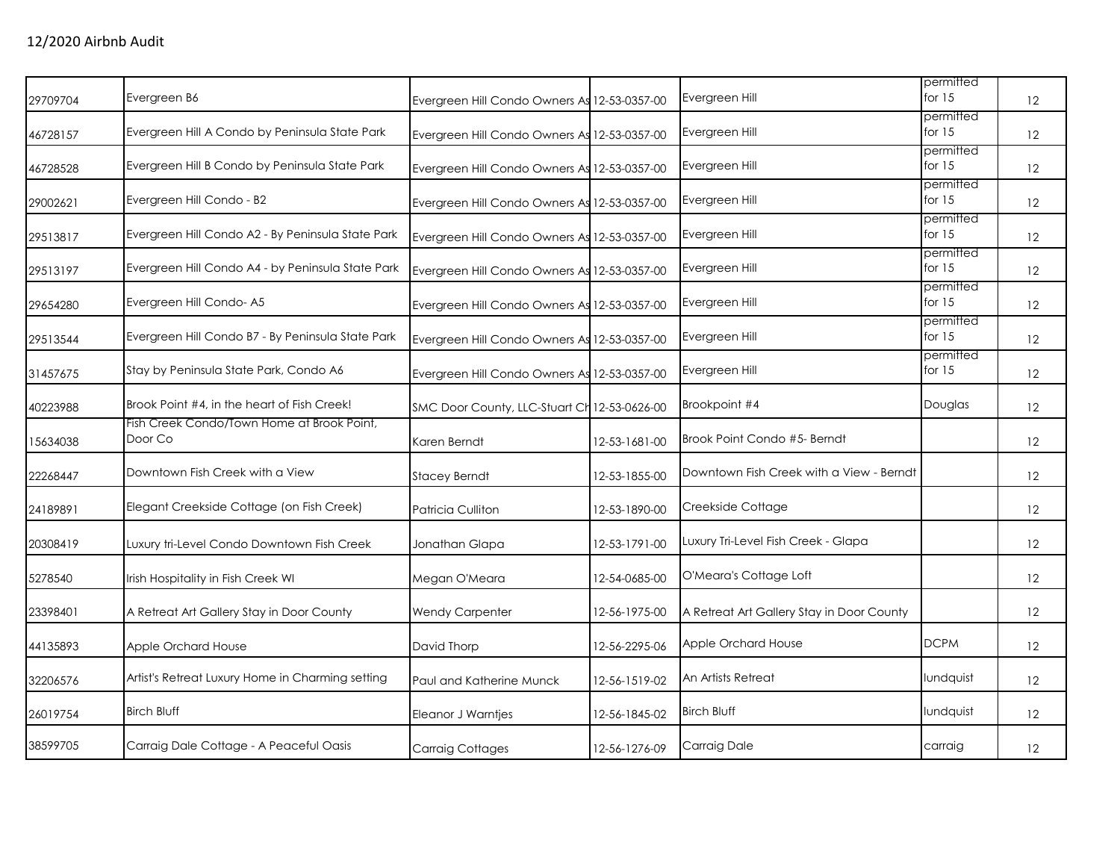| Evergreen B6                                      |                                            |               | Evergreen Hill                                                                                                                                                                                                                                                                                                                                                                                                                                                                               | for $15$              | 12                     |
|---------------------------------------------------|--------------------------------------------|---------------|----------------------------------------------------------------------------------------------------------------------------------------------------------------------------------------------------------------------------------------------------------------------------------------------------------------------------------------------------------------------------------------------------------------------------------------------------------------------------------------------|-----------------------|------------------------|
| Evergreen Hill A Condo by Peninsula State Park    |                                            |               | Evergreen Hill                                                                                                                                                                                                                                                                                                                                                                                                                                                                               | permitted<br>for $15$ | 12                     |
| Evergreen Hill B Condo by Peninsula State Park    |                                            |               | Evergreen Hill                                                                                                                                                                                                                                                                                                                                                                                                                                                                               | permitted<br>for $15$ | 12                     |
| Evergreen Hill Condo - B2                         |                                            |               | Evergreen Hill                                                                                                                                                                                                                                                                                                                                                                                                                                                                               | permitted<br>for $15$ | 12                     |
| Evergreen Hill Condo A2 - By Peninsula State Park |                                            |               | Evergreen Hill                                                                                                                                                                                                                                                                                                                                                                                                                                                                               | permitted<br>for $15$ | 12                     |
| Evergreen Hill Condo A4 - by Peninsula State Park |                                            |               | Evergreen Hill                                                                                                                                                                                                                                                                                                                                                                                                                                                                               | for $15$              | 12                     |
| Evergreen Hill Condo-A5                           |                                            |               | Evergreen Hill                                                                                                                                                                                                                                                                                                                                                                                                                                                                               | permitted<br>for $15$ | 12                     |
| Evergreen Hill Condo B7 - By Peninsula State Park |                                            |               | Evergreen Hill                                                                                                                                                                                                                                                                                                                                                                                                                                                                               | permitted<br>for $15$ | 12                     |
| Stay by Peninsula State Park, Condo A6            |                                            |               | Evergreen Hill                                                                                                                                                                                                                                                                                                                                                                                                                                                                               | permitted<br>for $15$ | 12                     |
| Brook Point #4, in the heart of Fish Creek!       |                                            |               | Brookpoint #4                                                                                                                                                                                                                                                                                                                                                                                                                                                                                | Douglas               | 12                     |
| Door Co                                           | Karen Berndt                               | 12-53-1681-00 | Brook Point Condo #5- Berndt                                                                                                                                                                                                                                                                                                                                                                                                                                                                 |                       | 12                     |
| Downtown Fish Creek with a View                   | <b>Stacey Berndt</b>                       | 12-53-1855-00 | Downtown Fish Creek with a View - Berndt                                                                                                                                                                                                                                                                                                                                                                                                                                                     |                       | 12                     |
| Elegant Creekside Cottage (on Fish Creek)         | Patricia Culliton                          | 12-53-1890-00 | Creekside Cottage                                                                                                                                                                                                                                                                                                                                                                                                                                                                            |                       | $12 \overline{ }$      |
| Luxury tri-Level Condo Downtown Fish Creek        | Jonathan Glapa                             | 12-53-1791-00 | Luxury Tri-Level Fish Creek - Glapa                                                                                                                                                                                                                                                                                                                                                                                                                                                          |                       | 12                     |
| Irish Hospitality in Fish Creek WI                | Megan O'Meara                              | 12-54-0685-00 | O'Meara's Cottage Loft                                                                                                                                                                                                                                                                                                                                                                                                                                                                       |                       | 12                     |
| A Retreat Art Gallery Stay in Door County         | <b>Wendy Carpenter</b>                     | 12-56-1975-00 | A Retreat Art Gallery Stay in Door County                                                                                                                                                                                                                                                                                                                                                                                                                                                    |                       | 12                     |
| Apple Orchard House                               | David Thorp                                | 12-56-2295-06 | Apple Orchard House                                                                                                                                                                                                                                                                                                                                                                                                                                                                          | <b>DCPM</b>           | 12                     |
| Artist's Retreat Luxury Home in Charming setting  | Paul and Katherine Munck                   | 12-56-1519-02 | An Artists Retreat                                                                                                                                                                                                                                                                                                                                                                                                                                                                           | lundquist             | 12                     |
| <b>Birch Bluff</b>                                | Eleanor J Warntjes                         | 12-56-1845-02 | <b>Birch Bluff</b>                                                                                                                                                                                                                                                                                                                                                                                                                                                                           | lundquist             | 12                     |
| Carraig Dale Cottage - A Peaceful Oasis           | <b>Carraig Cottages</b>                    | 12-56-1276-09 | Carraig Dale                                                                                                                                                                                                                                                                                                                                                                                                                                                                                 | carraig               | 12                     |
|                                                   | Fish Creek Condo/Town Home at Brook Point, |               | Evergreen Hill Condo Owners As 12-53-0357-00<br>Evergreen Hill Condo Owners As 12-53-0357-00<br>Evergreen Hill Condo Owners As 12-53-0357-00<br>Evergreen Hill Condo Owners As 12-53-0357-00<br>Evergreen Hill Condo Owners As 12-53-0357-00<br>Evergreen Hill Condo Owners As 12-53-0357-00<br>Evergreen Hill Condo Owners As 12-53-0357-00<br>Evergreen Hill Condo Owners As 12-53-0357-00<br>Evergreen Hill Condo Owners As 12-53-0357-00<br>SMC Door County, LLC-Stuart Ch 12-53-0626-00 |                       | permitted<br>permitted |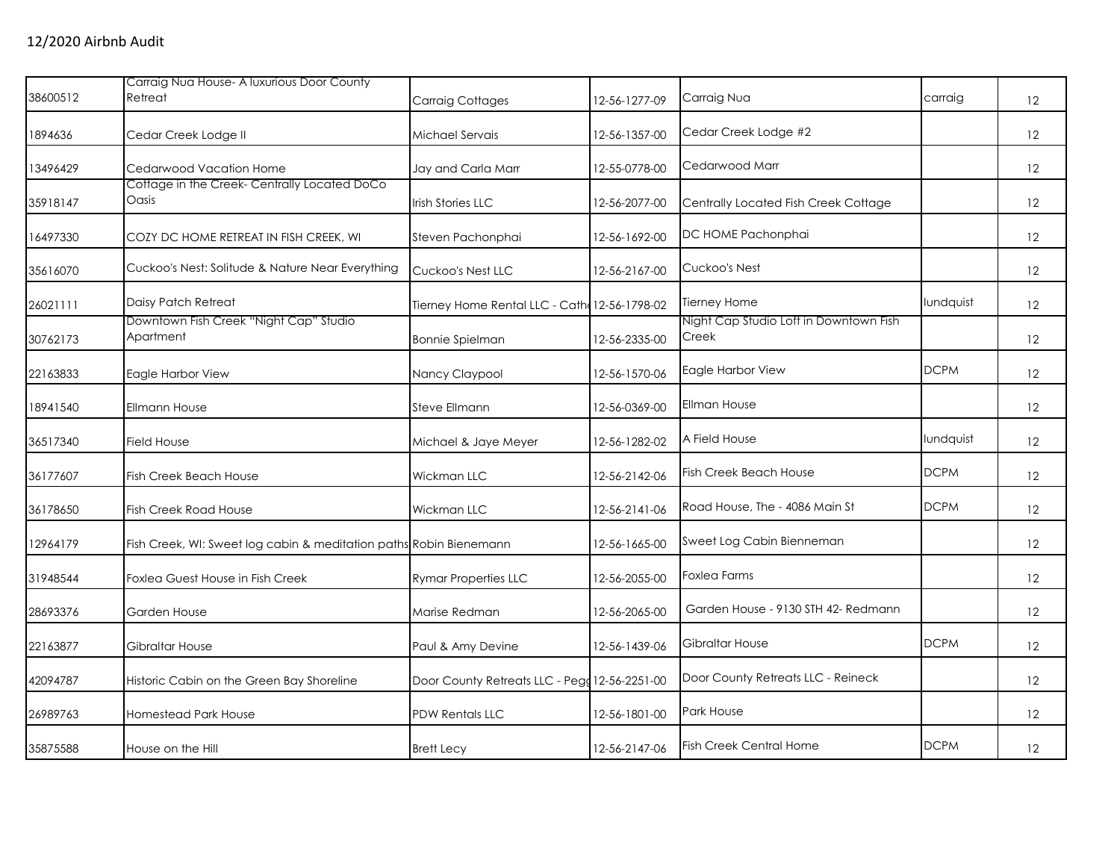|          | Carraig Nua House- A luxurious Door County                         |                                               |               |                                                 |             |                   |
|----------|--------------------------------------------------------------------|-----------------------------------------------|---------------|-------------------------------------------------|-------------|-------------------|
| 38600512 | Retreat                                                            | Carraig Cottages                              | 12-56-1277-09 | Carraig Nua                                     | carraig     | $12 \overline{ }$ |
| 1894636  | Cedar Creek Lodge II                                               | Michael Servais                               | 12-56-1357-00 | Cedar Creek Lodge #2                            |             | 12                |
| 13496429 | Cedarwood Vacation Home                                            | Jay and Carla Marr                            | 12-55-0778-00 | Cedarwood Marr                                  |             | 12                |
| 35918147 | Cottage in the Creek-Centrally Located DoCo<br>Oasis               | Irish Stories LLC                             | 12-56-2077-00 | Centrally Located Fish Creek Cottage            |             | 12                |
| 16497330 | COZY DC HOME RETREAT IN FISH CREEK, WI                             | Steven Pachonphai                             | 12-56-1692-00 | DC HOME Pachonphai                              |             | 12                |
| 35616070 | Cuckoo's Nest: Solitude & Nature Near Everything                   | Cuckoo's Nest LLC                             | 12-56-2167-00 | Cuckoo's Nest                                   |             | 12                |
| 26021111 | Daisy Patch Retreat                                                | Tierney Home Rental LLC - Cath: 12-56-1798-02 |               | <b>Tierney Home</b>                             | lundquist   | 12                |
| 30762173 | Downtown Fish Creek "Night Cap" Studio<br>Apartment                | <b>Bonnie Spielman</b>                        | 12-56-2335-00 | Night Cap Studio Loft in Downtown Fish<br>Creek |             | 12                |
| 22163833 | Eagle Harbor View                                                  | Nancy Claypool                                | 12-56-1570-06 | Eagle Harbor View                               | <b>DCPM</b> | 12                |
| 18941540 | <b>Ellmann House</b>                                               | Steve Ellmann                                 | 12-56-0369-00 | <b>Ellman House</b>                             |             | 12                |
| 36517340 | <b>Field House</b>                                                 | Michael & Jaye Meyer                          | 12-56-1282-02 | A Field House                                   | lundquist   | 12                |
| 36177607 | <b>Fish Creek Beach House</b>                                      | Wickman LLC                                   | 12-56-2142-06 | <b>Fish Creek Beach House</b>                   | <b>DCPM</b> | 12                |
| 36178650 | <b>Fish Creek Road House</b>                                       | Wickman LLC                                   | 12-56-2141-06 | Road House, The - 4086 Main St                  | <b>DCPM</b> | 12                |
| 12964179 | Fish Creek, WI: Sweet log cabin & meditation paths Robin Bienemann |                                               | 12-56-1665-00 | Sweet Log Cabin Bienneman                       |             | 12                |
| 31948544 | Foxlea Guest House in Fish Creek                                   | <b>Rymar Properties LLC</b>                   | 12-56-2055-00 | <b>Foxlea Farms</b>                             |             | 12                |
| 28693376 | Garden House                                                       | Marise Redman                                 | 12-56-2065-00 | Garden House - 9130 STH 42- Redmann             |             | 12                |
| 22163877 | <b>Gibraltar House</b>                                             | Paul & Amy Devine                             | 12-56-1439-06 | Gibraltar House                                 | <b>DCPM</b> | 12                |
| 42094787 | Historic Cabin on the Green Bay Shoreline                          | Door County Retreats LLC - Pegg 12-56-2251-00 |               | Door County Retreats LLC - Reineck              |             | 12                |
| 26989763 | Homestead Park House                                               | PDW Rentals LLC                               | 12-56-1801-00 | <b>Park House</b>                               |             | 12                |
| 35875588 | House on the Hill                                                  | <b>Brett Lecy</b>                             | 12-56-2147-06 | <b>Fish Creek Central Home</b>                  | <b>DCPM</b> | 12                |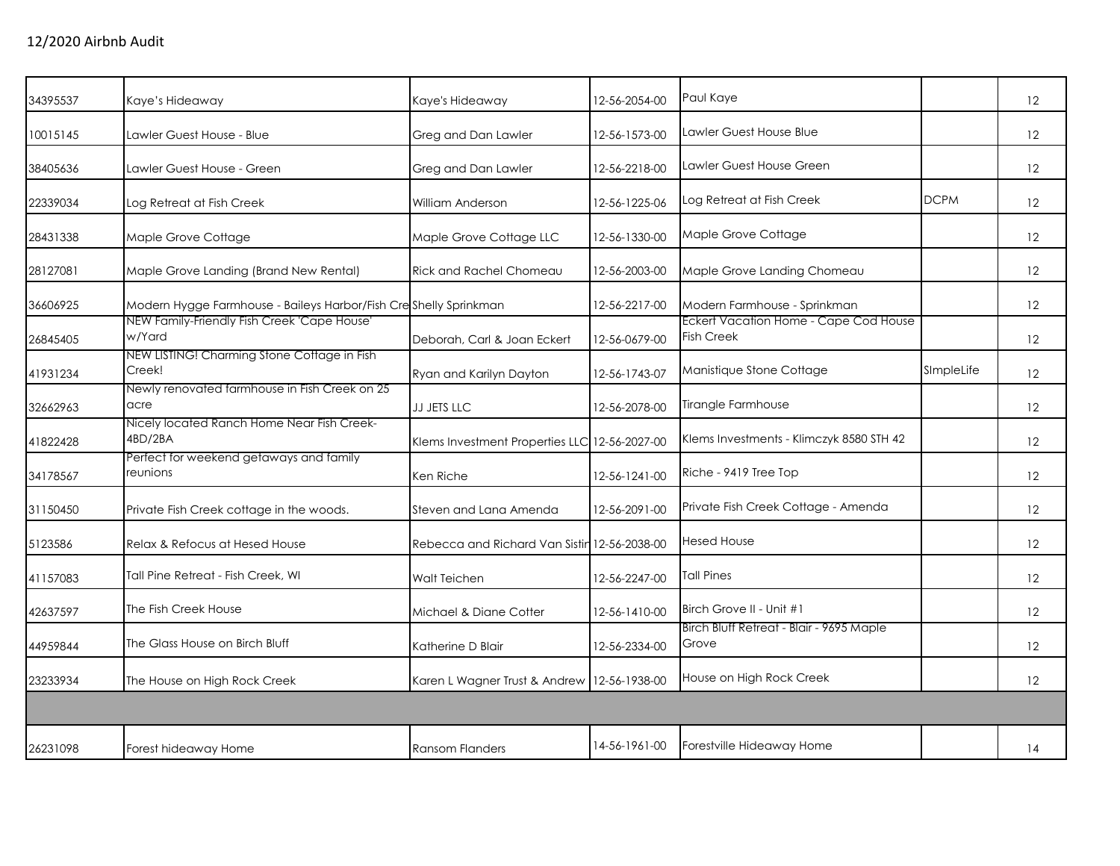| 34395537 | Kaye's Hideaway                                                   | Kaye's Hideaway                               | 12-56-2054-00 | Paul Kaye                                                  |             | 12                |
|----------|-------------------------------------------------------------------|-----------------------------------------------|---------------|------------------------------------------------------------|-------------|-------------------|
| 10015145 | Lawler Guest House - Blue                                         | Greg and Dan Lawler                           | 12-56-1573-00 | Lawler Guest House Blue                                    |             | 12                |
| 38405636 | Lawler Guest House - Green                                        | Greg and Dan Lawler                           | 12-56-2218-00 | Lawler Guest House Green                                   |             | 12                |
| 22339034 | Log Retreat at Fish Creek                                         | William Anderson                              | 12-56-1225-06 | Log Retreat at Fish Creek                                  | <b>DCPM</b> | 12                |
| 28431338 | Maple Grove Cottage                                               | Maple Grove Cottage LLC                       | 12-56-1330-00 | Maple Grove Cottage                                        |             | $12 \overline{ }$ |
| 28127081 | Maple Grove Landing (Brand New Rental)                            | <b>Rick and Rachel Chomeau</b>                | 12-56-2003-00 | Maple Grove Landing Chomeau                                |             | 12                |
| 36606925 | Modern Hygge Farmhouse - Baileys Harbor/Fish Cresshelly Sprinkman |                                               | 12-56-2217-00 | Modern Farmhouse - Sprinkman                               |             | 12                |
| 26845405 | NEW Family-Friendly Fish Creek 'Cape House'<br>w/Yard             | Deborah, Carl & Joan Eckert                   | 12-56-0679-00 | Eckert Vacation Home - Cape Cod House<br><b>Fish Creek</b> |             | 12                |
| 41931234 | NEW LISTING! Charming Stone Cottage in Fish<br>Creek!             | Ryan and Karilyn Dayton                       | 12-56-1743-07 | Manistique Stone Cottage                                   | SImpleLife  | 12                |
| 32662963 | Newly renovated farmhouse in Fish Creek on 25<br>acre             | JJ JETS LLC                                   | 12-56-2078-00 | <b>Tirangle Farmhouse</b>                                  |             | 12                |
| 41822428 | Nicely located Ranch Home Near Fish Creek-<br>4BD/2BA             | Klems Investment Properties LLC 12-56-2027-00 |               | Klems Investments - Klimczyk 8580 STH 42                   |             | 12                |
| 34178567 | Perfect for weekend getaways and family<br>reunions               | Ken Riche                                     | 12-56-1241-00 | Riche - 9419 Tree Top                                      |             | 12                |
| 31150450 | Private Fish Creek cottage in the woods.                          | Steven and Lana Amenda                        | 12-56-2091-00 | Private Fish Creek Cottage - Amenda                        |             | 12                |
| 5123586  | Relax & Refocus at Hesed House                                    | Rebecca and Richard Van Sistin 12-56-2038-00  |               | <b>Hesed House</b>                                         |             | 12                |
| 41157083 | Tall Pine Retreat - Fish Creek, WI                                | Walt Teichen                                  | 12-56-2247-00 | <b>Tall Pines</b>                                          |             | 12                |
| 42637597 | The Fish Creek House                                              | Michael & Diane Cotter                        | 12-56-1410-00 | Birch Grove II - Unit #1                                   |             | 12                |
| 44959844 | The Glass House on Birch Bluff                                    | Katherine D Blair                             | 12-56-2334-00 | Birch Bluff Retreat - Blair - 9695 Maple<br>Grove          |             | 12                |
| 23233934 | The House on High Rock Creek                                      | Karen L Wagner Trust & Andrew 12-56-1938-00   |               | House on High Rock Creek                                   |             | 12 <sup>2</sup>   |
|          |                                                                   |                                               |               |                                                            |             |                   |
| 26231098 | Forest hideaway Home                                              | <b>Ransom Flanders</b>                        | 14-56-1961-00 | Forestville Hideaway Home                                  |             | 14                |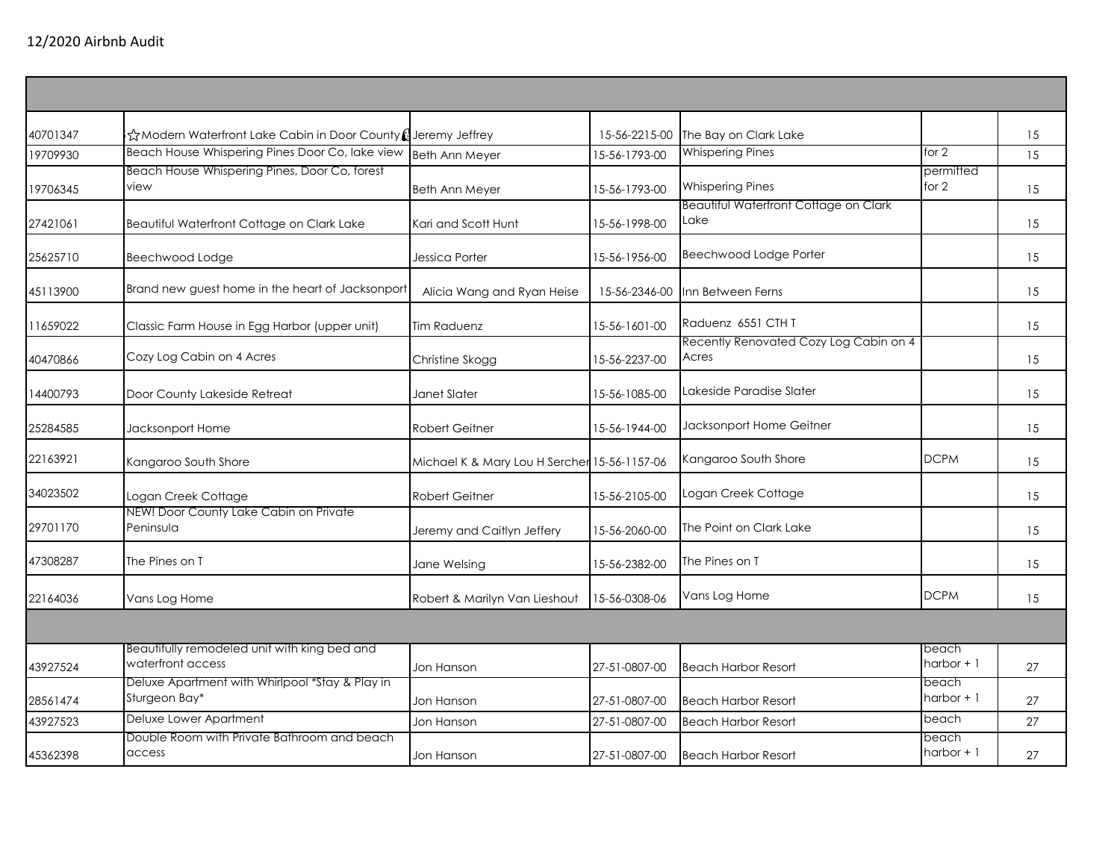| 40701347 | ☆Modern Waterfront Lake Cabin in Door County (Jeremy Jeffrey      |                                              | 15-56-2215-00 | The Bay on Clark Lake                                |                      | 15 |
|----------|-------------------------------------------------------------------|----------------------------------------------|---------------|------------------------------------------------------|----------------------|----|
| 19709930 | Beach House Whispering Pines Door Co, lake view                   | Beth Ann Meyer                               | 15-56-1793-00 | <b>Whispering Pines</b>                              | for $2$              | 15 |
| 19706345 | Beach House Whispering Pines, Door Co, forest<br>view             | Beth Ann Meyer                               | 15-56-1793-00 | <b>Whispering Pines</b>                              | permitted<br>for 2   | 15 |
| 27421061 | Beautiful Waterfront Cottage on Clark Lake                        | Kari and Scott Hunt                          | 15-56-1998-00 | <b>Beautiful Waterfront Cottage on Clark</b><br>Lake |                      | 15 |
| 25625710 | Beechwood Lodge                                                   | Jessica Porter                               | 15-56-1956-00 | Beechwood Lodge Porter                               |                      | 15 |
| 45113900 | Brand new guest home in the heart of Jacksonport                  | Alicia Wang and Ryan Heise                   | 15-56-2346-00 | Inn Between Ferns                                    |                      | 15 |
| 11659022 | Classic Farm House in Egg Harbor (upper unit)                     | <b>Tim Raduenz</b>                           | 15-56-1601-00 | Raduenz 6551 CTH T                                   |                      | 15 |
| 40470866 | Cozy Log Cabin on 4 Acres                                         | Christine Skogg                              | 15-56-2237-00 | Recently Renovated Cozy Log Cabin on 4<br>Acres      |                      | 15 |
| 14400793 | Door County Lakeside Retreat                                      | Janet Slater                                 | 15-56-1085-00 | Lakeside Paradise Slater                             |                      | 15 |
| 25284585 | Jacksonport Home                                                  | <b>Robert Geitner</b>                        | 15-56-1944-00 | Jacksonport Home Geitner                             |                      | 15 |
| 22163921 | Kangaroo South Shore                                              | Michael K & Mary Lou H Sercher 15-56-1157-06 |               | Kangaroo South Shore                                 | <b>DCPM</b>          | 15 |
| 34023502 | Logan Creek Cottage                                               | Robert Geitner                               | 15-56-2105-00 | Logan Creek Cottage                                  |                      | 15 |
| 29701170 | NEW! Door County Lake Cabin on Private<br>Peninsula               | Jeremy and Caitlyn Jeffery                   | 15-56-2060-00 | The Point on Clark Lake                              |                      | 15 |
| 47308287 | The Pines on T                                                    | Jane Welsing                                 | 15-56-2382-00 | The Pines on T                                       |                      | 15 |
| 22164036 | Vans Log Home                                                     | Robert & Marilyn Van Lieshout                | 15-56-0308-06 | Vans Log Home                                        | <b>DCPM</b>          | 15 |
|          |                                                                   |                                              |               |                                                      |                      |    |
| 43927524 | Beautifully remodeled unit with king bed and<br>waterfront access | Jon Hanson                                   | 27-51-0807-00 | <b>Beach Harbor Resort</b>                           | beach<br>harbor $+1$ | 27 |
| 28561474 | Deluxe Apartment with Whirlpool *Stay & Play in<br>Sturgeon Bay*  | Jon Hanson                                   | 27-51-0807-00 | <b>Beach Harbor Resort</b>                           | beach<br>harbor $+1$ | 27 |
| 43927523 | Deluxe Lower Apartment                                            | Jon Hanson                                   | 27-51-0807-00 | <b>Beach Harbor Resort</b>                           | beach                | 27 |
| 45362398 | Double Room with Private Bathroom and beach<br>access             | Jon Hanson                                   | 27-51-0807-00 | <b>Beach Harbor Resort</b>                           | beach<br>harbor $+1$ | 27 |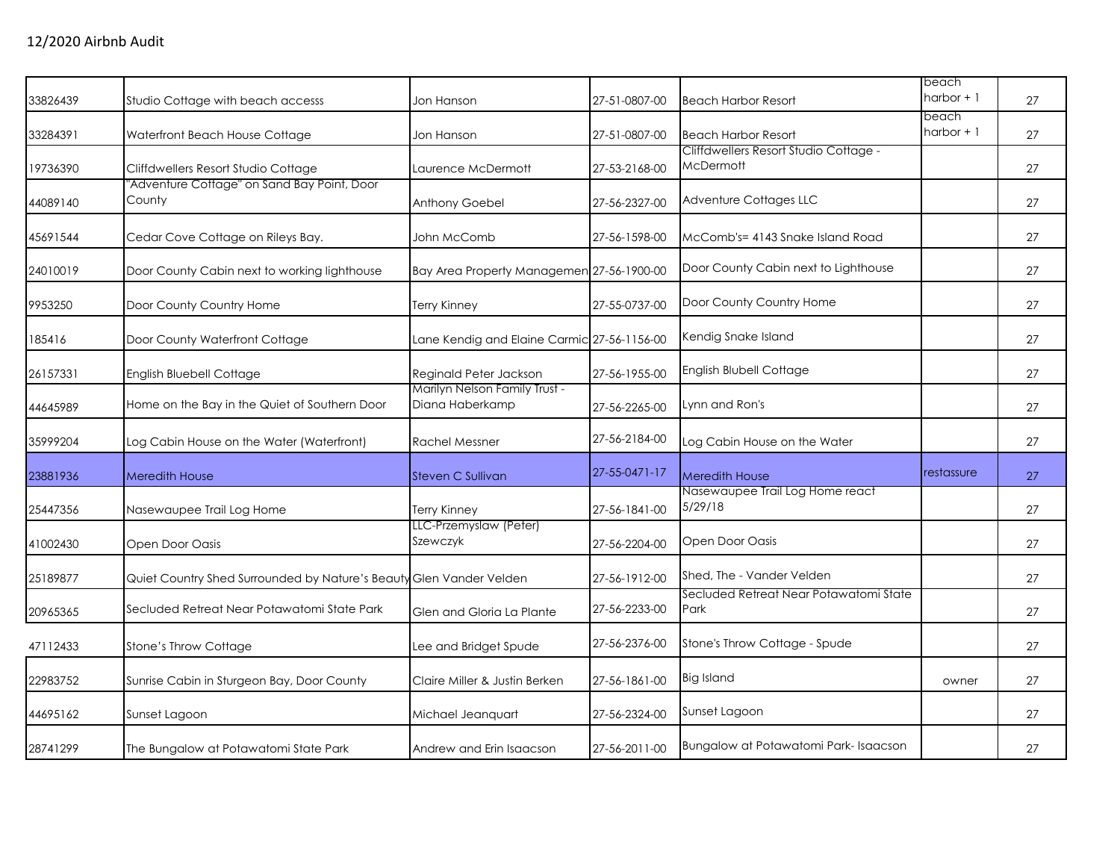|          |                                                                     |                                                  |               |                                                           | beach                |    |
|----------|---------------------------------------------------------------------|--------------------------------------------------|---------------|-----------------------------------------------------------|----------------------|----|
| 33826439 | Studio Cottage with beach accesss                                   | Jon Hanson                                       | 27-51-0807-00 | <b>Beach Harbor Resort</b>                                | harbor $+1$          | 27 |
| 33284391 | Waterfront Beach House Cottage                                      | Jon Hanson                                       | 27-51-0807-00 | <b>Beach Harbor Resort</b>                                | beach<br>harbor $+1$ | 27 |
| 19736390 | Cliffdwellers Resort Studio Cottage                                 | Laurence McDermott                               | 27-53-2168-00 | Cliffdwellers Resort Studio Cottage -<br><b>McDermott</b> |                      | 27 |
| 44089140 | "Adventure Cottage" on Sand Bay Point, Door<br>County               | Anthony Goebel                                   | 27-56-2327-00 | Adventure Cottages LLC                                    |                      | 27 |
| 45691544 | Cedar Cove Cottage on Rileys Bay.                                   | John McComb                                      | 27-56-1598-00 | McComb's= 4143 Snake Island Road                          |                      | 27 |
| 24010019 | Door County Cabin next to working lighthouse                        | Bay Area Property Managemen 27-56-1900-00        |               | Door County Cabin next to Lighthouse                      |                      | 27 |
| 9953250  | Door County Country Home                                            | Terry Kinney                                     | 27-55-0737-00 | Door County Country Home                                  |                      | 27 |
| 185416   | Door County Waterfront Cottage                                      | Lane Kendig and Elaine Carmic 27-56-1156-00      |               | Kendig Snake Island                                       |                      | 27 |
| 26157331 | English Bluebell Cottage                                            | Reginald Peter Jackson                           | 27-56-1955-00 | English Blubell Cottage                                   |                      | 27 |
| 44645989 | Home on the Bay in the Quiet of Southern Door                       | Marilyn Nelson Family Trust -<br>Diana Haberkamp | 27-56-2265-00 | Lynn and Ron's                                            |                      | 27 |
| 35999204 | Log Cabin House on the Water (Waterfront)                           | <b>Rachel Messner</b>                            | 27-56-2184-00 | Log Cabin House on the Water                              |                      | 27 |
| 23881936 | <b>Meredith House</b>                                               | Steven C Sullivan                                | 27-55-0471-17 | <b>Meredith House</b>                                     | restassure           | 27 |
| 25447356 | Nasewaupee Trail Log Home                                           | <b>Terry Kinney</b>                              | 27-56-1841-00 | Nasewaupee Trail Log Home react<br>5/29/18                |                      | 27 |
| 41002430 | Open Door Oasis                                                     | LLC-Przemyslaw (Peter)<br>Szewczyk               | 27-56-2204-00 | Open Door Oasis                                           |                      | 27 |
| 25189877 | Quiet Country Shed Surrounded by Nature's Beauty Glen Vander Velden |                                                  | 27-56-1912-00 | Shed, The - Vander Velden                                 |                      | 27 |
| 20965365 | Secluded Retreat Near Potawatomi State Park                         | Glen and Gloria La Plante                        | 27-56-2233-00 | Secluded Retreat Near Potawatomi State<br>Park            |                      | 27 |
| 47112433 | Stone's Throw Cottage                                               | Lee and Bridget Spude                            | 27-56-2376-00 | Stone's Throw Cottage - Spude                             |                      | 27 |
| 22983752 | Sunrise Cabin in Sturgeon Bay, Door County                          | Claire Miller & Justin Berken                    | 27-56-1861-00 | <b>Big Island</b>                                         | owner                | 27 |
| 44695162 | Sunset Lagoon                                                       | Michael Jeanquart                                | 27-56-2324-00 | Sunset Lagoon                                             |                      | 27 |
| 28741299 | The Bungalow at Potawatomi State Park                               | Andrew and Erin Isaacson                         | 27-56-2011-00 | Bungalow at Potawatomi Park-Isaacson                      |                      | 27 |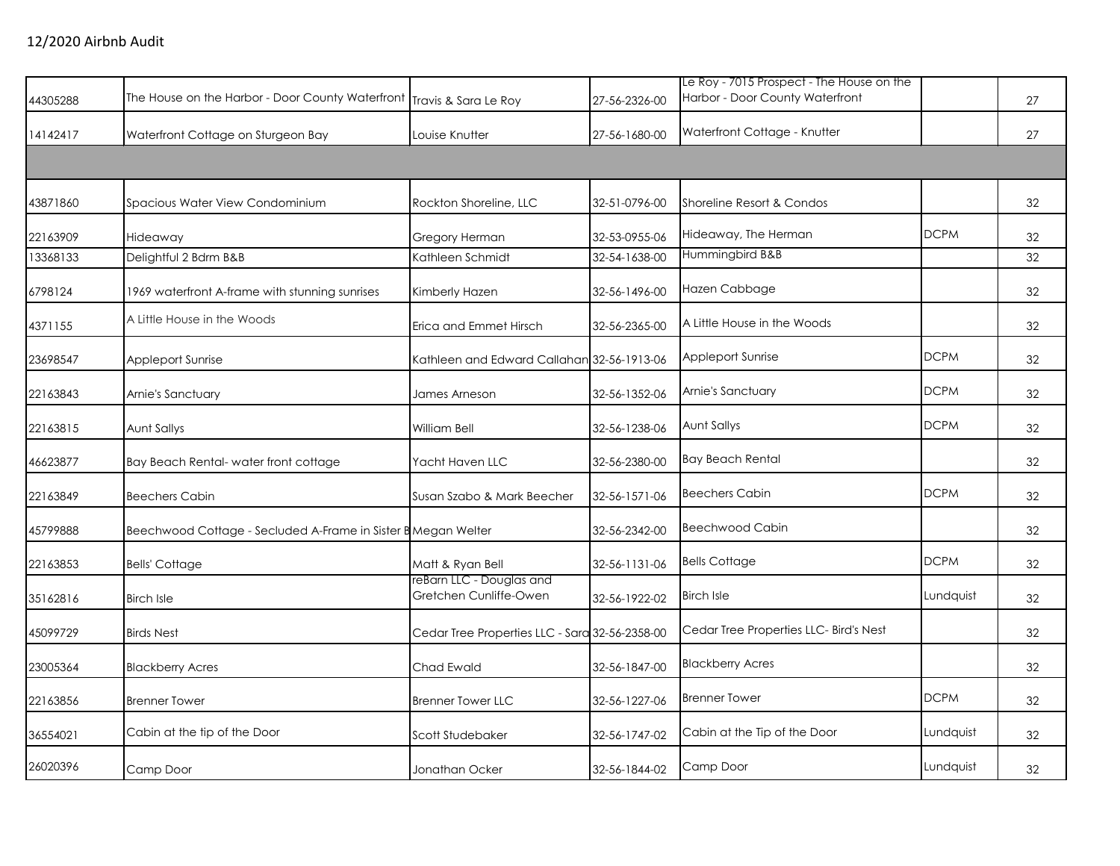| 44305288 | The House on the Harbor - Door County Waterfront Travis & Sara Le Roy |                                                    | 27-56-2326-00 | Le Roy - 7015 Prospect - The House on the<br>Harbor - Door County Waterfront |             | 27 |
|----------|-----------------------------------------------------------------------|----------------------------------------------------|---------------|------------------------------------------------------------------------------|-------------|----|
| 14142417 | Waterfront Cottage on Sturgeon Bay                                    | Louise Knutter                                     | 27-56-1680-00 | Waterfront Cottage - Knutter                                                 |             | 27 |
|          |                                                                       |                                                    |               |                                                                              |             |    |
| 43871860 | Spacious Water View Condominium                                       | Rockton Shoreline, LLC                             | 32-51-0796-00 | Shoreline Resort & Condos                                                    |             | 32 |
| 22163909 | Hideaway                                                              | Gregory Herman                                     | 32-53-0955-06 | Hideaway, The Herman                                                         | <b>DCPM</b> | 32 |
| 13368133 | Delightful 2 Bdrm B&B                                                 | Kathleen Schmidt                                   | 32-54-1638-00 | Hummingbird B&B                                                              |             | 32 |
| 6798124  | 1969 waterfront A-frame with stunning sunrises                        | Kimberly Hazen                                     | 32-56-1496-00 | Hazen Cabbage                                                                |             | 32 |
| 4371155  | A Little House in the Woods                                           | Erica and Emmet Hirsch                             | 32-56-2365-00 | A Little House in the Woods                                                  |             | 32 |
| 23698547 | Appleport Sunrise                                                     | Kathleen and Edward Callahan 32-56-1913-06         |               | <b>Appleport Sunrise</b>                                                     | <b>DCPM</b> | 32 |
| 22163843 | Arnie's Sanctuary                                                     | James Arneson                                      | 32-56-1352-06 | Arnie's Sanctuary                                                            | <b>DCPM</b> | 32 |
| 22163815 | Aunt Sallys                                                           | William Bell                                       | 32-56-1238-06 | Aunt Sallys                                                                  | <b>DCPM</b> | 32 |
| 46623877 | Bay Beach Rental- water front cottage                                 | Yacht Haven LLC                                    | 32-56-2380-00 | <b>Bay Beach Rental</b>                                                      |             | 32 |
| 22163849 | <b>Beechers Cabin</b>                                                 | Susan Szabo & Mark Beecher                         | 32-56-1571-06 | <b>Beechers Cabin</b>                                                        | <b>DCPM</b> | 32 |
| 45799888 | Beechwood Cottage - Secluded A-Frame in Sister B Megan Welter         |                                                    | 32-56-2342-00 | <b>Beechwood Cabin</b>                                                       |             | 32 |
| 22163853 | <b>Bells' Cottage</b>                                                 | Matt & Ryan Bell                                   | 32-56-1131-06 | <b>Bells Cottage</b>                                                         | <b>DCPM</b> | 32 |
| 35162816 | <b>Birch Isle</b>                                                     | reBarn LLC - Douglas and<br>Gretchen Cunliffe-Owen | 32-56-1922-02 | <b>Birch Isle</b>                                                            | Lundquist   | 32 |
| 45099729 | <b>Birds Nest</b>                                                     | Cedar Tree Properties LLC - Sara 32-56-2358-00     |               | Cedar Tree Properties LLC- Bird's Nest                                       |             | 32 |
| 23005364 | <b>Blackberry Acres</b>                                               | Chad Ewald                                         | 32-56-1847-00 | <b>Blackberry Acres</b>                                                      |             | 32 |
| 22163856 | <b>Brenner Tower</b>                                                  | <b>Brenner Tower LLC</b>                           | 32-56-1227-06 | <b>Brenner Tower</b>                                                         | <b>DCPM</b> | 32 |
| 36554021 | Cabin at the tip of the Door                                          | Scott Studebaker                                   | 32-56-1747-02 | Cabin at the Tip of the Door                                                 | Lundquist   | 32 |
| 26020396 | Camp Door                                                             | Jonathan Ocker                                     | 32-56-1844-02 | Camp Door                                                                    | Lundquist   | 32 |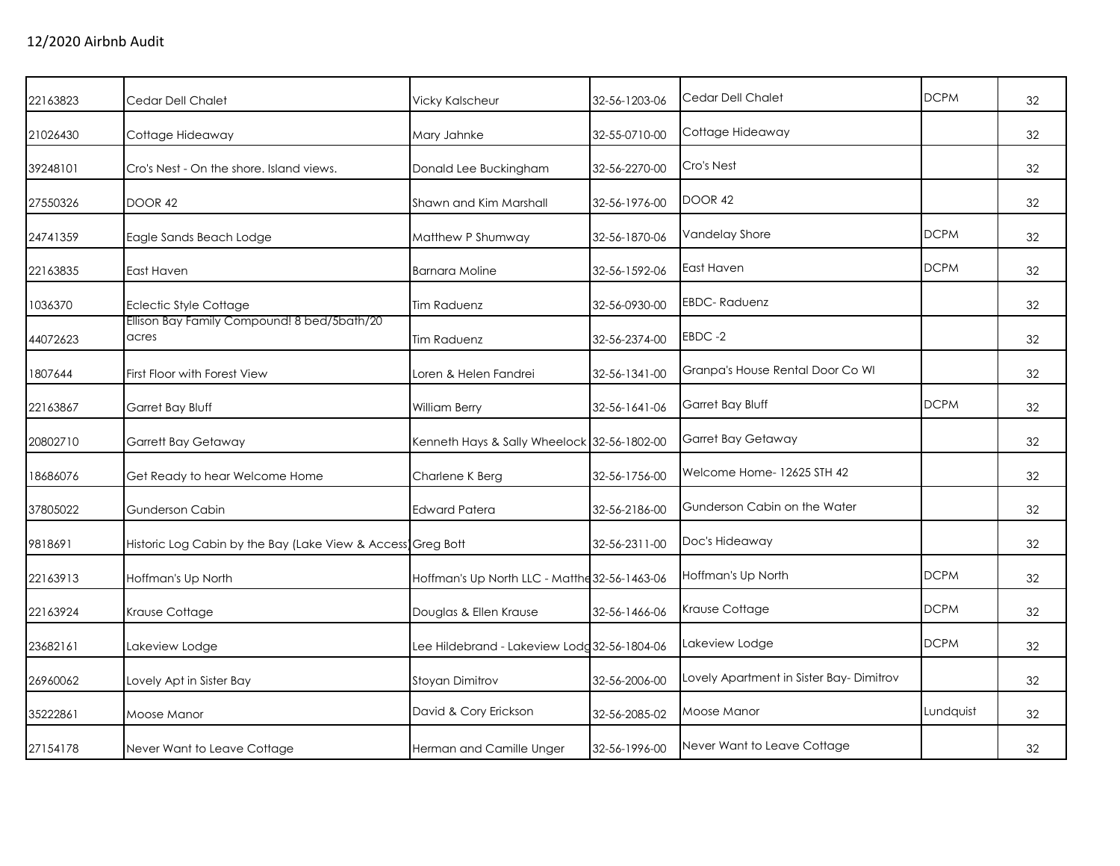| 22163823 | Cedar Dell Chalet                                           | <b>Vicky Kalscheur</b>                        | 32-56-1203-06 | Cedar Dell Chalet                       | <b>DCPM</b> | 32 |
|----------|-------------------------------------------------------------|-----------------------------------------------|---------------|-----------------------------------------|-------------|----|
| 21026430 | Cottage Hideaway                                            | Mary Jahnke                                   | 32-55-0710-00 | Cottage Hideaway                        |             | 32 |
| 39248101 | Cro's Nest - On the shore, Island views.                    | Donald Lee Buckingham                         | 32-56-2270-00 | Cro's Nest                              |             | 32 |
| 27550326 | DOOR 42                                                     | Shawn and Kim Marshall                        | 32-56-1976-00 | <b>DOOR 42</b>                          |             | 32 |
| 24741359 | Eagle Sands Beach Lodge                                     | Matthew P Shumway                             | 32-56-1870-06 | Vandelay Shore                          | <b>DCPM</b> | 32 |
| 22163835 | East Haven                                                  | <b>Barnara Moline</b>                         | 32-56-1592-06 | East Haven                              | <b>DCPM</b> | 32 |
| 1036370  | Eclectic Style Cottage                                      | <b>Tim Raduenz</b>                            | 32-56-0930-00 | <b>EBDC-Raduenz</b>                     |             | 32 |
| 44072623 | Ellison Bay Family Compound! 8 bed/5bath/20<br>acres        | Tim Raduenz                                   | 32-56-2374-00 | EBDC-2                                  |             | 32 |
| 1807644  | First Floor with Forest View                                | Loren & Helen Fandrei                         | 32-56-1341-00 | Granpa's House Rental Door Co WI        |             | 32 |
| 22163867 | Garret Bay Bluff                                            | William Berry                                 | 32-56-1641-06 | Garret Bay Bluff                        | <b>DCPM</b> | 32 |
| 20802710 | <b>Garrett Bay Getaway</b>                                  | Kenneth Hays & Sally Wheelock 32-56-1802-00   |               | Garret Bay Getaway                      |             | 32 |
| 18686076 | Get Ready to hear Welcome Home                              | Charlene K Berg                               | 32-56-1756-00 | Welcome Home-12625 STH 42               |             | 32 |
| 37805022 | Gunderson Cabin                                             | <b>Edward Patera</b>                          | 32-56-2186-00 | Gunderson Cabin on the Water            |             | 32 |
| 9818691  | Historic Log Cabin by the Bay (Lake View & Access Greg Bott |                                               | 32-56-2311-00 | Doc's Hideaway                          |             | 32 |
| 22163913 | Hoffman's Up North                                          | Hoffman's Up North LLC - Matthe 32-56-1463-06 |               | Hoffman's Up North                      | <b>DCPM</b> | 32 |
| 22163924 | Krause Cottage                                              | Douglas & Ellen Krause                        | 32-56-1466-06 | Krause Cottage                          | <b>DCPM</b> | 32 |
| 23682161 | Lakeview Lodge                                              | Lee Hildebrand - Lakeview Lodg 32-56-1804-06  |               | Lakeview Lodge                          | <b>DCPM</b> | 32 |
| 26960062 | Lovely Apt in Sister Bay                                    | Stoyan Dimitrov                               | 32-56-2006-00 | Lovely Apartment in Sister Bay-Dimitrov |             | 32 |
| 35222861 | Moose Manor                                                 | David & Cory Erickson                         | 32-56-2085-02 | Moose Manor                             | Lundquist   | 32 |
| 27154178 | Never Want to Leave Cottage                                 | Herman and Camille Unger                      | 32-56-1996-00 | Never Want to Leave Cottage             |             | 32 |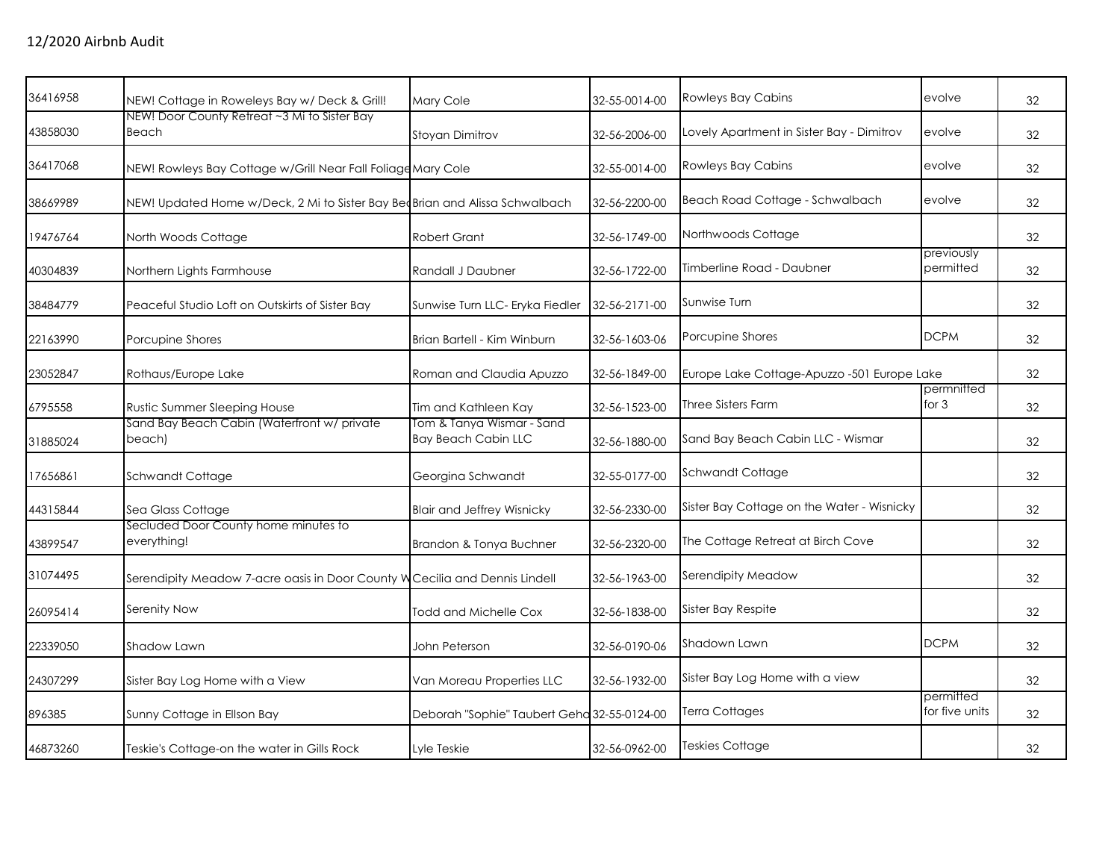| 36416958 | NEW! Cottage in Roweleys Bay w/ Deck & Grill!                               | Mary Cole                                               | 32-55-0014-00 | <b>Rowleys Bay Cabins</b>                   | evolve                      | 32 |
|----------|-----------------------------------------------------------------------------|---------------------------------------------------------|---------------|---------------------------------------------|-----------------------------|----|
| 43858030 | NEW! Door County Retreat ~3 Mi to Sister Bay<br>Beach                       | Stoyan Dimitrov                                         | 32-56-2006-00 | Lovely Apartment in Sister Bay - Dimitrov   | evolve                      | 32 |
| 36417068 | NEW! Rowleys Bay Cottage w/Grill Near Fall Foliage Mary Cole                |                                                         | 32-55-0014-00 | <b>Rowleys Bay Cabins</b>                   | evolve                      | 32 |
| 38669989 | NEW! Updated Home w/Deck, 2 Mi to Sister Bay BedBrian and Alissa Schwalbach |                                                         | 32-56-2200-00 | Beach Road Cottage - Schwalbach             | evolve                      | 32 |
| 19476764 | North Woods Cottage                                                         | <b>Robert Grant</b>                                     | 32-56-1749-00 | Northwoods Cottage                          |                             | 32 |
| 40304839 | Northern Lights Farmhouse                                                   | Randall J Daubner                                       | 32-56-1722-00 | Timberline Road - Daubner                   | previously<br>permitted     | 32 |
| 38484779 | Peaceful Studio Loft on Outskirts of Sister Bay                             | Sunwise Turn LLC- Eryka Fiedler                         | 32-56-2171-00 | Sunwise Turn                                |                             | 32 |
| 22163990 | Porcupine Shores                                                            | Brian Bartell - Kim Winburn                             | 32-56-1603-06 | Porcupine Shores                            | <b>DCPM</b>                 | 32 |
| 23052847 | Rothaus/Europe Lake                                                         | Roman and Claudia Apuzzo                                | 32-56-1849-00 | Europe Lake Cottage-Apuzzo -501 Europe Lake |                             | 32 |
| 6795558  | <b>Rustic Summer Sleeping House</b>                                         | Tim and Kathleen Kay                                    | 32-56-1523-00 | <b>Three Sisters Farm</b>                   | permnitted<br>for $3$       | 32 |
| 31885024 | Sand Bay Beach Cabin (Waterfront w/ private<br>beach)                       | Tom & Tanya Wismar - Sand<br><b>Bay Beach Cabin LLC</b> | 32-56-1880-00 | Sand Bay Beach Cabin LLC - Wismar           |                             | 32 |
| 17656861 | Schwandt Cottage                                                            | Georgina Schwandt                                       | 32-55-0177-00 | Schwandt Cottage                            |                             | 32 |
| 44315844 | Sea Glass Cottage                                                           | <b>Blair and Jeffrey Wisnicky</b>                       | 32-56-2330-00 | Sister Bay Cottage on the Water - Wisnicky  |                             | 32 |
| 43899547 | Secluded Door County home minutes to<br>everything!                         | Brandon & Tonya Buchner                                 | 32-56-2320-00 | The Cottage Retreat at Birch Cove           |                             | 32 |
| 31074495 | Serendipity Meadow 7-acre oasis in Door County W Cecilia and Dennis Lindell |                                                         | 32-56-1963-00 | Serendipity Meadow                          |                             | 32 |
| 26095414 | Serenity Now                                                                | Todd and Michelle Cox                                   | 32-56-1838-00 | Sister Bay Respite                          |                             | 32 |
| 22339050 | Shadow Lawn                                                                 | John Peterson                                           | 32-56-0190-06 | Shadown Lawn                                | <b>DCPM</b>                 | 32 |
| 24307299 | Sister Bay Log Home with a View                                             | Van Moreau Properties LLC                               | 32-56-1932-00 | Sister Bay Log Home with a view             |                             | 32 |
| 896385   | Sunny Cottage in Ellson Bay                                                 | Deborah "Sophie" Taubert Geha 32-55-0124-00             |               | Terra Cottages                              | permitted<br>for five units | 32 |
| 46873260 | Teskie's Cottage-on the water in Gills Rock                                 | Lyle Teskie                                             | 32-56-0962-00 | <b>Teskies Cottage</b>                      |                             | 32 |
|          |                                                                             |                                                         |               |                                             |                             |    |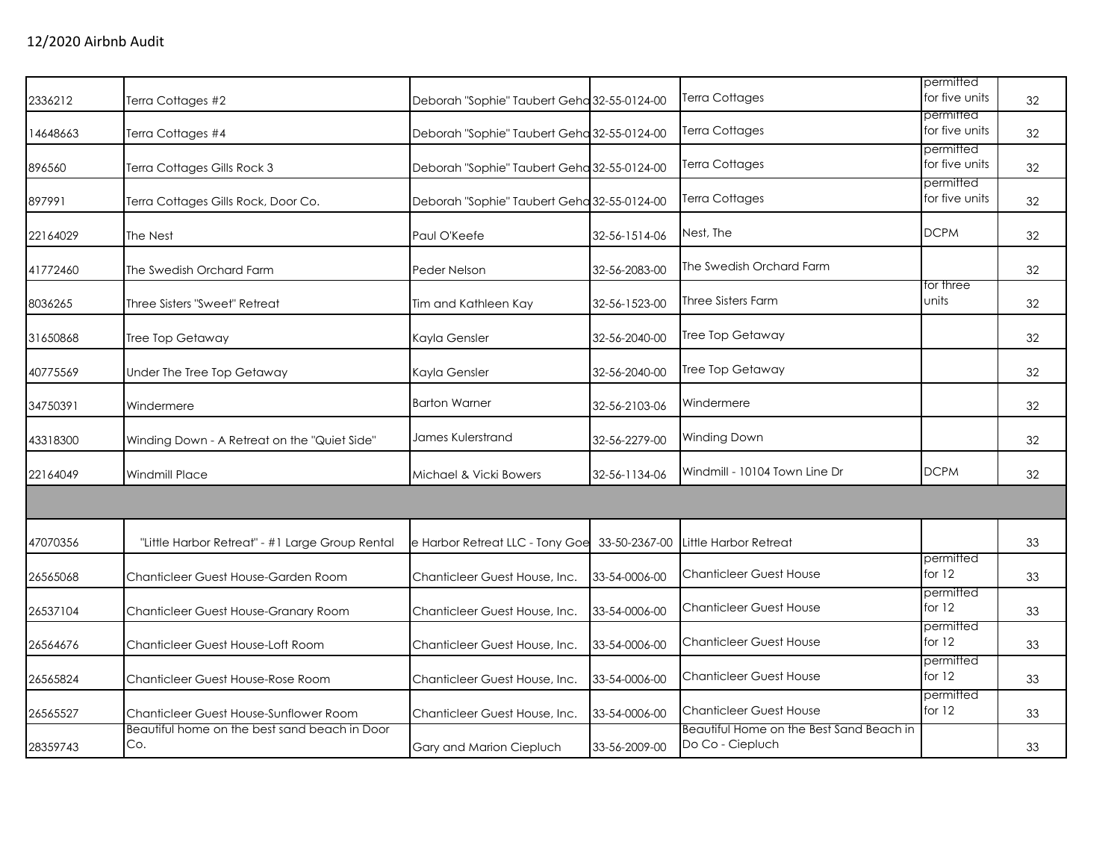|          |                                                      |                                             |               | Terra Cottages                                               | permitted<br>for five units |    |
|----------|------------------------------------------------------|---------------------------------------------|---------------|--------------------------------------------------------------|-----------------------------|----|
| 2336212  | Terra Cottages #2                                    | Deborah "Sophie" Taubert Geha 32-55-0124-00 |               |                                                              | permitted                   | 32 |
| 14648663 | Terra Cottages #4                                    | Deborah "Sophie" Taubert Geha 32-55-0124-00 |               | Terra Cottages                                               | for five units              | 32 |
| 896560   | Terra Cottages Gills Rock 3                          | Deborah "Sophie" Taubert Geha 32-55-0124-00 |               | Terra Cottages                                               | permitted<br>for five units | 32 |
| 897991   | Terra Cottages Gills Rock, Door Co.                  | Deborah "Sophie" Taubert Geha 32-55-0124-00 |               | Terra Cottages                                               | permitted<br>for five units | 32 |
| 22164029 | The Nest                                             | Paul O'Keefe                                | 32-56-1514-06 | Nest, The                                                    | <b>DCPM</b>                 | 32 |
| 41772460 | The Swedish Orchard Farm                             | Peder Nelson                                | 32-56-2083-00 | The Swedish Orchard Farm                                     |                             | 32 |
| 8036265  | Three Sisters "Sweet" Retreat                        | Tim and Kathleen Kay                        | 32-56-1523-00 | <b>Three Sisters Farm</b>                                    | for three<br>units          | 32 |
| 31650868 | Tree Top Getaway                                     | Kayla Gensler                               | 32-56-2040-00 | Tree Top Getaway                                             |                             | 32 |
| 40775569 | Under The Tree Top Getaway                           | Kayla Gensler                               | 32-56-2040-00 | Tree Top Getaway                                             |                             | 32 |
| 34750391 | Windermere                                           | <b>Barton Warner</b>                        | 32-56-2103-06 | Windermere                                                   |                             | 32 |
| 43318300 | Winding Down - A Retreat on the "Quiet Side"         | James Kulerstrand                           | 32-56-2279-00 | Winding Down                                                 |                             | 32 |
| 22164049 | <b>Windmill Place</b>                                | Michael & Vicki Bowers                      | 32-56-1134-06 | Windmill - 10104 Town Line Dr                                | <b>DCPM</b>                 | 32 |
|          |                                                      |                                             |               |                                                              |                             |    |
| 47070356 | "Little Harbor Retreat" - #1 Large Group Rental      | e Harbor Retreat LLC - Tony Goe             | 33-50-2367-00 | Little Harbor Retreat                                        |                             | 33 |
| 26565068 | Chanticleer Guest House-Garden Room                  | Chanticleer Guest House, Inc.               | 33-54-0006-00 | <b>Chanticleer Guest House</b>                               | permitted<br>for $12$       | 33 |
| 26537104 | Chanticleer Guest House-Granary Room                 | Chanticleer Guest House, Inc.               | 33-54-0006-00 | <b>Chanticleer Guest House</b>                               | permitted<br>for $12$       | 33 |
| 26564676 | Chanticleer Guest House-Loft Room                    | Chanticleer Guest House, Inc.               | 33-54-0006-00 | <b>Chanticleer Guest House</b>                               | permitted<br>for $12$       | 33 |
| 26565824 | Chanticleer Guest House-Rose Room                    | Chanticleer Guest House, Inc.               | 33-54-0006-00 | <b>Chanticleer Guest House</b>                               | permitted<br>for $12$       | 33 |
| 26565527 | Chanticleer Guest House-Sunflower Room               | Chanticleer Guest House, Inc.               | 33-54-0006-00 | <b>Chanticleer Guest House</b>                               | permitted<br>for 12         | 33 |
| 28359743 | Beautiful home on the best sand beach in Door<br>Co. | Gary and Marion Ciepluch                    | 33-56-2009-00 | Beautiful Home on the Best Sand Beach in<br>Do Co - Ciepluch |                             | 33 |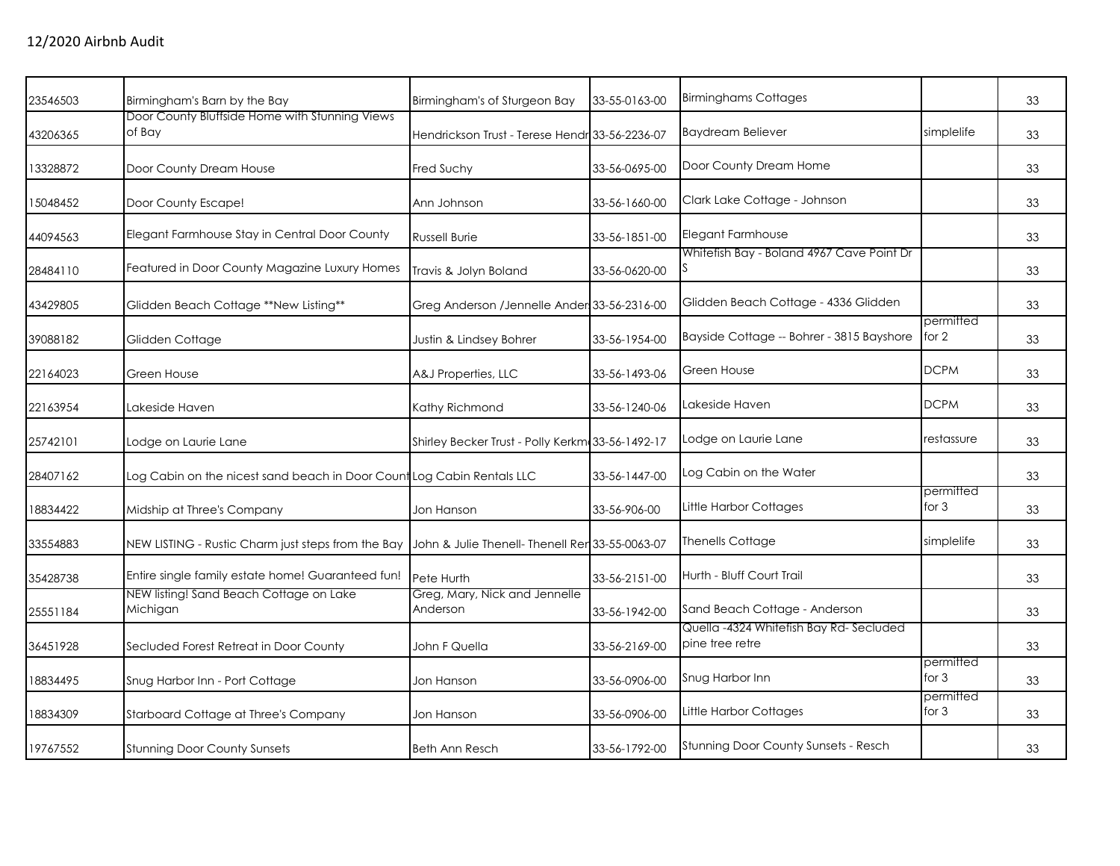| Birmingham's Barn by the Bay                       | Birmingham's of Sturgeon Bay                                                              | 33-55-0163-00                                                          | <b>Birminghams Cottages</b>                                                                                                                                                                            |                                           | 33        |
|----------------------------------------------------|-------------------------------------------------------------------------------------------|------------------------------------------------------------------------|--------------------------------------------------------------------------------------------------------------------------------------------------------------------------------------------------------|-------------------------------------------|-----------|
| of Bay                                             |                                                                                           |                                                                        | <b>Baydream Believer</b>                                                                                                                                                                               | simplelife                                | 33        |
| Door County Dream House                            | Fred Suchy                                                                                | 33-56-0695-00                                                          | Door County Dream Home                                                                                                                                                                                 |                                           | 33        |
| Door County Escape!                                | Ann Johnson                                                                               | 33-56-1660-00                                                          | Clark Lake Cottage - Johnson                                                                                                                                                                           |                                           | 33        |
| Elegant Farmhouse Stay in Central Door County      | <b>Russell Burie</b>                                                                      | 33-56-1851-00                                                          | Elegant Farmhouse                                                                                                                                                                                      |                                           | 33        |
| Featured in Door County Magazine Luxury Homes      | Travis & Jolyn Boland                                                                     | 33-56-0620-00                                                          |                                                                                                                                                                                                        |                                           | 33        |
| Glidden Beach Cottage **New Listing**              |                                                                                           |                                                                        | Glidden Beach Cottage - 4336 Glidden                                                                                                                                                                   |                                           | 33        |
| Glidden Cottage                                    | Justin & Lindsey Bohrer                                                                   | 33-56-1954-00                                                          | Bayside Cottage -- Bohrer - 3815 Bayshore                                                                                                                                                              | for 2                                     | 33        |
| Green House                                        | A&J Properties, LLC                                                                       | 33-56-1493-06                                                          | Green House                                                                                                                                                                                            | <b>DCPM</b>                               | 33        |
| Lakeside Haven                                     | Kathy Richmond                                                                            | 33-56-1240-06                                                          | Lakeside Haven                                                                                                                                                                                         | <b>DCPM</b>                               | 33        |
| Lodge on Laurie Lane                               |                                                                                           |                                                                        | Lodge on Laurie Lane                                                                                                                                                                                   | restassure                                | 33        |
|                                                    |                                                                                           | 33-56-1447-00                                                          | Log Cabin on the Water                                                                                                                                                                                 |                                           | 33        |
| Midship at Three's Company                         | Jon Hanson                                                                                | 33-56-906-00                                                           | Little Harbor Cottages                                                                                                                                                                                 | permitted<br>for 3                        | 33        |
| NEW LISTING - Rustic Charm just steps from the Bay |                                                                                           |                                                                        | <b>Thenells Cottage</b>                                                                                                                                                                                | simplelife                                | 33        |
| Entire single family estate home! Guaranteed fun!  | Pete Hurth                                                                                | 33-56-2151-00                                                          | Hurth - Bluff Court Trail                                                                                                                                                                              |                                           | 33        |
| Michigan                                           | Greg, Mary, Nick and Jennelle<br>Anderson                                                 | 33-56-1942-00                                                          | Sand Beach Cottage - Anderson                                                                                                                                                                          |                                           | 33        |
| Secluded Forest Retreat in Door County             | John F Quella                                                                             | 33-56-2169-00                                                          | Quella -4324 Whitefish Bay Rd- Secluded<br>pine tree retre                                                                                                                                             |                                           | 33        |
| Snug Harbor Inn - Port Cottage                     | Jon Hanson                                                                                | 33-56-0906-00                                                          | Snug Harbor Inn                                                                                                                                                                                        | permitted<br>for $3$                      | 33        |
| Starboard Cottage at Three's Company               | Jon Hanson                                                                                | 33-56-0906-00                                                          | Little Harbor Cottages                                                                                                                                                                                 | permitted<br>for 3                        | 33        |
| <b>Stunning Door County Sunsets</b>                | <b>Beth Ann Resch</b>                                                                     | 33-56-1792-00                                                          | Stunning Door County Sunsets - Resch                                                                                                                                                                   |                                           | 33        |
|                                                    | Door County Bluffside Home with Stunning Views<br>NEW listing! Sand Beach Cottage on Lake | Log Cabin on the nicest sand beach in Door Count Log Cabin Rentals LLC | Hendrickson Trust - Terese Hendr 33-56-2236-07<br>Greg Anderson / Jennelle Ander 33-56-2316-00<br>Shirley Becker Trust - Polly Kerkm: 33-56-1492-17<br>John & Julie Thenell- Thenell Rer 33-55-0063-07 | Whitefish Bay - Boland 4967 Cave Point Dr | permitted |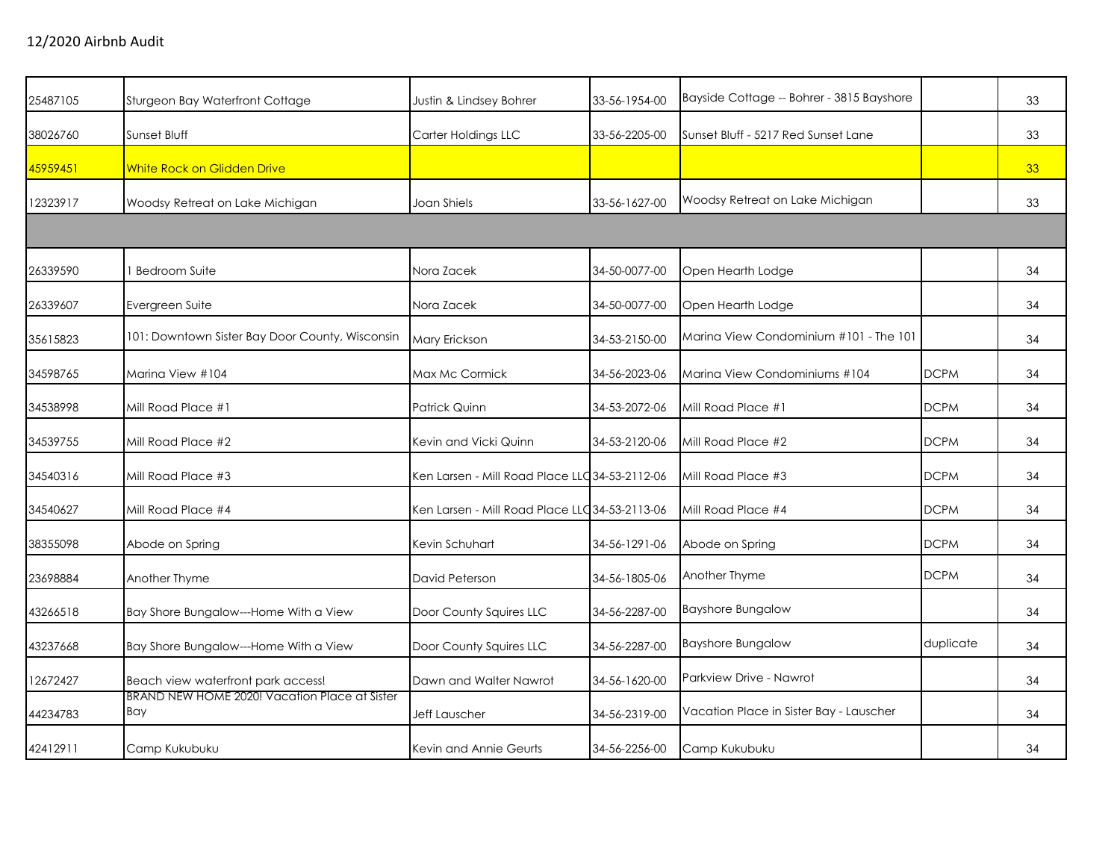| 25487105 | Sturgeon Bay Waterfront Cottage                      | Justin & Lindsey Bohrer                        | 33-56-1954-00 | Bayside Cottage -- Bohrer - 3815 Bayshore |             | 33 |
|----------|------------------------------------------------------|------------------------------------------------|---------------|-------------------------------------------|-------------|----|
| 38026760 | Sunset Bluff                                         | Carter Holdings LLC                            | 33-56-2205-00 | Sunset Bluff - 5217 Red Sunset Lane       |             | 33 |
| 45959451 | <b>White Rock on Glidden Drive</b>                   |                                                |               |                                           |             | 33 |
| 12323917 | Woodsy Retreat on Lake Michigan                      | Joan Shiels                                    | 33-56-1627-00 | Woodsy Retreat on Lake Michigan           |             | 33 |
|          |                                                      |                                                |               |                                           |             |    |
| 26339590 | <b>Bedroom Suite</b>                                 | Nora Zacek                                     | 34-50-0077-00 | Open Hearth Lodge                         |             | 34 |
| 26339607 | Evergreen Suite                                      | Nora Zacek                                     | 34-50-0077-00 | Open Hearth Lodge                         |             | 34 |
| 35615823 | 101: Downtown Sister Bay Door County, Wisconsin      | Mary Erickson                                  | 34-53-2150-00 | Marina View Condominium #101 - The 101    |             | 34 |
| 34598765 | Marina View #104                                     | Max Mc Cormick                                 | 34-56-2023-06 | Marina View Condominiums #104             | <b>DCPM</b> | 34 |
| 34538998 | Mill Road Place #1                                   | Patrick Quinn                                  | 34-53-2072-06 | Mill Road Place #1                        | <b>DCPM</b> | 34 |
| 34539755 | Mill Road Place #2                                   | Kevin and Vicki Quinn                          | 34-53-2120-06 | Mill Road Place #2                        | <b>DCPM</b> | 34 |
| 34540316 | Mill Road Place #3                                   | Ken Larsen - Mill Road Place LLC 34-53-2112-06 |               | Mill Road Place #3                        | <b>DCPM</b> | 34 |
| 34540627 | Mill Road Place #4                                   | Ken Larsen - Mill Road Place LLC 34-53-2113-06 |               | Mill Road Place #4                        | <b>DCPM</b> | 34 |
| 38355098 | Abode on Spring                                      | Kevin Schuhart                                 | 34-56-1291-06 | Abode on Spring                           | <b>DCPM</b> | 34 |
| 23698884 | Another Thyme                                        | David Peterson                                 | 34-56-1805-06 | Another Thyme                             | <b>DCPM</b> | 34 |
| 43266518 | Bay Shore Bungalow---Home With a View                | Door County Squires LLC                        | 34-56-2287-00 | <b>Bayshore Bungalow</b>                  |             | 34 |
| 43237668 | Bay Shore Bungalow---Home With a View                | Door County Squires LLC                        | 34-56-2287-00 | <b>Bayshore Bungalow</b>                  | duplicate   | 34 |
| 12672427 | Beach view waterfront park access!                   | Dawn and Walter Nawrot                         | 34-56-1620-00 | Parkview Drive - Nawrot                   |             | 34 |
| 44234783 | BRAND NEW HOME 2020! Vacation Place at Sister<br>Bay | Jeff Lauscher                                  | 34-56-2319-00 | Vacation Place in Sister Bay - Lauscher   |             | 34 |
| 42412911 | Camp Kukubuku                                        | Kevin and Annie Geurts                         | 34-56-2256-00 | Camp Kukubuku                             |             | 34 |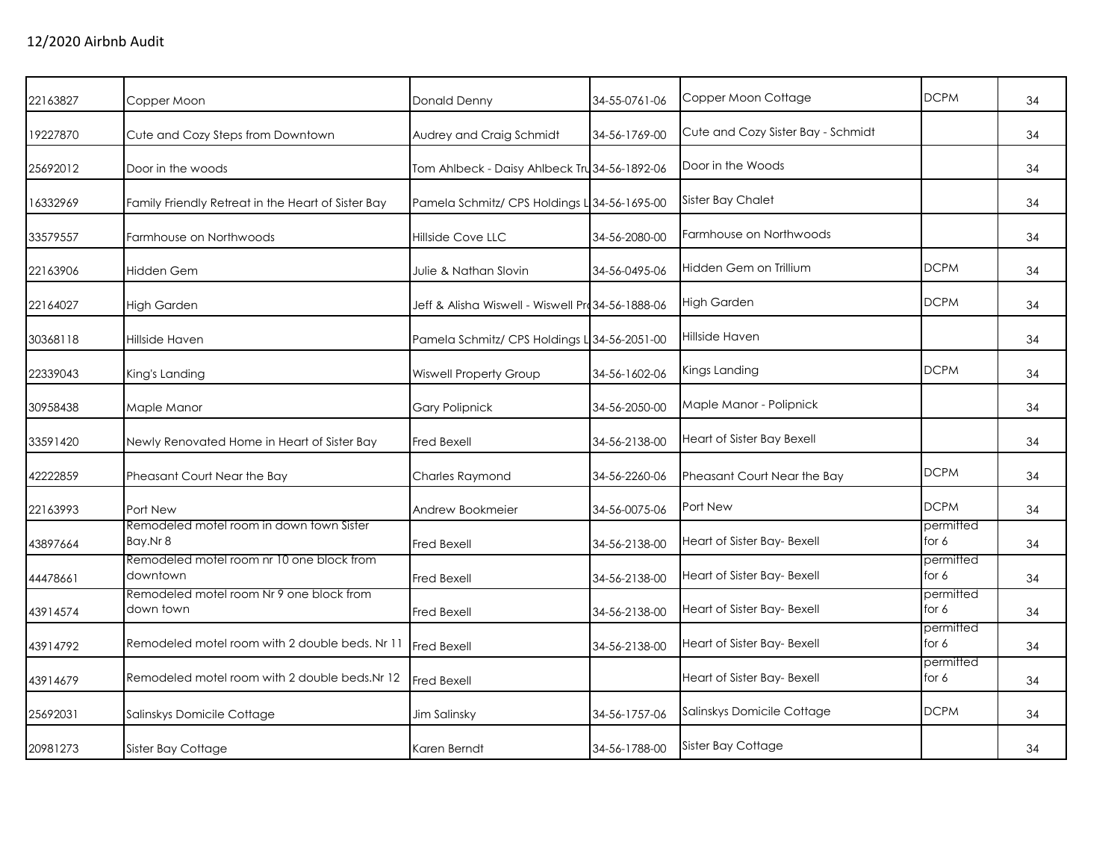| 22163827 | Copper Moon                                           | Donald Denny                                     | 34-55-0761-06 | Copper Moon Cottage                | <b>DCPM</b>        | 34 |
|----------|-------------------------------------------------------|--------------------------------------------------|---------------|------------------------------------|--------------------|----|
| 19227870 | Cute and Cozy Steps from Downtown                     | Audrey and Craig Schmidt                         | 34-56-1769-00 | Cute and Cozy Sister Bay - Schmidt |                    | 34 |
| 25692012 | Door in the woods                                     | Tom Ahlbeck - Daisy Ahlbeck Tru 34-56-1892-06    |               | Door in the Woods                  |                    | 34 |
| 16332969 | Family Friendly Retreat in the Heart of Sister Bay    | Pamela Schmitz/ CPS Holdings L 34-56-1695-00     |               | <b>Sister Bay Chalet</b>           |                    | 34 |
| 33579557 | Farmhouse on Northwoods                               | Hillside Cove LLC                                | 34-56-2080-00 | Farmhouse on Northwoods            |                    | 34 |
| 22163906 | Hidden Gem                                            | Julie & Nathan Slovin                            | 34-56-0495-06 | Hidden Gem on Trillium             | <b>DCPM</b>        | 34 |
| 22164027 | <b>High Garden</b>                                    | Jeff & Alisha Wiswell - Wiswell Pro34-56-1888-06 |               | <b>High Garden</b>                 | <b>DCPM</b>        | 34 |
| 30368118 | Hillside Haven                                        | Pamela Schmitz/ CPS Holdings L 34-56-2051-00     |               | Hillside Haven                     |                    | 34 |
| 22339043 | King's Landing                                        | <b>Wiswell Property Group</b>                    | 34-56-1602-06 | Kings Landing                      | <b>DCPM</b>        | 34 |
| 30958438 | Maple Manor                                           | <b>Gary Polipnick</b>                            | 34-56-2050-00 | Maple Manor - Polipnick            |                    | 34 |
| 33591420 | Newly Renovated Home in Heart of Sister Bay           | <b>Fred Bexell</b>                               | 34-56-2138-00 | Heart of Sister Bay Bexell         |                    | 34 |
| 42222859 | Pheasant Court Near the Bay                           | Charles Raymond                                  | 34-56-2260-06 | Pheasant Court Near the Bay        | <b>DCPM</b>        | 34 |
| 22163993 | Port New                                              | Andrew Bookmeier                                 | 34-56-0075-06 | Port New                           | <b>DCPM</b>        | 34 |
| 43897664 | Remodeled motel room in down town Sister<br>Bay.Nr 8  | <b>Fred Bexell</b>                               | 34-56-2138-00 | Heart of Sister Bay- Bexell        | permitted<br>for 6 | 34 |
| 44478661 | Remodeled motel room nr 10 one block from<br>downtown | <b>Fred Bexell</b>                               | 34-56-2138-00 | Heart of Sister Bay- Bexell        | permitted<br>for 6 | 34 |
| 43914574 | Remodeled motel room Nr 9 one block from<br>down town | <b>Fred Bexell</b>                               | 34-56-2138-00 | Heart of Sister Bay- Bexell        | permitted<br>for 6 | 34 |
| 43914792 | Remodeled motel room with 2 double beds. Nr 11        | <b>Fred Bexell</b>                               | 34-56-2138-00 | Heart of Sister Bay- Bexell        | permitted<br>for 6 | 34 |
| 43914679 | Remodeled motel room with 2 double beds. Nr 12        | Fred Bexell                                      |               | Heart of Sister Bay- Bexell        | permitted<br>for 6 | 34 |
| 25692031 | Salinskys Domicile Cottage                            | Jim Salinsky                                     | 34-56-1757-06 | Salinskys Domicile Cottage         | <b>DCPM</b>        | 34 |
| 20981273 | Sister Bay Cottage                                    | Karen Berndt                                     | 34-56-1788-00 | Sister Bay Cottage                 |                    | 34 |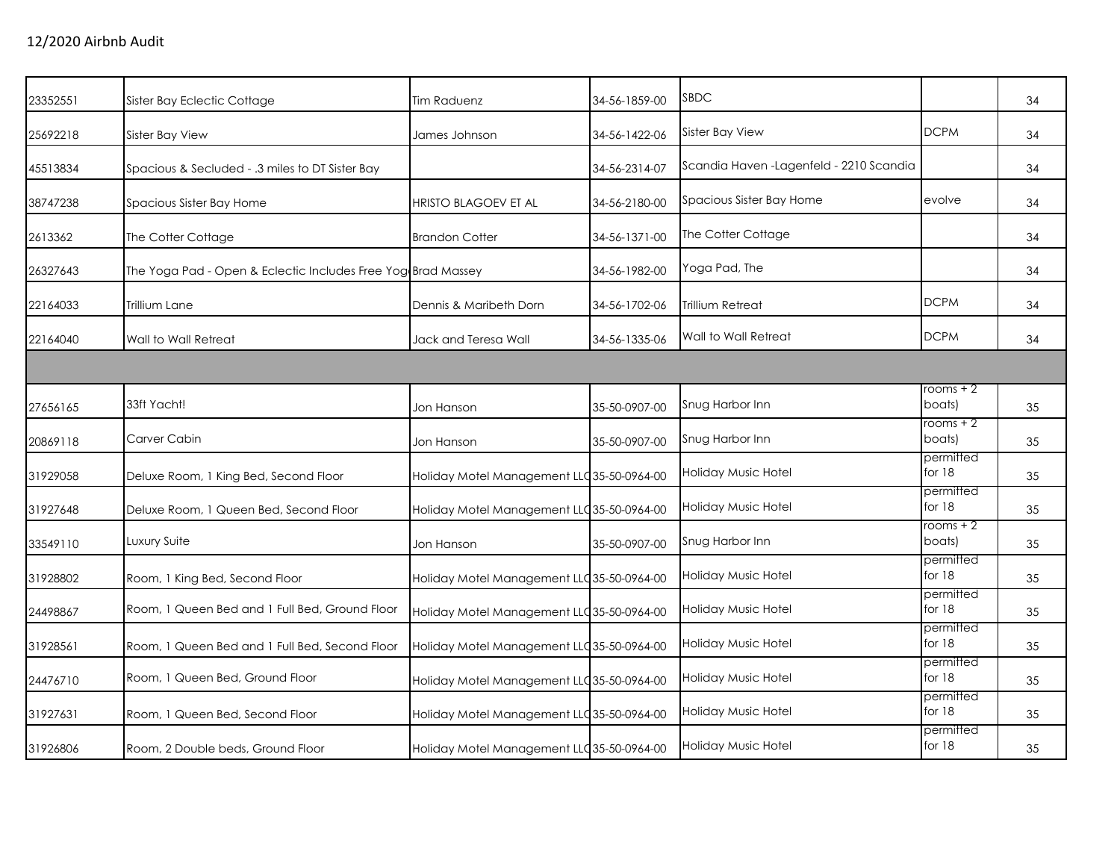| 23352551 | Sister Bay Eclectic Cottage                                  | Tim Raduenz                                | 34-56-1859-00 | <b>SBDC</b>                              |                       | 34 |
|----------|--------------------------------------------------------------|--------------------------------------------|---------------|------------------------------------------|-----------------------|----|
| 25692218 | Sister Bay View                                              | James Johnson                              | 34-56-1422-06 | <b>Sister Bay View</b>                   | <b>DCPM</b>           | 34 |
| 45513834 | Spacious & Secluded - .3 miles to DT Sister Bay              |                                            | 34-56-2314-07 | Scandia Haven - Lagenfeld - 2210 Scandia |                       | 34 |
| 38747238 | Spacious Sister Bay Home                                     | <b>HRISTO BLAGOEV ET AL</b>                | 34-56-2180-00 | Spacious Sister Bay Home                 | evolve                | 34 |
| 2613362  | The Cotter Cottage                                           | <b>Brandon Cotter</b>                      | 34-56-1371-00 | The Cotter Cottage                       |                       | 34 |
| 26327643 | The Yoga Pad - Open & Eclectic Includes Free Yog Brad Massey |                                            | 34-56-1982-00 | Yoga Pad, The                            |                       | 34 |
| 22164033 | Trillium Lane                                                | Dennis & Maribeth Dorn                     | 34-56-1702-06 | Trillium Retreat                         | <b>DCPM</b>           | 34 |
| 22164040 | Wall to Wall Retreat                                         | Jack and Teresa Wall                       | 34-56-1335-06 | Wall to Wall Retreat                     | <b>DCPM</b>           | 34 |
|          |                                                              |                                            |               |                                          |                       |    |
| 27656165 | 33ft Yacht!                                                  | Jon Hanson                                 | 35-50-0907-00 | Snug Harbor Inn                          | rooms + 2<br>boats)   | 35 |
| 20869118 | Carver Cabin                                                 | Jon Hanson                                 | 35-50-0907-00 | Snug Harbor Inn                          | rooms + 2<br>boats)   | 35 |
| 31929058 | Deluxe Room, 1 King Bed, Second Floor                        | Holiday Motel Management LLC 35-50-0964-00 |               | Holiday Music Hotel                      | permitted<br>for 18   | 35 |
| 31927648 | Deluxe Room, 1 Queen Bed, Second Floor                       | Holiday Motel Management LLC 35-50-0964-00 |               | <b>Holiday Music Hotel</b>               | permitted<br>for 18   | 35 |
| 33549110 | Luxury Suite                                                 | Jon Hanson                                 | 35-50-0907-00 | Snug Harbor Inn                          | rooms + 2<br>boats)   | 35 |
| 31928802 | Room, 1 King Bed, Second Floor                               | Holiday Motel Management LLC 35-50-0964-00 |               | <b>Holiday Music Hotel</b>               | permitted<br>for $18$ | 35 |
| 24498867 | Room, 1 Queen Bed and 1 Full Bed, Ground Floor               | Holiday Motel Management LLC 35-50-0964-00 |               | Holiday Music Hotel                      | permitted<br>for 18   | 35 |
| 31928561 | Room, 1 Queen Bed and 1 Full Bed, Second Floor               | Holiday Motel Management LLC 35-50-0964-00 |               | Holiday Music Hotel                      | permitted<br>for 18   | 35 |
| 24476710 | Room, 1 Queen Bed, Ground Floor                              | Holiday Motel Management LLC 35-50-0964-00 |               | Holiday Music Hotel                      | permitted<br>for 18   | 35 |
| 31927631 | Room, 1 Queen Bed, Second Floor                              | Holiday Motel Management LLC 35-50-0964-00 |               | Holiday Music Hotel                      | permitted<br>for $18$ | 35 |
| 31926806 | Room, 2 Double beds, Ground Floor                            | Holiday Motel Management LLC 35-50-0964-00 |               | Holiday Music Hotel                      | permitted<br>for $18$ | 35 |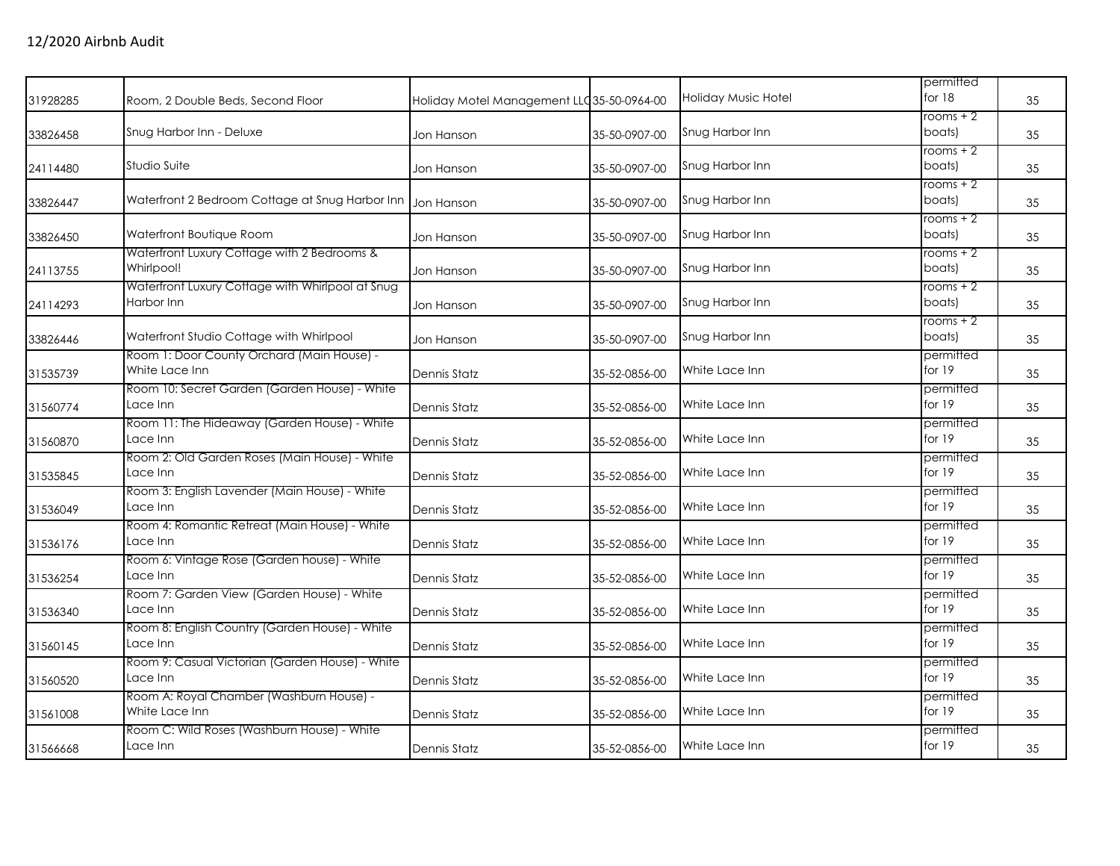| 31928285 | Room, 2 Double Beds, Second Floor                              | Holiday Motel Management LLC 35-50-0964-00 |               | Holiday Music Hotel | permitted<br>for $18$ | 35 |
|----------|----------------------------------------------------------------|--------------------------------------------|---------------|---------------------|-----------------------|----|
| 33826458 | Snug Harbor Inn - Deluxe                                       | Jon Hanson                                 | 35-50-0907-00 | Snug Harbor Inn     | rooms + 2<br>boats)   | 35 |
| 24114480 | Studio Suite                                                   | Jon Hanson                                 | 35-50-0907-00 | Snug Harbor Inn     | rooms $+2$<br>boats)  | 35 |
| 33826447 | Waterfront 2 Bedroom Cottage at Snug Harbor Inn                | Jon Hanson                                 | 35-50-0907-00 | Snug Harbor Inn     | $rooms + 2$<br>boats) | 35 |
| 33826450 | Waterfront Boutique Room                                       | Jon Hanson                                 | 35-50-0907-00 | Snug Harbor Inn     | $rooms + 2$<br>boats) | 35 |
| 24113755 | Waterfront Luxury Cottage with 2 Bedrooms &<br>Whirlpool!      | Jon Hanson                                 | 35-50-0907-00 | Snug Harbor Inn     | $rooms + 2$<br>boats) | 35 |
| 24114293 | Waterfront Luxury Cottage with Whirlpool at Snug<br>Harbor Inn | Jon Hanson                                 | 35-50-0907-00 | Snug Harbor Inn     | rooms + 2<br>boats)   | 35 |
| 33826446 | Waterfront Studio Cottage with Whirlpool                       | Jon Hanson                                 | 35-50-0907-00 | Snug Harbor Inn     | $rooms + 2$<br>boats) | 35 |
| 31535739 | Room 1: Door County Orchard (Main House) -<br>White Lace Inn   | Dennis Statz                               | 35-52-0856-00 | White Lace Inn      | permitted<br>for $19$ | 35 |
| 31560774 | Room 10: Secret Garden (Garden House) - White<br>Lace Inn      | Dennis Statz                               | 35-52-0856-00 | White Lace Inn      | permitted<br>for 19   | 35 |
| 31560870 | Room 11: The Hideaway (Garden House) - White<br>Lace Inn       | Dennis Statz                               | 35-52-0856-00 | White Lace Inn      | permitted<br>for $19$ | 35 |
| 31535845 | Room 2: Old Garden Roses (Main House) - White<br>Lace Inn      | Dennis Statz                               | 35-52-0856-00 | White Lace Inn      | permitted<br>for 19   | 35 |
| 31536049 | Room 3: English Lavender (Main House) - White<br>Lace Inn      | Dennis Statz                               | 35-52-0856-00 | White Lace Inn      | permitted<br>for 19   | 35 |
| 31536176 | Room 4: Romantic Retreat (Main House) - White<br>Lace Inn      | Dennis Statz                               | 35-52-0856-00 | White Lace Inn      | permitted<br>for $19$ | 35 |
| 31536254 | Room 6: Vintage Rose (Garden house) - White<br>Lace Inn        | Dennis Statz                               | 35-52-0856-00 | White Lace Inn      | permitted<br>for 19   | 35 |
| 31536340 | Room 7: Garden View (Garden House) - White<br>Lace Inn         | Dennis Statz                               | 35-52-0856-00 | White Lace Inn      | permitted<br>for $19$ | 35 |
| 31560145 | Room 8: English Country (Garden House) - White<br>Lace Inn     | <b>Dennis Statz</b>                        | 35-52-0856-00 | White Lace Inn      | permitted<br>for 19   | 35 |
| 31560520 | Room 9: Casual Victorian (Garden House) - White<br>Lace Inn    | Dennis Statz                               | 35-52-0856-00 | White Lace Inn      | permitted<br>for 19   | 35 |
| 31561008 | Room A: Royal Chamber (Washburn House) -<br>White Lace Inn     | Dennis Statz                               | 35-52-0856-00 | White Lace Inn      | permitted<br>for 19   | 35 |
| 31566668 | Room C: Wild Roses (Washburn House) - White<br>Lace Inn        | <b>Dennis Statz</b>                        | 35-52-0856-00 | White Lace Inn      | permitted<br>for $19$ | 35 |
|          |                                                                |                                            |               |                     |                       |    |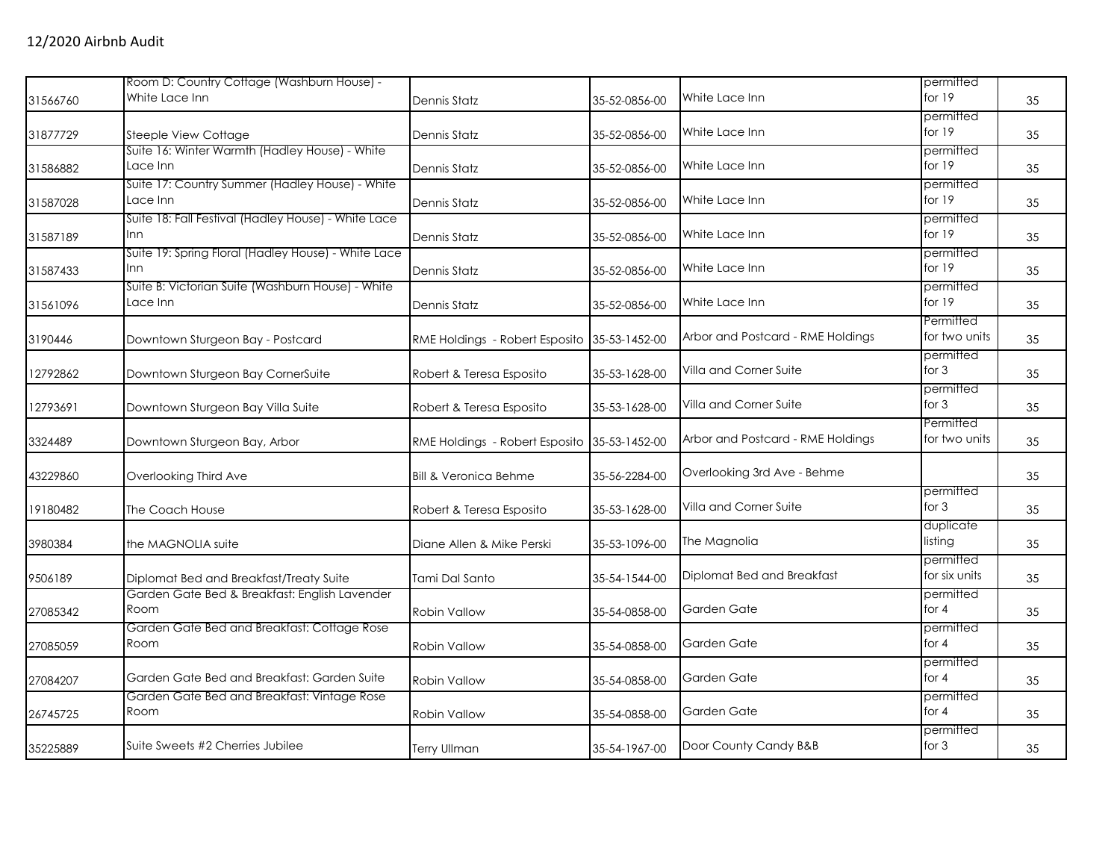|          | Room D: Country Cottage (Washburn House) -                    |                                              |               |                                   | permitted                  |    |
|----------|---------------------------------------------------------------|----------------------------------------------|---------------|-----------------------------------|----------------------------|----|
| 31566760 | White Lace Inn                                                | Dennis Statz                                 | 35-52-0856-00 | White Lace Inn                    | for 19                     | 35 |
| 31877729 | <b>Steeple View Cottage</b>                                   | Dennis Statz                                 | 35-52-0856-00 | White Lace Inn                    | permitted<br>for $19$      | 35 |
| 31586882 | Suite 16: Winter Warmth (Hadley House) - White<br>Lace Inn    | Dennis Statz                                 | 35-52-0856-00 | White Lace Inn                    | permitted<br>for 19        | 35 |
| 31587028 | Suite 17: Country Summer (Hadley House) - White<br>Lace Inn   | <b>Dennis Statz</b>                          | 35-52-0856-00 | White Lace Inn                    | permitted<br>for $19$      | 35 |
| 31587189 | Suite 18: Fall Festival (Hadley House) - White Lace<br>Inn.   | Dennis Statz                                 | 35-52-0856-00 | White Lace Inn                    | permitted<br>for $19$      | 35 |
| 31587433 | Suite 19: Spring Floral (Hadley House) - White Lace<br>Inn    | Dennis Statz                                 | 35-52-0856-00 | White Lace Inn                    | permitted<br>for 19        | 35 |
| 31561096 | Suite B: Victorian Suite (Washburn House) - White<br>Lace Inn | Dennis Statz                                 | 35-52-0856-00 | White Lace Inn                    | permitted<br>for $19$      | 35 |
| 3190446  | Downtown Sturgeon Bay - Postcard                              | RME Holdings - Robert Esposito 35-53-1452-00 |               | Arbor and Postcard - RME Holdings | Permitted<br>for two units | 35 |
| 12792862 | Downtown Sturgeon Bay CornerSuite                             | Robert & Teresa Esposito                     | 35-53-1628-00 | Villa and Corner Suite            | permitted<br>for $3$       | 35 |
| 12793691 | Downtown Sturgeon Bay Villa Suite                             | Robert & Teresa Esposito                     | 35-53-1628-00 | Villa and Corner Suite            | permitted<br>for $3$       | 35 |
| 3324489  | Downtown Sturgeon Bay, Arbor                                  | RME Holdings - Robert Esposito               | 35-53-1452-00 | Arbor and Postcard - RME Holdings | Permitted<br>for two units | 35 |
| 43229860 | Overlooking Third Ave                                         | <b>Bill &amp; Veronica Behme</b>             | 35-56-2284-00 | Overlooking 3rd Ave - Behme       |                            | 35 |
| 19180482 | The Coach House                                               | Robert & Teresa Esposito                     | 35-53-1628-00 | Villa and Corner Suite            | permitted<br>for $3$       | 35 |
| 3980384  | the MAGNOLIA suite                                            | Diane Allen & Mike Perski                    | 35-53-1096-00 | The Magnolia                      | duplicate<br>listing       | 35 |
| 9506189  | Diplomat Bed and Breakfast/Treaty Suite                       | Tami Dal Santo                               | 35-54-1544-00 | Diplomat Bed and Breakfast        | permitted<br>for six units | 35 |
| 27085342 | Garden Gate Bed & Breakfast: English Lavender<br>Room         | <b>Robin Vallow</b>                          | 35-54-0858-00 | Garden Gate                       | permitted<br>for $4$       | 35 |
| 27085059 | Garden Gate Bed and Breakfast: Cottage Rose<br>Room           | <b>Robin Vallow</b>                          | 35-54-0858-00 | Garden Gate                       | permitted<br>for $4$       | 35 |
| 27084207 | Garden Gate Bed and Breakfast: Garden Suite                   | <b>Robin Vallow</b>                          | 35-54-0858-00 | Garden Gate                       | permitted<br>for $4$       | 35 |
| 26745725 | Garden Gate Bed and Breakfast: Vintage Rose<br>Room           | <b>Robin Vallow</b>                          | 35-54-0858-00 | Garden Gate                       | permitted<br>for $4$       | 35 |
| 35225889 | Suite Sweets #2 Cherries Jubilee                              | <b>Terry Ullman</b>                          | 35-54-1967-00 | Door County Candy B&B             | permitted<br>for $3$       | 35 |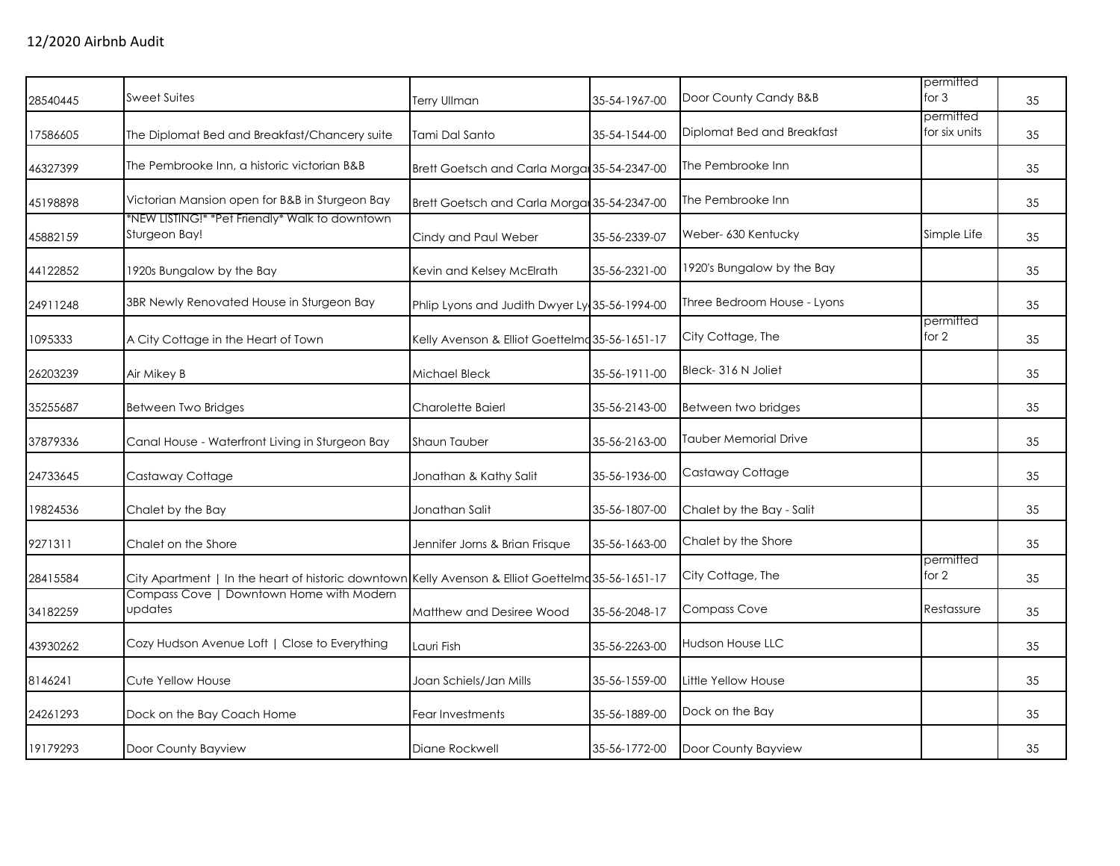| 28540445 | <b>Sweet Suites</b>                                                                               | <b>Terry Ullman</b>                            | 35-54-1967-00 | Door County Candy B&B        | permitted<br>for $3$       | 35 |
|----------|---------------------------------------------------------------------------------------------------|------------------------------------------------|---------------|------------------------------|----------------------------|----|
| 17586605 | The Diplomat Bed and Breakfast/Chancery suite                                                     | Tami Dal Santo                                 | 35-54-1544-00 | Diplomat Bed and Breakfast   | permitted<br>for six units | 35 |
| 46327399 | The Pembrooke Inn, a historic victorian B&B                                                       | Brett Goetsch and Carla Morgan 35-54-2347-00   |               | The Pembrooke Inn            |                            | 35 |
| 45198898 | Victorian Mansion open for B&B in Sturgeon Bay                                                    | Brett Goetsch and Carla Morga 35-54-2347-00    |               | The Pembrooke Inn            |                            | 35 |
| 45882159 | *NEW LISTING!* *Pet Friendly* Walk to downtown<br>Sturgeon Bay!                                   | Cindy and Paul Weber                           | 35-56-2339-07 | Weber- 630 Kentucky          | Simple Life                | 35 |
| 44122852 | 1920s Bungalow by the Bay                                                                         | Kevin and Kelsey McElrath                      | 35-56-2321-00 | 1920's Bungalow by the Bay   |                            | 35 |
| 24911248 | 3BR Newly Renovated House in Sturgeon Bay                                                         | Phlip Lyons and Judith Dwyer Ly 35-56-1994-00  |               | Three Bedroom House - Lyons  |                            | 35 |
| 1095333  | A City Cottage in the Heart of Town                                                               | Kelly Avenson & Elliot Goettelmd 35-56-1651-17 |               | City Cottage, The            | permitted<br>for 2         | 35 |
| 26203239 | Air Mikey B                                                                                       | Michael Bleck                                  | 35-56-1911-00 | Bleck-316 N Joliet           |                            | 35 |
| 35255687 | Between Two Bridges                                                                               | Charolette Baierl                              | 35-56-2143-00 | Between two bridges          |                            | 35 |
| 37879336 | Canal House - Waterfront Living in Sturgeon Bay                                                   | Shaun Tauber                                   | 35-56-2163-00 | <b>Tauber Memorial Drive</b> |                            | 35 |
| 24733645 | Castaway Cottage                                                                                  | Jonathan & Kathy Salit                         | 35-56-1936-00 | Castaway Cottage             |                            | 35 |
| 19824536 | Chalet by the Bay                                                                                 | Jonathan Salit                                 | 35-56-1807-00 | Chalet by the Bay - Salit    |                            | 35 |
| 9271311  | Chalet on the Shore                                                                               | Jennifer Jorns & Brian Frisque                 | 35-56-1663-00 | Chalet by the Shore          |                            | 35 |
| 28415584 | City Apartment   In the heart of historic downtown Kelly Avenson & Elliot Goettelma 35-56-1651-17 |                                                |               | City Cottage, The            | permitted<br>for 2         | 35 |
| 34182259 | Compass Cove   Downtown Home with Modern<br>updates                                               | Matthew and Desiree Wood                       | 35-56-2048-17 | <b>Compass Cove</b>          | Restassure                 | 35 |
| 43930262 | Cozy Hudson Avenue Loft   Close to Everything                                                     | Lauri Fish                                     | 35-56-2263-00 | <b>Hudson House LLC</b>      |                            | 35 |
| 8146241  | Cute Yellow House                                                                                 | Joan Schiels/Jan Mills                         | 35-56-1559-00 | Little Yellow House          |                            | 35 |
| 24261293 | Dock on the Bay Coach Home                                                                        | Fear Investments                               | 35-56-1889-00 | Dock on the Bay              |                            | 35 |
| 19179293 | Door County Bayview                                                                               | Diane Rockwell                                 | 35-56-1772-00 | Door County Bayview          |                            | 35 |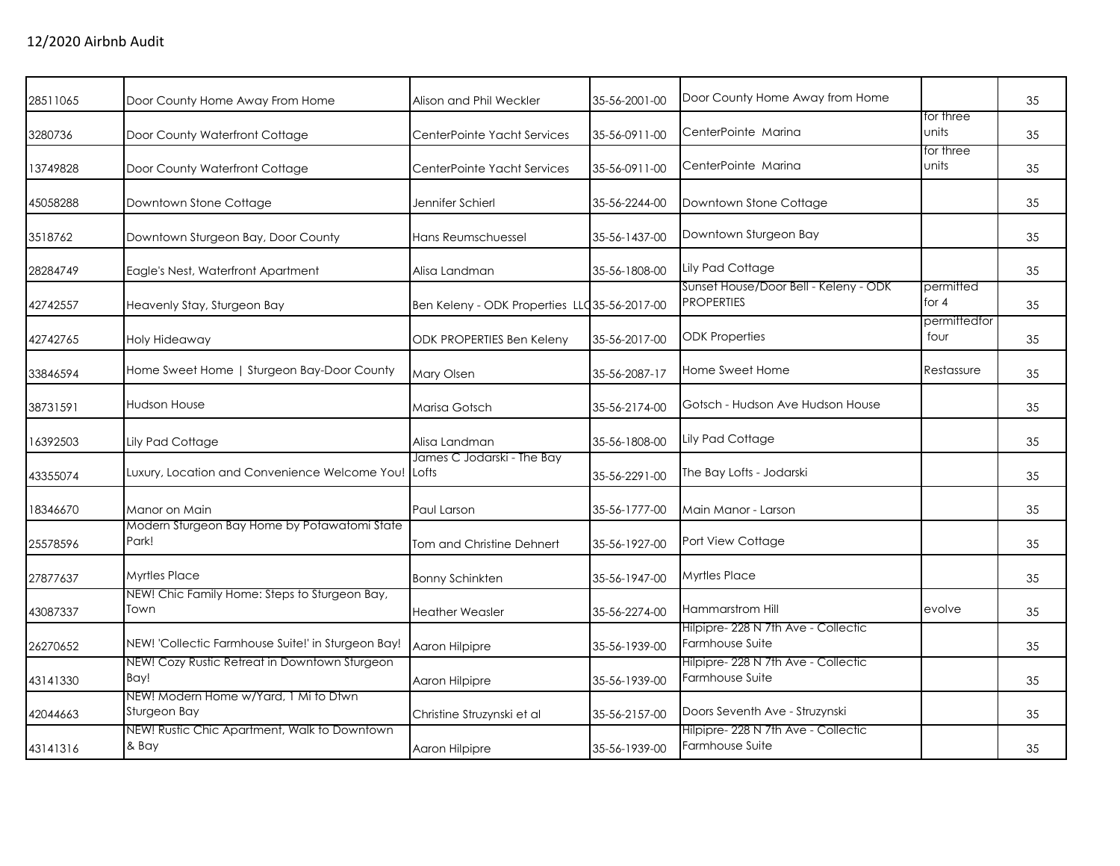| 28511065 | Door County Home Away From Home                       | Alison and Phil Weckler                       | 35-56-2001-00 | Door County Home Away from Home                            |                      | 35 |
|----------|-------------------------------------------------------|-----------------------------------------------|---------------|------------------------------------------------------------|----------------------|----|
| 3280736  | Door County Waterfront Cottage                        | CenterPointe Yacht Services                   | 35-56-0911-00 | CenterPointe Marina                                        | for three<br>units   | 35 |
| 13749828 | Door County Waterfront Cottage                        | CenterPointe Yacht Services                   | 35-56-0911-00 | CenterPointe Marina                                        | for three<br>units   | 35 |
| 45058288 | Downtown Stone Cottage                                | Jennifer Schierl                              | 35-56-2244-00 | Downtown Stone Cottage                                     |                      | 35 |
| 3518762  | Downtown Sturgeon Bay, Door County                    | Hans Reumschuessel                            | 35-56-1437-00 | Downtown Sturgeon Bay                                      |                      | 35 |
| 28284749 | Eagle's Nest, Waterfront Apartment                    | Alisa Landman                                 | 35-56-1808-00 | Lily Pad Cottage                                           |                      | 35 |
| 42742557 | Heavenly Stay, Sturgeon Bay                           | Ben Keleny - ODK Properties LLC 35-56-2017-00 |               | Sunset House/Door Bell - Keleny - ODK<br><b>PROPERTIES</b> | permitted<br>for 4   | 35 |
| 42742765 | Holy Hideaway                                         | ODK PROPERTIES Ben Keleny                     | 35-56-2017-00 | <b>ODK Properties</b>                                      | permittedfor<br>four | 35 |
| 33846594 | Home Sweet Home   Sturgeon Bay-Door County            | Mary Olsen                                    | 35-56-2087-17 | Home Sweet Home                                            | Restassure           | 35 |
| 38731591 | <b>Hudson House</b>                                   | Marisa Gotsch                                 | 35-56-2174-00 | Gotsch - Hudson Ave Hudson House                           |                      | 35 |
| 16392503 | Lily Pad Cottage                                      | Alisa Landman                                 | 35-56-1808-00 | Lily Pad Cottage                                           |                      | 35 |
| 43355074 | Luxury, Location and Convenience Welcome You!         | James C Jodarski - The Bay<br>Lofts           | 35-56-2291-00 | The Bay Lofts - Jodarski                                   |                      | 35 |
| 18346670 | Manor on Main                                         | Paul Larson                                   | 35-56-1777-00 | Main Manor - Larson                                        |                      | 35 |
| 25578596 | Modern Sturgeon Bay Home by Potawatomi State<br>Park! | Tom and Christine Dehnert                     | 35-56-1927-00 | Port View Cottage                                          |                      | 35 |
| 27877637 | <b>Myrtles Place</b>                                  | <b>Bonny Schinkten</b>                        | 35-56-1947-00 | <b>Myrtles Place</b>                                       |                      | 35 |
| 43087337 | NEW! Chic Family Home: Steps to Sturgeon Bay,<br>Town | <b>Heather Weasler</b>                        | 35-56-2274-00 | Hammarstrom Hill                                           | evolve               | 35 |
| 26270652 | NEW! 'Collectic Farmhouse Suite!' in Sturgeon Bay!    | Aaron Hilpipre                                | 35-56-1939-00 | Hilpipre- 228 N 7th Ave - Collectic<br>Farmhouse Suite     |                      | 35 |
| 43141330 | NEW! Cozy Rustic Retreat in Downtown Sturgeon<br>Bay! | Aaron Hilpipre                                | 35-56-1939-00 | Hilpipre-228 N 7th Ave - Collectic<br>Farmhouse Suite      |                      | 35 |
| 42044663 | NEW! Modern Home w/Yard, 1 Mi to Dtwn<br>Sturgeon Bay | Christine Struzynski et al                    | 35-56-2157-00 | Doors Seventh Ave - Struzynski                             |                      | 35 |
| 43141316 | NEW! Rustic Chic Apartment, Walk to Downtown<br>& Bay | Aaron Hilpipre                                | 35-56-1939-00 | Hilpipre- 228 N 7th Ave - Collectic<br>Farmhouse Suite     |                      | 35 |
|          |                                                       |                                               |               |                                                            |                      |    |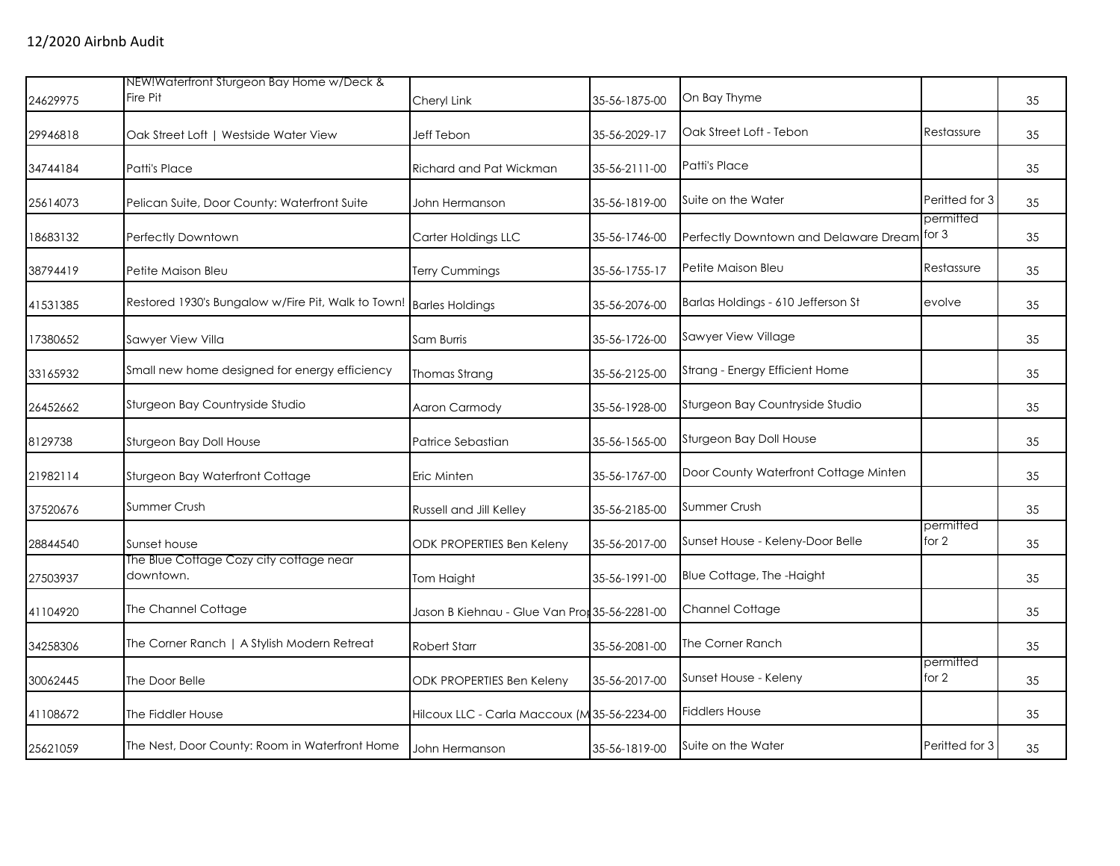| 24629975 | NEW!Waterfront Sturgeon Bay Home w/Deck &<br>Fire Pit | Cheryl Link                                   | 35-56-1875-00 | On Bay Thyme                          |                      | 35 |
|----------|-------------------------------------------------------|-----------------------------------------------|---------------|---------------------------------------|----------------------|----|
| 29946818 | Oak Street Loft   Westside Water View                 | Jeff Tebon                                    | 35-56-2029-17 | Oak Street Loft - Tebon               | Restassure           | 35 |
| 34744184 | Patti's Place                                         | Richard and Pat Wickman                       | 35-56-2111-00 | Patti's Place                         |                      | 35 |
| 25614073 | Pelican Suite, Door County: Waterfront Suite          | John Hermanson                                | 35-56-1819-00 | Suite on the Water                    | Peritted for 3       | 35 |
| 18683132 | Perfectly Downtown                                    | Carter Holdings LLC                           | 35-56-1746-00 | Perfectly Downtown and Delaware Dream | permitted<br>for $3$ | 35 |
| 38794419 | Petite Maison Bleu                                    | Terry Cummings                                | 35-56-1755-17 | Petite Maison Bleu                    | Restassure           | 35 |
| 41531385 | Restored 1930's Bungalow w/Fire Pit, Walk to Town!    | <b>Barles Holdings</b>                        | 35-56-2076-00 | Barlas Holdings - 610 Jefferson St    | evolve               | 35 |
| 17380652 | Sawyer View Villa                                     | Sam Burris                                    | 35-56-1726-00 | Sawyer View Village                   |                      | 35 |
| 33165932 | Small new home designed for energy efficiency         | Thomas Strang                                 | 35-56-2125-00 | Strang - Energy Efficient Home        |                      | 35 |
| 26452662 | Sturgeon Bay Countryside Studio                       | Aaron Carmody                                 | 35-56-1928-00 | Sturgeon Bay Countryside Studio       |                      | 35 |
| 8129738  | Sturgeon Bay Doll House                               | Patrice Sebastian                             | 35-56-1565-00 | Sturgeon Bay Doll House               |                      | 35 |
| 21982114 | Sturgeon Bay Waterfront Cottage                       | Eric Minten                                   | 35-56-1767-00 | Door County Waterfront Cottage Minten |                      | 35 |
| 37520676 | Summer Crush                                          | Russell and Jill Kelley                       | 35-56-2185-00 | Summer Crush                          |                      | 35 |
| 28844540 | Sunset house                                          | <b>ODK PROPERTIES Ben Keleny</b>              | 35-56-2017-00 | Sunset House - Keleny-Door Belle      | permitted<br>for 2   | 35 |
| 27503937 | The Blue Cottage Cozy city cottage near<br>downtown.  | Tom Haight                                    | 35-56-1991-00 | Blue Cottage, The -Haight             |                      | 35 |
| 41104920 | The Channel Cottage                                   | Jason B Kiehnau - Glue Van Pror 35-56-2281-00 |               | Channel Cottage                       |                      | 35 |
| 34258306 | The Corner Ranch   A Stylish Modern Retreat           | <b>Robert Starr</b>                           | 35-56-2081-00 | The Corner Ranch                      |                      | 35 |
| 30062445 | The Door Belle                                        | <b>ODK PROPERTIES Ben Keleny</b>              | 35-56-2017-00 | Sunset House - Keleny                 | permitted<br>for 2   | 35 |
| 41108672 | The Fiddler House                                     | Hilcoux LLC - Carla Maccoux (M35-56-2234-00   |               | <b>Fiddlers House</b>                 |                      | 35 |
| 25621059 | The Nest, Door County: Room in Waterfront Home        | John Hermanson                                | 35-56-1819-00 | Suite on the Water                    | Peritted for 3       | 35 |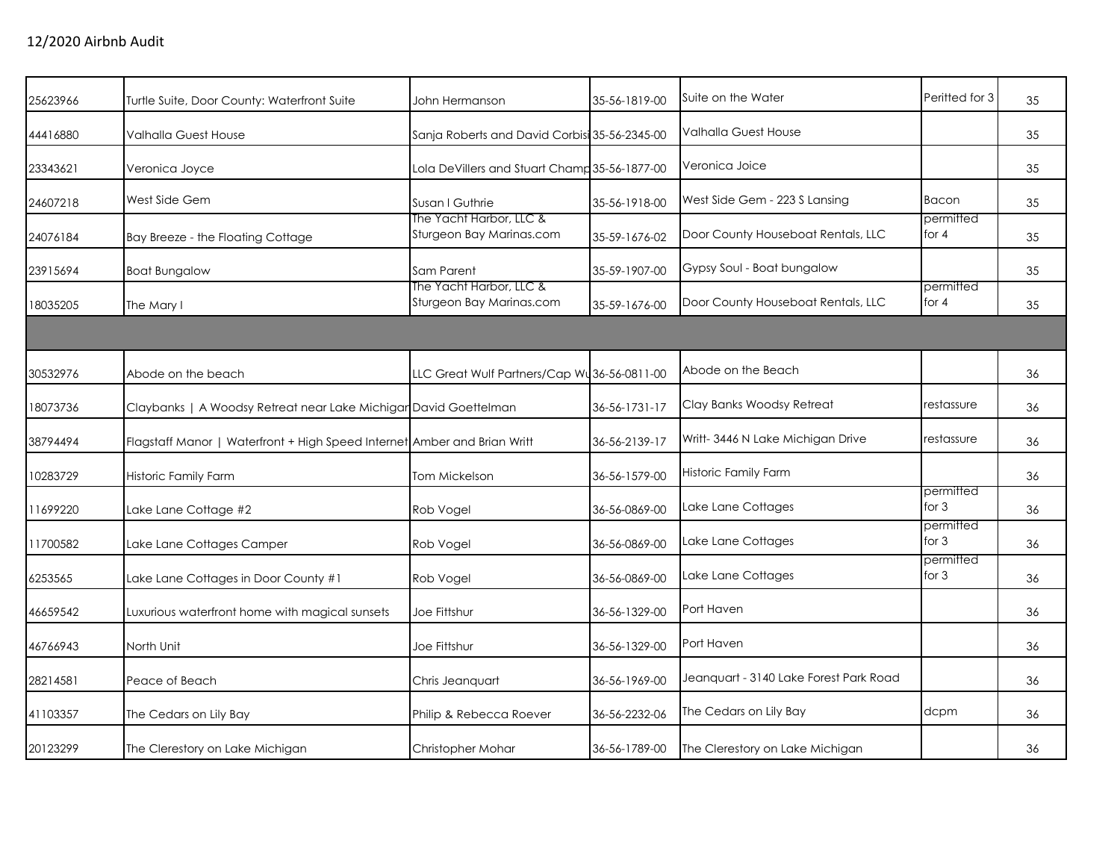| 25623966 | Turtle Suite, Door County: Waterfront Suite                              | John Hermanson                                      | 35-56-1819-00 | Suite on the Water                     | Peritted for 3       | 35 |
|----------|--------------------------------------------------------------------------|-----------------------------------------------------|---------------|----------------------------------------|----------------------|----|
| 44416880 | <b>Valhalla Guest House</b>                                              | Sanja Roberts and David Corbisi 35-56-2345-00       |               | <b>Valhalla Guest House</b>            |                      | 35 |
| 23343621 | Veronica Joyce                                                           | Lola DeVillers and Stuart Champ 35-56-1877-00       |               | Veronica Joice                         |                      | 35 |
| 24607218 | West Side Gem                                                            | Susan I Guthrie                                     | 35-56-1918-00 | West Side Gem - 223 S Lansing          | Bacon                | 35 |
| 24076184 | Bay Breeze - the Floating Cottage                                        | The Yacht Harbor, LLC &<br>Sturgeon Bay Marinas.com | 35-59-1676-02 | Door County Houseboat Rentals, LLC     | permitted<br>for $4$ | 35 |
| 23915694 | <b>Boat Bungalow</b>                                                     | Sam Parent                                          | 35-59-1907-00 | Gypsy Soul - Boat bungalow             |                      | 35 |
| 18035205 | The Mary I                                                               | The Yacht Harbor, LLC &<br>Sturgeon Bay Marinas.com | 35-59-1676-00 | Door County Houseboat Rentals, LLC     | permitted<br>for $4$ | 35 |
|          |                                                                          |                                                     |               |                                        |                      |    |
| 30532976 | Abode on the beach                                                       | LLC Great Wulf Partners/Cap Wu36-56-0811-00         |               | Abode on the Beach                     |                      | 36 |
| 18073736 | Claybanks   A Woodsy Retreat near Lake Michigar David Goettelman         |                                                     | 36-56-1731-17 | Clay Banks Woodsy Retreat              | restassure           | 36 |
| 38794494 | Flagstaff Manor   Waterfront + High Speed Internet Amber and Brian Writt |                                                     | 36-56-2139-17 | Writt- 3446 N Lake Michigan Drive      | restassure           | 36 |
| 10283729 | Historic Family Farm                                                     | Tom Mickelson                                       | 36-56-1579-00 | Historic Family Farm                   |                      | 36 |
| 11699220 | Lake Lane Cottage #2                                                     | Rob Vogel                                           | 36-56-0869-00 | Lake Lane Cottages                     | permitted<br>for $3$ | 36 |
| 11700582 | Lake Lane Cottages Camper                                                | Rob Vogel                                           | 36-56-0869-00 | Lake Lane Cottages                     | permitted<br>for $3$ | 36 |
| 6253565  | Lake Lane Cottages in Door County #1                                     | Rob Vogel                                           | 36-56-0869-00 | Lake Lane Cottages                     | permitted<br>for $3$ | 36 |
| 46659542 | Luxurious waterfront home with magical sunsets                           | <b>Joe Fittshur</b>                                 | 36-56-1329-00 | Port Haven                             |                      | 36 |
| 46766943 | North Unit                                                               | Joe Fittshur                                        | 36-56-1329-00 | Port Haven                             |                      | 36 |
| 28214581 | Peace of Beach                                                           | Chris Jeanquart                                     | 36-56-1969-00 | Jeanquart - 3140 Lake Forest Park Road |                      | 36 |
| 41103357 | The Cedars on Lily Bay                                                   | Philip & Rebecca Roever                             | 36-56-2232-06 | The Cedars on Lily Bay                 | dcpm                 | 36 |
| 20123299 | The Clerestory on Lake Michigan                                          | Christopher Mohar                                   | 36-56-1789-00 | The Clerestory on Lake Michigan        |                      | 36 |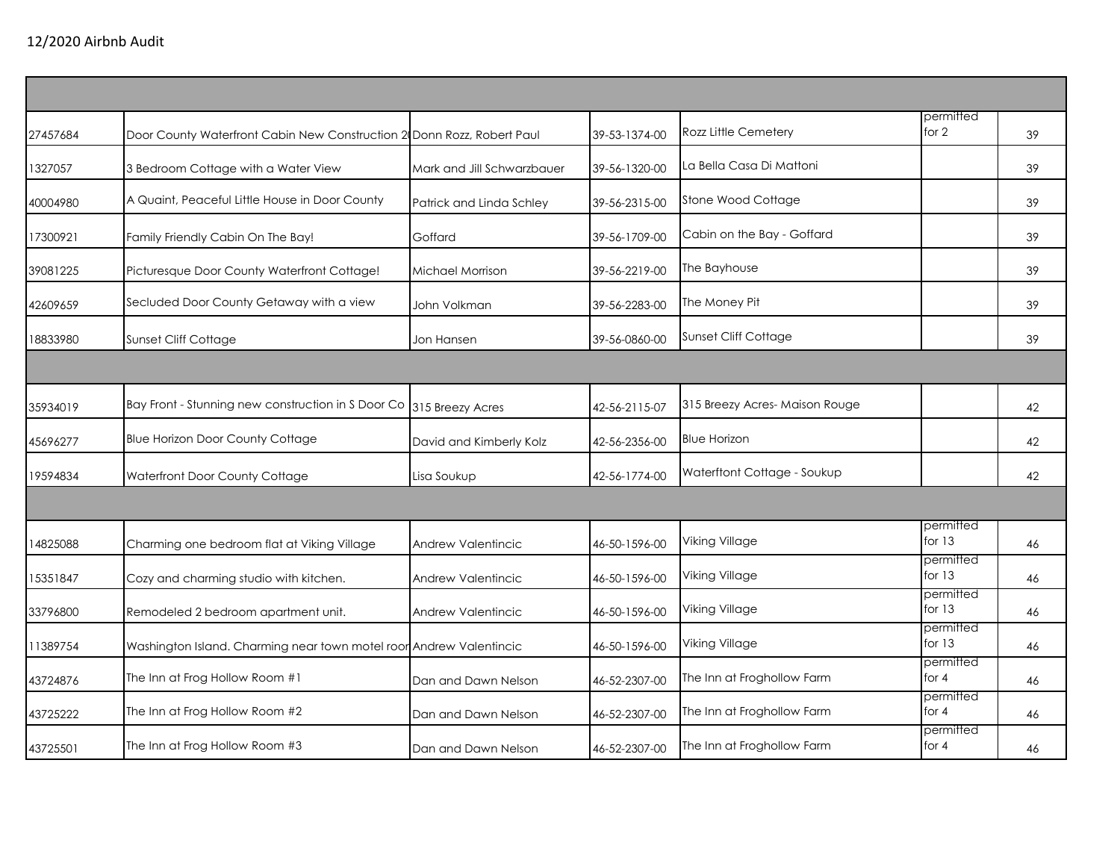| 27457684 | Door County Waterfront Cabin New Construction 2 Donn Rozz, Robert Paul |                            | 39-53-1374-00 | Rozz Little Cemetery           | permitted<br>for $2$  | 39 |
|----------|------------------------------------------------------------------------|----------------------------|---------------|--------------------------------|-----------------------|----|
| 1327057  | 3 Bedroom Cottage with a Water View                                    | Mark and Jill Schwarzbauer | 39-56-1320-00 | La Bella Casa Di Mattoni       |                       | 39 |
| 40004980 | A Quaint, Peaceful Little House in Door County                         | Patrick and Linda Schley   | 39-56-2315-00 | Stone Wood Cottage             |                       | 39 |
| 17300921 | Family Friendly Cabin On The Bay!                                      | Goffard                    | 39-56-1709-00 | Cabin on the Bay - Goffard     |                       | 39 |
| 39081225 | Picturesque Door County Waterfront Cottage!                            | Michael Morrison           | 39-56-2219-00 | The Bayhouse                   |                       | 39 |
| 42609659 | Secluded Door County Getaway with a view                               | John Volkman               | 39-56-2283-00 | The Money Pit                  |                       | 39 |
| 18833980 | Sunset Cliff Cottage                                                   | Jon Hansen                 | 39-56-0860-00 | Sunset Cliff Cottage           |                       | 39 |
|          |                                                                        |                            |               |                                |                       |    |
| 35934019 | Bay Front - Stunning new construction in S Door Co                     | 315 Breezy Acres           | 42-56-2115-07 | 315 Breezy Acres- Maison Rouge |                       | 42 |
| 45696277 | <b>Blue Horizon Door County Cottage</b>                                | David and Kimberly Kolz    | 42-56-2356-00 | <b>Blue Horizon</b>            |                       | 42 |
| 19594834 | Waterfront Door County Cottage                                         | Lisa Soukup                | 42-56-1774-00 | Waterftont Cottage - Soukup    |                       | 42 |
|          |                                                                        |                            |               |                                |                       |    |
| 4825088  | Charming one bedroom flat at Viking Village                            | Andrew Valentincic         | 46-50-1596-00 | Viking Village                 | permitted<br>for $13$ | 46 |
| 15351847 | Cozy and charming studio with kitchen.                                 | Andrew Valentincic         | 46-50-1596-00 | Viking Village                 | permitted<br>for $13$ | 46 |
| 33796800 | Remodeled 2 bedroom apartment unit.                                    | Andrew Valentincic         | 46-50-1596-00 | Viking Village                 | permitted<br>for $13$ | 46 |
| 11389754 | Washington Island. Charming near town motel roor Andrew Valentincic    |                            | 46-50-1596-00 | Viking Village                 | permitted<br>for 13   | 46 |
| 43724876 | The Inn at Frog Hollow Room #1                                         | Dan and Dawn Nelson        | 46-52-2307-00 | The Inn at Froghollow Farm     | permitted<br>for $4$  | 46 |
| 43725222 | The Inn at Frog Hollow Room #2                                         | Dan and Dawn Nelson        | 46-52-2307-00 | The Inn at Froghollow Farm     | permitted<br>for $4$  | 46 |
| 43725501 | The Inn at Frog Hollow Room #3                                         | Dan and Dawn Nelson        | 46-52-2307-00 | The Inn at Froghollow Farm     | permitted<br>for $4$  | 46 |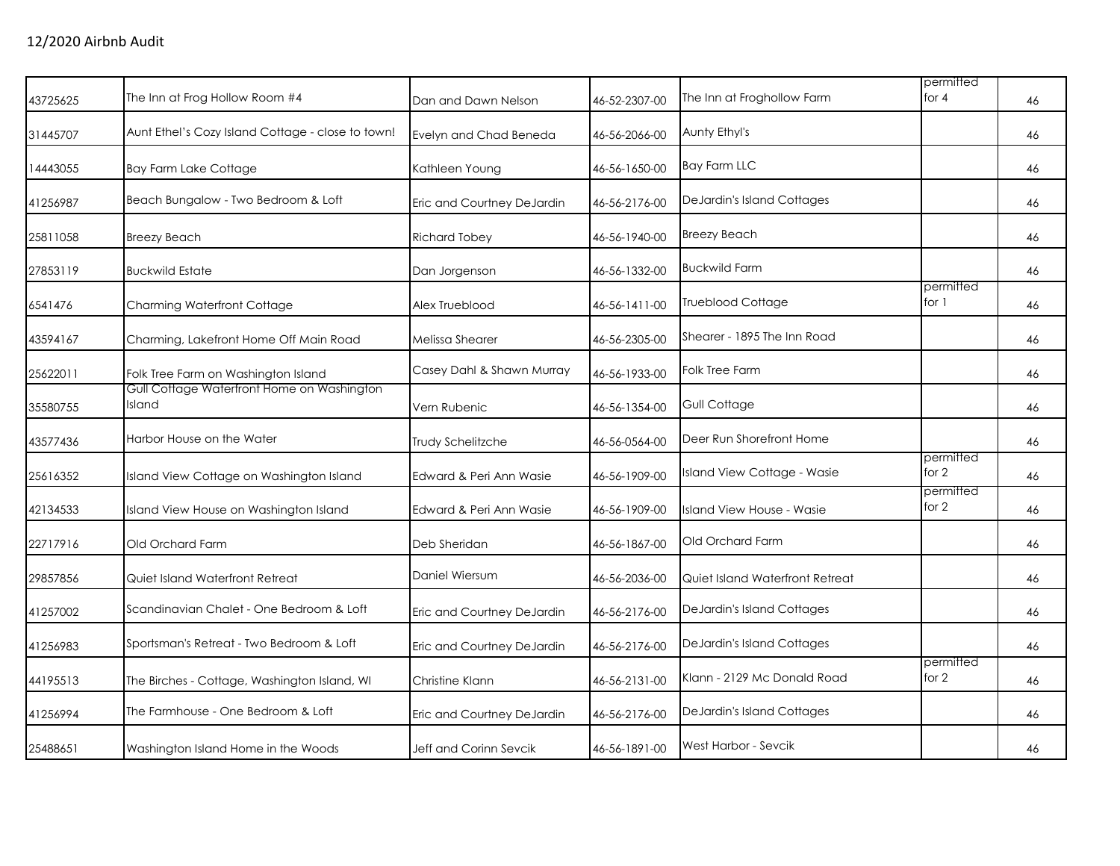| 43725625 | The Inn at Frog Hollow Room #4                       | Dan and Dawn Nelson        | 46-52-2307-00 | The Inn at Froghollow Farm        | permitted<br>for $4$ | 46 |
|----------|------------------------------------------------------|----------------------------|---------------|-----------------------------------|----------------------|----|
| 31445707 | Aunt Ethel's Cozy Island Cottage - close to town!    | Evelyn and Chad Beneda     | 46-56-2066-00 | Aunty Ethyl's                     |                      | 46 |
| 14443055 | <b>Bay Farm Lake Cottage</b>                         | Kathleen Young             | 46-56-1650-00 | <b>Bay Farm LLC</b>               |                      | 46 |
| 41256987 | Beach Bungalow - Two Bedroom & Loft                  | Eric and Courtney DeJardin | 46-56-2176-00 | DeJardin's Island Cottages        |                      | 46 |
| 25811058 | <b>Breezy Beach</b>                                  | <b>Richard Tobey</b>       | 46-56-1940-00 | <b>Breezy Beach</b>               |                      | 46 |
| 27853119 | <b>Buckwild Estate</b>                               | Dan Jorgenson              | 46-56-1332-00 | <b>Buckwild Farm</b>              |                      | 46 |
| 6541476  | <b>Charming Waterfront Cottage</b>                   | Alex Trueblood             | 46-56-1411-00 | <b>Trueblood Cottage</b>          | permitted<br>for 1   | 46 |
| 43594167 | Charming, Lakefront Home Off Main Road               | Melissa Shearer            | 46-56-2305-00 | Shearer - 1895 The Inn Road       |                      | 46 |
| 25622011 | Folk Tree Farm on Washington Island                  | Casey Dahl & Shawn Murray  | 46-56-1933-00 | <b>Folk Tree Farm</b>             |                      | 46 |
| 35580755 | Gull Cottage Waterfront Home on Washington<br>Island | Vern Rubenic               | 46-56-1354-00 | Gull Cottage                      |                      | 46 |
| 43577436 | Harbor House on the Water                            | Trudy Schelitzche          | 46-56-0564-00 | Deer Run Shorefront Home          |                      | 46 |
| 25616352 | Island View Cottage on Washington Island             | Edward & Peri Ann Wasie    | 46-56-1909-00 | Island View Cottage - Wasie       | permitted<br>for $2$ | 46 |
| 42134533 | Island View House on Washington Island               | Edward & Peri Ann Wasie    | 46-56-1909-00 | Island View House - Wasie         | permitted<br>for 2   | 46 |
| 22717916 | Old Orchard Farm                                     | Deb Sheridan               | 46-56-1867-00 | Old Orchard Farm                  |                      | 46 |
| 29857856 | Quiet Island Waterfront Retreat                      | Daniel Wiersum             | 46-56-2036-00 | Quiet Island Waterfront Retreat   |                      | 46 |
| 41257002 | Scandinavian Chalet - One Bedroom & Loft             | Eric and Courtney DeJardin | 46-56-2176-00 | <b>DeJardin's Island Cottages</b> |                      | 46 |
| 41256983 | Sportsman's Retreat - Two Bedroom & Loft             | Eric and Courtney DeJardin | 46-56-2176-00 | DeJardin's Island Cottages        |                      | 46 |
| 44195513 | The Birches - Cottage, Washington Island, WI         | Christine Klann            | 46-56-2131-00 | Klann - 2129 Mc Donald Road       | permitted<br>for 2   | 46 |
| 41256994 | The Farmhouse - One Bedroom & Loft                   | Eric and Courtney DeJardin | 46-56-2176-00 | DeJardin's Island Cottages        |                      | 46 |
| 25488651 | Washington Island Home in the Woods                  | Jeff and Corinn Sevcik     | 46-56-1891-00 | West Harbor - Sevcik              |                      | 46 |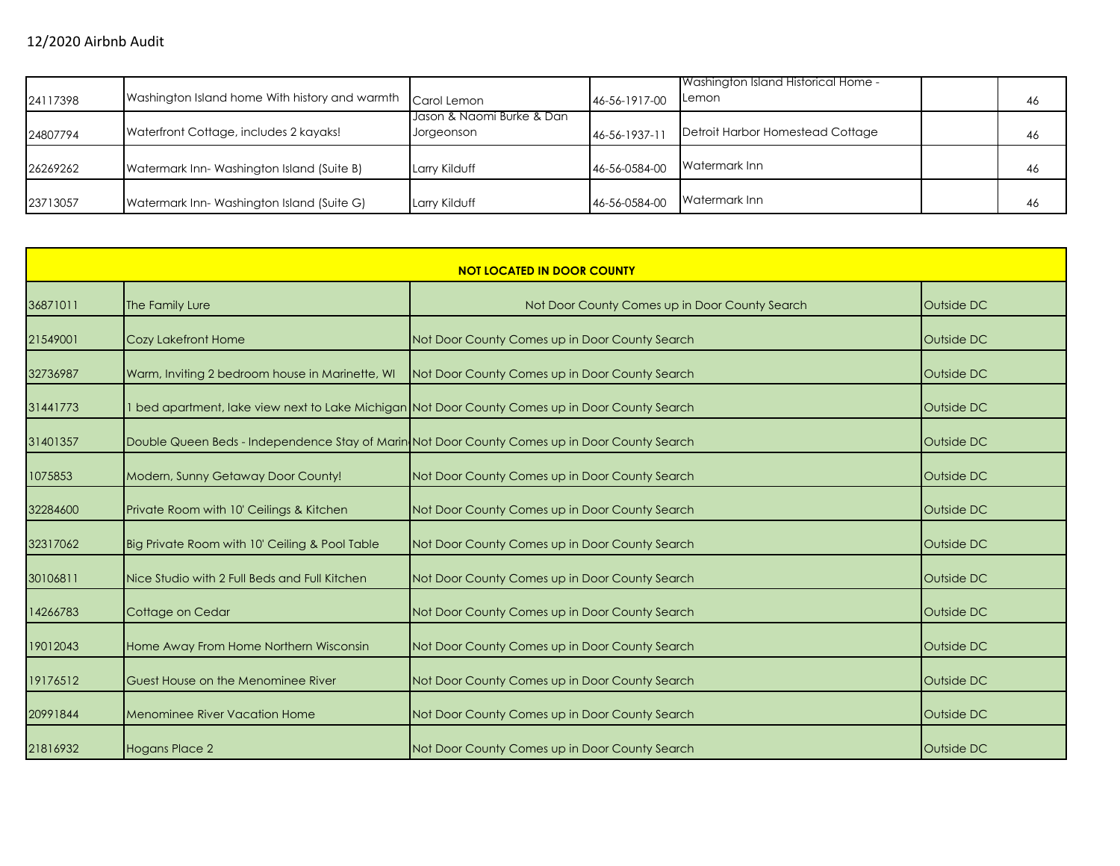| 24117398 | Washington Island home With history and warmth | Carol Lemon                             | 46-56-1917-00 | Washington Island Historical Home -<br><b>ILemon</b> | 46 |
|----------|------------------------------------------------|-----------------------------------------|---------------|------------------------------------------------------|----|
| 24807794 | Waterfront Cottage, includes 2 kayaks!         | Jason & Naomi Burke & Dan<br>Jorgeonson | 46-56-1937-11 | Detroit Harbor Homestead Cottage                     | 46 |
| 26269262 | Watermark Inn-Washington Island (Suite B)      | Larry Kilduff                           | 46-56-0584-00 | Watermark Inn                                        | 46 |
| 23713057 | Watermark Inn-Washington Island (Suite G)      | Larry Kilduff                           | 46-56-0584-00 | Watermark Inn                                        | 46 |

| <b>NOT LOCATED IN DOOR COUNTY</b> |                                                 |                                                                                                 |                   |  |  |
|-----------------------------------|-------------------------------------------------|-------------------------------------------------------------------------------------------------|-------------------|--|--|
| 36871011                          | The Family Lure                                 | Not Door County Comes up in Door County Search                                                  | Outside DC        |  |  |
| 21549001                          | <b>Cozy Lakefront Home</b>                      | Not Door County Comes up in Door County Search                                                  | <b>Outside DC</b> |  |  |
| 32736987                          | Warm, Inviting 2 bedroom house in Marinette, WI | Not Door County Comes up in Door County Search                                                  | Outside DC        |  |  |
| 31441773                          |                                                 | 1 bed apartment, lake view next to Lake Michigan Not Door County Comes up in Door County Search | Outside DC        |  |  |
| 31401357                          |                                                 | Double Queen Beds - Independence Stay of Marin Not Door County Comes up in Door County Search   | Outside DC        |  |  |
| 1075853                           | Modern, Sunny Getaway Door County!              | Not Door County Comes up in Door County Search                                                  | Outside DC        |  |  |
| 32284600                          | Private Room with 10' Ceilings & Kitchen        | Not Door County Comes up in Door County Search                                                  | Outside DC        |  |  |
| 32317062                          | Big Private Room with 10' Ceiling & Pool Table  | Not Door County Comes up in Door County Search                                                  | Outside DC        |  |  |
| 30106811                          | Nice Studio with 2 Full Beds and Full Kitchen   | Not Door County Comes up in Door County Search                                                  | Outside DC        |  |  |
| 14266783                          | Cottage on Cedar                                | Not Door County Comes up in Door County Search                                                  | Outside DC        |  |  |
| 19012043                          | Home Away From Home Northern Wisconsin          | Not Door County Comes up in Door County Search                                                  | Outside DC        |  |  |
| 19176512                          | Guest House on the Menominee River              | Not Door County Comes up in Door County Search                                                  | Outside DC        |  |  |
| 20991844                          | <b>Menominee River Vacation Home</b>            | Not Door County Comes up in Door County Search                                                  | Outside DC        |  |  |
| 21816932                          | <b>Hogans Place 2</b>                           | Not Door County Comes up in Door County Search                                                  | Outside DC        |  |  |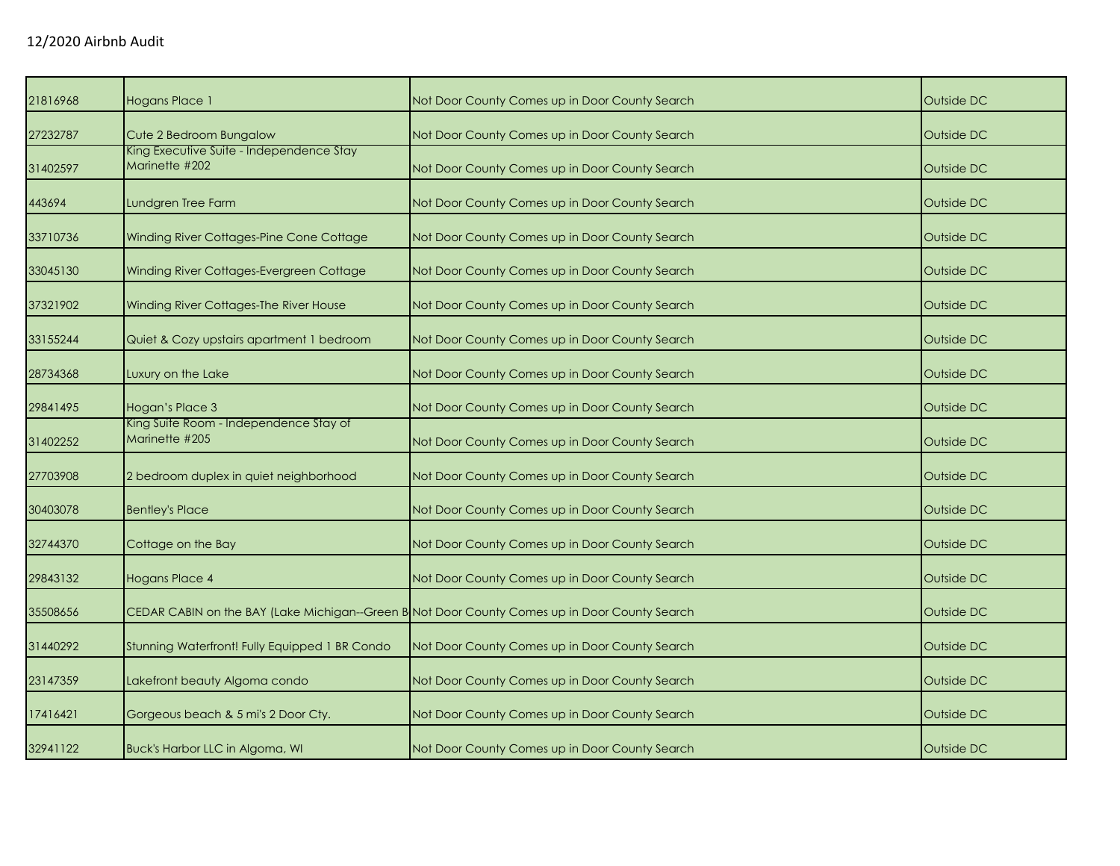| 21816968 | <b>Hogans Place 1</b>                                      | Not Door County Comes up in Door County Search                                                | Outside DC |
|----------|------------------------------------------------------------|-----------------------------------------------------------------------------------------------|------------|
| 27232787 | Cute 2 Bedroom Bungalow                                    | Not Door County Comes up in Door County Search                                                | Outside DC |
| 31402597 | King Executive Suite - Independence Stay<br>Marinette #202 | Not Door County Comes up in Door County Search                                                | Outside DC |
| 443694   | Lundgren Tree Farm                                         | Not Door County Comes up in Door County Search                                                | Outside DC |
| 33710736 | Winding River Cottages-Pine Cone Cottage                   | Not Door County Comes up in Door County Search                                                | Outside DC |
| 33045130 | Winding River Cottages-Evergreen Cottage                   | Not Door County Comes up in Door County Search                                                | Outside DC |
| 37321902 | Winding River Cottages-The River House                     | Not Door County Comes up in Door County Search                                                | Outside DC |
| 33155244 | Quiet & Cozy upstairs apartment 1 bedroom                  | Not Door County Comes up in Door County Search                                                | Outside DC |
| 28734368 | Luxury on the Lake                                         | Not Door County Comes up in Door County Search                                                | Outside DC |
| 29841495 | Hogan's Place 3                                            | Not Door County Comes up in Door County Search                                                | Outside DC |
| 31402252 | King Suite Room - Independence Stay of<br>Marinette #205   | Not Door County Comes up in Door County Search                                                | Outside DC |
| 27703908 | 2 bedroom duplex in quiet neighborhood                     | Not Door County Comes up in Door County Search                                                | Outside DC |
| 30403078 | <b>Bentley's Place</b>                                     | Not Door County Comes up in Door County Search                                                | Outside DC |
| 32744370 | Cottage on the Bay                                         | Not Door County Comes up in Door County Search                                                | Outside DC |
| 29843132 | Hogans Place 4                                             | Not Door County Comes up in Door County Search                                                | Outside DC |
| 35508656 |                                                            | CEDAR CABIN on the BAY (Lake Michigan--Green B Not Door County Comes up in Door County Search | Outside DC |
| 31440292 | Stunning Waterfront! Fully Equipped 1 BR Condo             | Not Door County Comes up in Door County Search                                                | Outside DC |
| 23147359 | Lakefront beauty Algoma condo                              | Not Door County Comes up in Door County Search                                                | Outside DC |
| 17416421 | Gorgeous beach & 5 mi's 2 Door Cty.                        | Not Door County Comes up in Door County Search                                                | Outside DC |
| 32941122 | Buck's Harbor LLC in Algoma, WI                            | Not Door County Comes up in Door County Search                                                | Outside DC |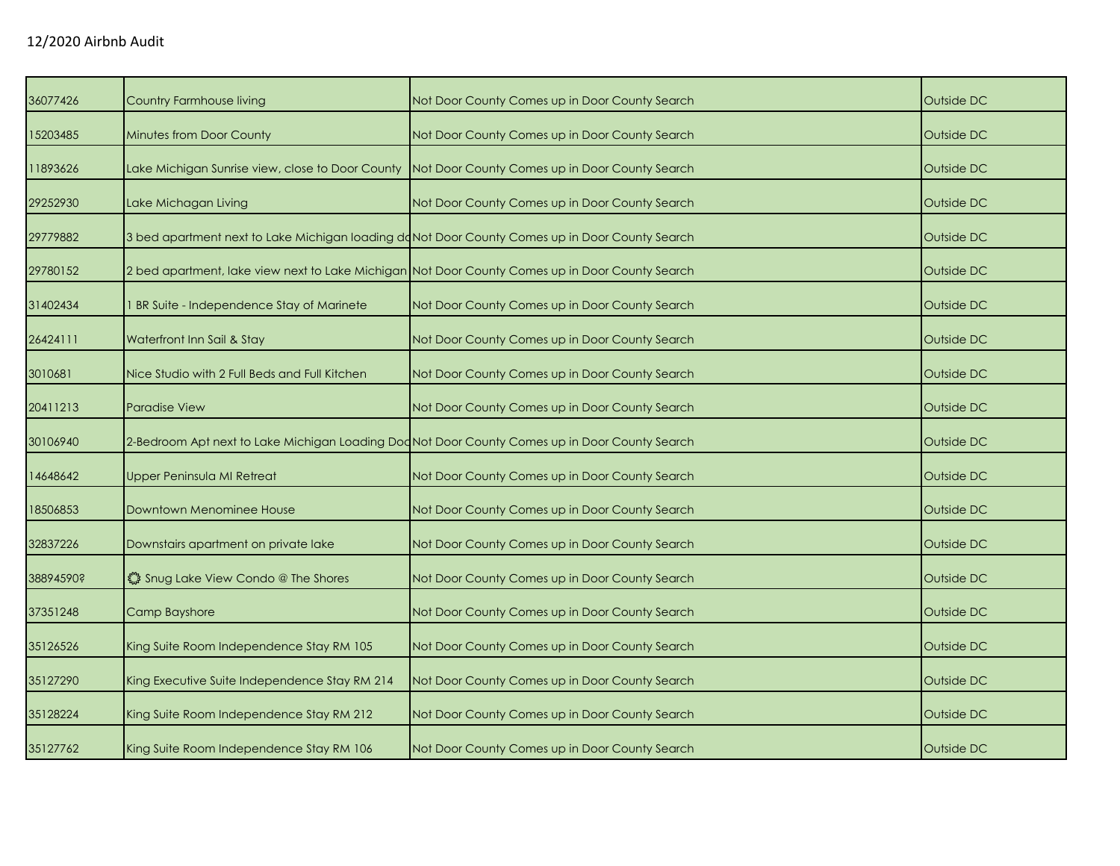| 36077426  | <b>Country Farmhouse living</b>               | Not Door County Comes up in Door County Search                                                  | Outside DC |
|-----------|-----------------------------------------------|-------------------------------------------------------------------------------------------------|------------|
| 15203485  | <b>Minutes from Door County</b>               | Not Door County Comes up in Door County Search                                                  | Outside DC |
| 11893626  |                                               | Lake Michigan Sunrise view, close to Door County Not Door County Comes up in Door County Search | Outside DC |
| 29252930  | Lake Michagan Living                          | Not Door County Comes up in Door County Search                                                  | Outside DC |
| 29779882  |                                               | 3 bed apartment next to Lake Michigan loading doNot Door County Comes up in Door County Search  | Outside DC |
| 29780152  |                                               | 2 bed apartment, lake view next to Lake Michigan Not Door County Comes up in Door County Search | Outside DC |
| 31402434  | I BR Suite - Independence Stay of Marinete    | Not Door County Comes up in Door County Search                                                  | Outside DC |
| 26424111  | Waterfront Inn Sail & Stay                    | Not Door County Comes up in Door County Search                                                  | Outside DC |
| 3010681   | Nice Studio with 2 Full Beds and Full Kitchen | Not Door County Comes up in Door County Search                                                  | Outside DC |
| 20411213  | <b>Paradise View</b>                          | Not Door County Comes up in Door County Search                                                  | Outside DC |
| 30106940  |                                               | 2-Bedroom Apt next to Lake Michigan Loading Doc Not Door County Comes up in Door County Search  | Outside DC |
| 14648642  | Upper Peninsula MI Retreat                    | Not Door County Comes up in Door County Search                                                  | Outside DC |
| 18506853  | Downtown Menominee House                      | Not Door County Comes up in Door County Search                                                  | Outside DC |
| 32837226  | Downstairs apartment on private lake          | Not Door County Comes up in Door County Search                                                  | Outside DC |
| 38894590? | Shug Lake View Condo @ The Shores             | Not Door County Comes up in Door County Search                                                  | Outside DC |
| 37351248  | Camp Bayshore                                 | Not Door County Comes up in Door County Search                                                  | Outside DC |
| 35126526  | King Suite Room Independence Stay RM 105      | Not Door County Comes up in Door County Search                                                  | Outside DC |
| 35127290  | King Executive Suite Independence Stay RM 214 | Not Door County Comes up in Door County Search                                                  | Outside DC |
| 35128224  | King Suite Room Independence Stay RM 212      | Not Door County Comes up in Door County Search                                                  | Outside DC |
| 35127762  | King Suite Room Independence Stay RM 106      | Not Door County Comes up in Door County Search                                                  | Outside DC |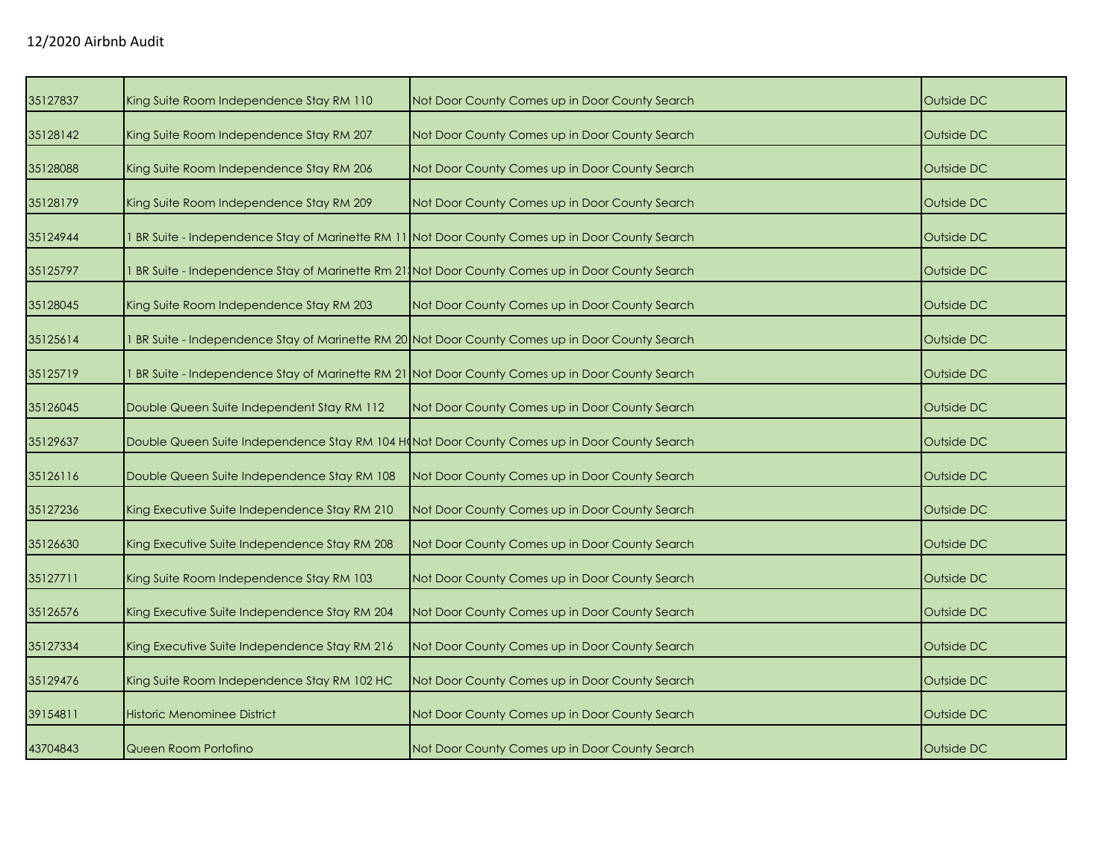| 35127837 | King Suite Room Independence Stay RM 110                                                     | Not Door County Comes up in Door County Search                                                   | Outside DC |
|----------|----------------------------------------------------------------------------------------------|--------------------------------------------------------------------------------------------------|------------|
| 35128142 | King Suite Room Independence Stay RM 207                                                     | Not Door County Comes up in Door County Search                                                   | Outside DC |
| 35128088 | King Suite Room Independence Stay RM 206                                                     | Not Door County Comes up in Door County Search                                                   | Outside DC |
| 35128179 | King Suite Room Independence Stay RM 209                                                     | Not Door County Comes up in Door County Search                                                   | Outside DC |
| 35124944 |                                                                                              | 1 BR Suite - Independence Stay of Marinette RM 11 Not Door County Comes up in Door County Search | Outside DC |
| 35125797 |                                                                                              | BR Suite - Independence Stay of Marinette Rm 21, Not Door County Comes up in Door County Search  | Outside DC |
| 35128045 | King Suite Room Independence Stay RM 203                                                     | Not Door County Comes up in Door County Search                                                   | Outside DC |
| 35125614 |                                                                                              | BR Suite - Independence Stay of Marinette RM 20 Not Door County Comes up in Door County Search   | Outside DC |
| 35125719 |                                                                                              | BR Suite - Independence Stay of Marinette RM 21 Not Door County Comes up in Door County Search   | Outside DC |
| 35126045 | Double Queen Suite Independent Stay RM 112                                                   | Not Door County Comes up in Door County Search                                                   | Outside DC |
| 35129637 | Double Queen Suite Independence Stay RM 104 H(Not Door County Comes up in Door County Search |                                                                                                  | Outside DC |
| 35126116 | Double Queen Suite Independence Stay RM 108                                                  | Not Door County Comes up in Door County Search                                                   | Outside DC |
| 35127236 | King Executive Suite Independence Stay RM 210                                                | Not Door County Comes up in Door County Search                                                   | Outside DC |
| 35126630 | King Executive Suite Independence Stay RM 208                                                | Not Door County Comes up in Door County Search                                                   | Outside DC |
| 35127711 | King Suite Room Independence Stay RM 103                                                     | Not Door County Comes up in Door County Search                                                   | Outside DC |
| 35126576 | King Executive Suite Independence Stay RM 204                                                | Not Door County Comes up in Door County Search                                                   | Outside DC |
| 35127334 | King Executive Suite Independence Stay RM 216                                                | Not Door County Comes up in Door County Search                                                   | Outside DC |
| 35129476 | King Suite Room Independence Stay RM 102 HC                                                  | Not Door County Comes up in Door County Search                                                   | Outside DC |
| 39154811 | Historic Menominee District                                                                  | Not Door County Comes up in Door County Search                                                   | Outside DC |
| 43704843 | Queen Room Portofino                                                                         | Not Door County Comes up in Door County Search                                                   | Outside DC |